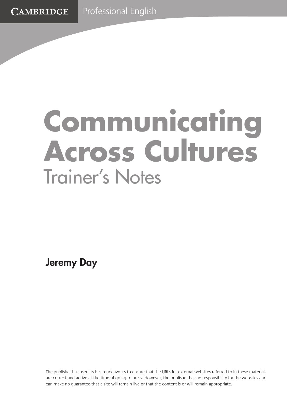# **Communicating Across Cultures** Trainer's Notes

Jeremy Day

The publisher has used its best endeavours to ensure that the URLs for external websites referred to in these materials are correct and active at the time of going to press. However, the publisher has no responsibility for the websites and can make no guarantee that a site will remain live or that the content is or will remain appropriate.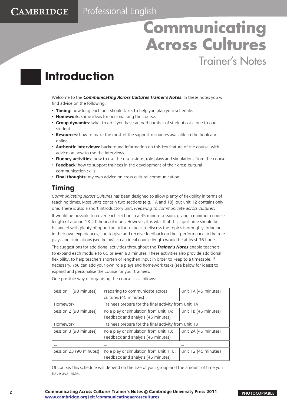## **Communicating Across Cultures** Trainer's Notes

### **Introduction**

**CAMBRIDGE** 

Welcome to the **Communicating Across Cultures Trainer's Notes**. In these notes you will find advice on the following:

- **Timing**: how long each unit should take, to help you plan your schedule.
- • **Homework**: some ideas for personalising the course.
- • **Group dynamics**: what to do if you have an odd number of students or a one-to-one student.
- **Resources:** how to make the most of the support resources available in the book and online.
- **Authentic interviews**: background information on this key feature of the course, with advice on how to use the interviews.
- **Fluency activities**: how to use the discussions, role plays and simulations from the course.
- Feedback: how to support trainees in the development of their cross-cultural communication skills.
- • **Final thoughts**: my own advice on cross-cultural communication.

#### **Timing**

Communicating Across Cultures has been designed to allow plenty of flexibility in terms of teaching times. Most units contain two sections (e.g. 1A and 1B), but unit 12 contains only one. There is also a short introductory unit, Preparing to communicate across cultures.

It would be possible to cover each section in a 45-minute session, giving a minimum course length of around 18–20 hours of input. However, it is vital that this input time should be balanced with plenty of opportunity for trainees to discuss the topics thoroughly, bringing in their own experiences, and to give and receive feedback on their performance in the role plays and simulations (see below), so an ideal course length would be at least 36 hours.

The suggestions for additional activities throughout the **Trainer's Notes** enable teachers to expand each module to 60 or even 90 minutes. These activities also provide additional flexibility, to help teachers shorten or lengthen input in order to keep to a timetable, if necessary. You can add your own role plays and homework tasks (see below for ideas) to expand and personalise the course for your trainees.

| Session 1 (90 minutes)  | Preparing to communicate across<br>cultures (45 minutes)                                            | Unit 1A (45 minutes) |  |
|-------------------------|-----------------------------------------------------------------------------------------------------|----------------------|--|
| Homework                | Trainees prepare for the final activity from Unit 1A                                                |                      |  |
| Session 2 (90 minutes)  | Role play or simulation from Unit 1A;<br>Unit 1B (45 minutes)<br>Feedback and analysis (45 minutes) |                      |  |
| Homework                | Trainees prepare for the final activity from Unit 1B                                                |                      |  |
| Session 3 (90 minutes)  | Role play or simulation from Unit 1B;<br>Feedback and analysis (45 minutes)                         | Unit 2A (45 minutes) |  |
|                         |                                                                                                     |                      |  |
| Session 23 (90 minutes) | Role play or simulation from Unit 11B;<br>Feedback and analysis (45 minutes)                        | Unit 12 (45 minutes) |  |

One possible way of organising the course is as follows:

Of course, this schedule will depend on the size of your group and the amount of time you have available.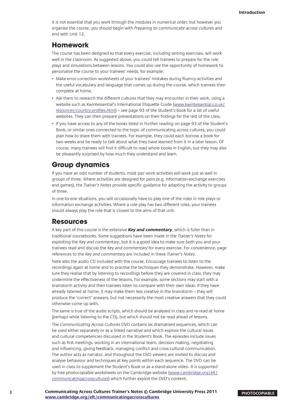It is not essential that you work through the modules in numerical order, but however you organise the course, you should begin with Preparing to communicate across cultures and end with Unit 12.

#### **Homework**

The course has been designed so that every exercise, including writing exercises, will work well in the classroom. As suggested above, you could tell trainees to prepare for the role plays and simulations between lessons. You could also use the opportunity of homework to personalise the course to your trainees' needs, for example:

- Make error-correction worksheets of your trainees' mistakes during fluency activities and the useful vocabulary and language that comes up during the course, which trainees then complete at home.
- Ask them to research the different cultures that they may encounter in their work, using a website such as Kwintessential's International Etiquette Guide [\(www.kwintessential.co.uk/](http://www.kwintessential.co.uk/resources/country-profiles.html) [resources/country-profiles.html](http://www.kwintessential.co.uk/resources/country-profiles.html)) – see page 93 of the Student's Book for a list of useful websites. They can then prepare presentations on their findings for the rest of the class.
- If you have access to any of the books listed in Further reading on page 93 of the Student's Book, or similar ones connected to the topic of communicating across cultures, you could plan how to share them with trainees. For example, they could each borrow a book for two weeks and be ready to talk about what they have learned from it in a later lesson. Of course, many trainees will find it difficult to read whole books in English, but they may also be pleasantly surprised by how much they understand and learn.

#### **Group dynamics**

If you have an odd number of students, most pair work activities will work just as well in groups of three. Where activities are designed for pairs (e.g. information-exchange exercises and games), the *Trainer's Notes* provide specific guidance for adapting the activity to groups of three.

In one-to-one situations, you will occasionally have to play one of the roles in role plays or information exchange activities. Where a role play has two different roles, your trainees should always play the role that is closest to the aims of that unit.

#### **Resources**

A key part of this course is the extensive **Key and commentary**, which is fuller than in traditional coursebooks. Some suggestions have been made in the Trainer's Notes for exploiting the Key and commentary, but it is a good idea to make sure both you and your trainees read and discuss the Key and commentary for every exercise. For convenience, page references to the Key and commentary are included in these Trainer's Notes.

Note also the audio CD included with the course. Encourage trainees to listen to the recordings again at home and to practise the techniques they demonstrate. However, make sure they realise that by listening to recordings before they are covered in class, they may undermine the effectiveness of the lessons. For example, some sections may start with a brainstorm activity and then trainees listen to compare with their own ideas. If they have already listened at home, it may make them less creative in the brainstorm – they will produce the 'correct' answers, but not necessarily the most creative answers that they could otherwise come up with.

The same is true of the audio scripts, which should be analysed in class and re-read at home (perhaps while listening to the CD), but which should not be read ahead of lessons.

The Communicating Across Cultures DVD contains six dramatised sequences, which can be used either separately or as a linked narrative and which explore the cultural issues and cultural competencies discussed in the Student's Book. The episodes include issues such as first meetings, working in an international team, decision making, negotiating and influencing, giving feedback, managing conflict and cross-cultural communication. The author acts as narrator, and throughout the DVD viewers are invited to discuss and analyse behaviour and techniques at key points within each sequence. The DVD can be used in class to supplement the Student's Book or as a stand-alone video. It is supported by free photocopiable worksheets on the Cambridge website ([www.cambridge.org/elt/](http://www.cambridge.org/elt/communicatingacrosscultures) [communicatingacrosscultures\)](http://www.cambridge.org/elt/communicatingacrosscultures) which further exploit the DVD's content.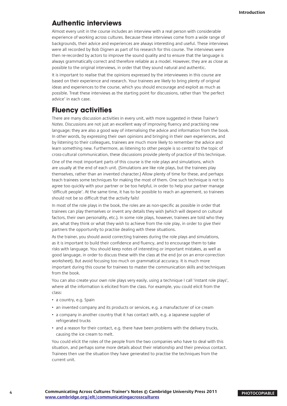#### **Authentic interviews**

Almost every unit in the course includes an interview with a real person with considerable experience of working across cultures. Because these interviews come from a wide range of backgrounds, their advice and experiences are always interesting and useful. These interviews were all recorded by Bob Dignen as part of his research for this course. The interviews were then re-recorded by actors to improve the sound quality and to ensure that the language is always grammatically correct and therefore reliable as a model. However, they are as close as possible to the original interviews, in order that they sound natural and authentic.

It is important to realise that the opinions expressed by the interviewees in this course are based on their experience and research. Your trainees are likely to bring plenty of original ideas and experiences to the course, which you should encourage and exploit as much as possible. Treat these interviews as the starting point for discussions, rather than 'the perfect advice' in each case.

#### **Fluency activities**

There are many discussion activities in every unit, with more suggested in these Trainer's Notes. Discussions are not just an excellent way of improving fluency and practising new language; they are also a good way of internalising the advice and information from the book. In other words, by expressing their own opinions and bringing in their own experiences, and by listening to their colleagues, trainees are much more likely to remember the advice and learn something new. Furthermore, as listening to other people is so central to the topic of cross-cultural communication, these discussions provide plenty of practice of this technique.

One of the most important parts of this course is the role plays and simulations, which are usually at the end of each unit. (Simulations are like role plays, but the trainees play themselves, rather than an invented character.) Allow plenty of time for these, and perhaps teach trainees some techniques for making the most of them. One such technique is not to agree too quickly with your partner or be too helpful, in order to help your partner manage 'difficult people'. At the same time, it has to be possible to reach an agreement, so trainees should not be so difficult that the activity fails!

In most of the role plays in the book, the roles are as non-specific as possible in order that trainees can play themselves or invent any details they wish (which will depend on cultural factors, their own personality, etc.). In some role plays, however, trainees are told who they are, what they think or what they wish to achieve from the role play, in order to give their partners the opportunity to practise dealing with these situations.

As the trainer, you should avoid correcting trainees during the role plays and simulations, as it is important to build their confidence and fluency, and to encourage them to take risks with language. You should keep notes of interesting or important mistakes, as well as good language, in order to discuss these with the class at the end (or on an error-correction worksheet). But avoid focusing too much on grammatical accuracy. It is much more important during this course for trainees to master the communication skills and techniques from the book.

You can also create your own role plays very easily, using a technique I call 'instant role plays', where all the information is elicited from the class. For example, you could elicit from the class:

- a country, e.g. Spain
- an invented company and its products or services, e.g. a manufacturer of ice cream
- a company in another country that it has contact with, e.g. a Japanese supplier of refrigerated trucks
- and a reason for their contact, e.g. there have been problems with the delivery trucks, causing the ice cream to melt.

You could elicit the roles of the people from the two companies who have to deal with this situation, and perhaps some more details about their relationship and their previous contact. Trainees then use the situation they have generated to practise the techniques from the current unit.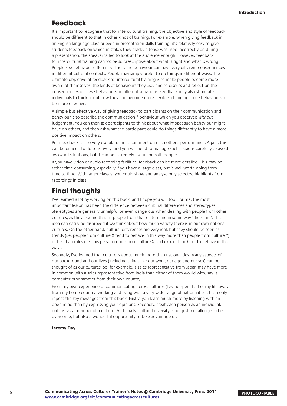#### **Feedback**

It's important to recognise that for intercultural training, the objective and style of feedback should be different to that in other kinds of training. For example, when giving feedback in an English language class or even in presentation skills training, it's relatively easy to give students feedback on which mistakes they made: a tense was used incorrectly or, during a presentation, the speaker failed to look at the audience enough. However, feedback for intercultural training cannot be so prescriptive about what is right and what is wrong. People see behaviour differently. The same behaviour can have very different consequences in different cultural contexts. People may simply prefer to do things in different ways. The ultimate objective of feedback for intercultural training is to make people become more aware of themselves, the kinds of behaviours they use, and to discuss and reflect on the consequences of these behaviours in different situations. Feedback may also stimulate individuals to think about how they can become more flexible, changing some behaviours to be more effective.

A simple but effective way of giving feedback to participants on their communication and behaviour is to describe the communication / behaviour which you observed without judgement. You can then ask participants to think about what impact such behaviour might have on others, and then ask what the participant could do things differently to have a more positive impact on others.

Peer feedback is also very useful: trainees comment on each other's performance. Again, this can be difficult to do sensitively, and you will need to manage such sessions carefully to avoid awkward situations, but it can be extremely useful for both people.

If you have video or audio recording facilities, feedback can be more detailed. This may be rather time-consuming, especially if you have a large class, but is well worth doing from time to time. With larger classes, you could show and analyse only selected highlights from recordings in class.

#### **Final thoughts**

I've learned a lot by working on this book, and I hope you will too. For me, the most important lesson has been the difference between cultural differences and stereotypes. Stereotypes are generally unhelpful or even dangerous when dealing with people from other cultures, as they assume that all people from that culture are in some way 'the same'. This idea can easily be disproved if we think about how much variety there is in our own national cultures. On the other hand, cultural differences are very real, but they should be seen as trends (i.e. people from culture X tend to behave in this way more than people from culture Y) rather than rules (i.e. this person comes from culture X, so I expect him / her to behave in this way).

Secondly, I've learned that culture is about much more than nationalities. Many aspects of our background and our lives (including things like our work, our age and our sex) can be thought of as our cultures. So, for example, a sales representative from Japan may have more in common with a sales representative from India than either of them would with, say, a computer programmer from their own country.

From my own experience of communicating across cultures (having spent half of my life away from my home country, working and living with a very wide range of nationalities), I can only repeat the key messages from this book. Firstly, you learn much more by listening with an open mind than by expressing your opinions. Secondly, treat each person as an individual, not just as a member of a culture. And finally, cultural diversity is not just a challenge to be overcome, but also a wonderful opportunity to take advantage of.

#### **Jeremy Day**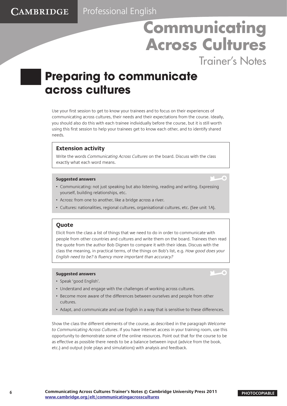Trainer's Notes

G

### **Preparing to communicate across cultures**

Use your first session to get to know your trainees and to focus on their experiences of communicating across cultures, their needs and their expectations from the course. Ideally, you should also do this with each trainee individually before the course, but it is still worth using this first session to help your trainees get to know each other, and to identify shared needs.

#### **Extension activity**

Write the words Communicating Across Cultures on the board. Discuss with the class exactly what each word means.

#### **Suggested answers**

- Communicating: not just speaking but also listening, reading and writing. Expressing yourself, building relationships, etc.
- Across: from one to another, like a bridge across a river.
- Cultures: nationalities, regional cultures, organisational cultures, etc. (See unit 1A).

#### **Quote**

Elicit from the class a list of things that we need to do in order to communicate with people from other countries and cultures and write them on the board. Trainees then read the quote from the author Bob Dignen to compare it with their ideas. Discuss with the class the meaning, in practical terms, of the things on Bob's list, e.g. How good does your English need to be? Is fluency more important than accuracy?

#### **Suggested answers**

- Speak 'good English'.
- Understand and engage with the challenges of working across cultures.
- Become more aware of the differences between ourselves and people from other cultures.
- Adapt, and communicate and use English in a way that is sensitive to these differences.

Show the class the different elements of the course, as described in the paragraph Welcome to Communicating Across Cultures. If you have Internet access in your training room, use this opportunity to demonstrate some of the online resources. Point out that for the course to be as effective as possible there needs to be a balance between input (advice from the book, etc.) and output (role plays and simulations) with analysis and feedback.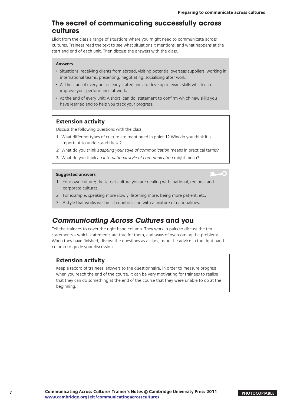#### **The secret of communicating successfully across cultures**

Elicit from the class a range of situations where you might need to communicate across cultures. Trainees read the text to see what situations it mentions, and what happens at the start and end of each unit. Then discuss the answers with the class.

#### **Answers**

- Situations: receiving clients from abroad, visiting potential overseas suppliers, working in international teams, presenting, negotiating, socialising after work.
- At the start of every unit: clearly stated aims to develop relevant skills which can improve your performance at work.
- At the end of every unit: A short 'can do' statement to confirm which new skills you have learned and to help you track your progress.

#### **Extension activity**

Discuss the following questions with the class.

- **1** What different types of culture are mentioned in point 1? Why do you think it is important to understand these?
- **2** What do you think adapting your style of communication means in practical terms?
- **3** What do you think an international style of communication might mean?

#### **Suggested answers**

- 1 Your own culture; the target culture you are dealing with; national, regional and corporate cultures.
- 2 For example, speaking more slowly, listening more, being more patient, etc.
- 3 A style that works well in all countries and with a mixture of nationalities.

#### *Communicating Across Cultures* **and you**

Tell the trainees to cover the right-hand column. They work in pairs to discuss the ten statements – which statements are true for them, and ways of overcoming the problems. When they have finished, discuss the questions as a class, using the advice in the right-hand column to guide your discussion.

#### **Extension activity**

Keep a record of trainees' answers to the questionnaire, in order to measure progress when you reach the end of the course. It can be very motivating for trainees to realise that they can do something at the end of the course that they were unable to do at the beginning.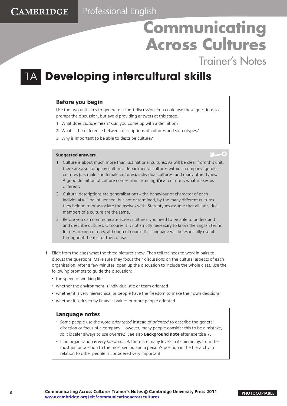Trainer's Notes

### 1A **Developing intercultural skills**

#### **Before you begin**

**CAMBRIDGE** 

Use the two unit aims to generate a short discussion. You could use these questions to prompt the discussion, but avoid providing answers at this stage.

- **1** What does culture mean? Can you come up with a definition?
- **2** What is the difference between descriptions of cultures and stereotypes?
- **3** Why is important to be able to describe culture?

#### **Suggested answers**

- 1 Culture is about much more than just national cultures. As will be clear from this unit, there are also company cultures, departmental cultures within a company, gender cultures (i.e. male and female cultures), individual cultures, and many other types. A good definition of culture comes from listening  $\bullet$  2: culture is what makes us different.
- 2 Cultural descriptions are generalisations the behaviour or character of each individual will be influenced, but not determined, by the many different cultures they belong to or associate themselves with. Stereotypes assume that all individual members of a culture are the same.
- 3 Before you can communicate across cultures, you need to be able to understand and describe cultures. Of course it is not strictly necessary to know the English terms for describing cultures, although of course this language will be especially useful throughout the rest of this course.
- **1** Elicit from the class what the three pictures show. Then tell trainees to work in pairs to discuss the questions. Make sure they focus their discussions on the cultural aspects of each organisation. After a few minutes, open up the discussion to include the whole class. Use the following prompts to guide the discussion:
	- the speed of working life
	- whether the environment is individualistic or team-oriented
	- whether it is very hierarchical or people have the freedom to make their own decisions
	- whether it is driven by financial values or more people-oriented.

#### **Language notes**

- Some people use the word *orientated* instead of *oriented* to describe the general direction or focus of a company. However, many people consider this to be a mistake, so it is safer always to use oriented. See also **Background note** after exercise 7.
- If an organisation is very hierarchical, there are many levels in its hierarchy, from the most junior position to the most senior, and a person's position in the hierarchy in relation to other people is considered very important.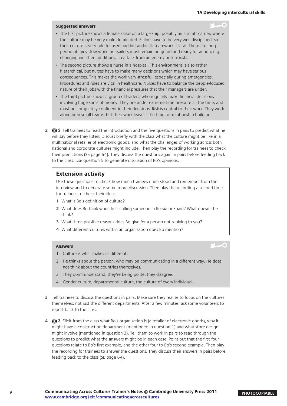$\overline{1}$ 

#### **Suggested answers**

- The first picture shows a female sailor on a large ship, possibly an aircraft carrier, where the culture may be very male-dominated. Sailors have to be very well-disciplined, so their culture is very rule-focused and hierarchical. Teamwork is vital. There are long period of fairly slow work, but sailors must remain on guard and ready for action, e.g. changing weather conditions, an attack from an enemy or terrorists.
- The second picture shows a nurse in a hospital. This environment is also rather hierarchical, but nurses have to make many decisions which may have serious consequences. This makes the work very stressful, especially during emergencies. Procedures and rules are vital in healthcare. Nurses have to balance the people-focused nature of their jobs with the financial pressures that their managers are under.
- The third picture shows a group of traders, who regularly make financial decisions involving huge sums of money. They are under extreme time pressure all the time, and must be completely confident in their decisions. Risk is central to their work. They work alone or in small teams, but their work leaves little time for relationship building.
- **2 2** Tell trainees to read the introduction and the five questions in pairs to predict what he will say before they listen. Discuss briefly with the class what the culture might be like in a multinational retailer of electronic goods, and what the challenges of working across both national and corporate cultures might include. Then play the recording for trainees to check their predictions (SB page 64). They discuss the questions again in pairs before feeding back to the class. Use question 5 to generate discussion of Bo's opinions.

#### **Extension activity**

Use these questions to check how much trainees understood and remember from the interview and to generate some more discussion. Then play the recording a second time for trainees to check their ideas.

- **1** What is Bo's definition of culture?
- **2** What does Bo think when he's calling someone in Russia or Spain? What doesn't he think?
- **3** What three possible reasons does Bo give for a person not replying to you?
- **4** What different cultures within an organisation does Bo mention?

#### **Answers**

- 1 Culture is what makes us different.
- 2 He thinks about the person, who may be communicating in a different way. He does not think about the countries themselves.
- 3 They don't understand; they're being polite; they disagree.
- 4 Gender culture, departmental culture, the culture of every individual.
- **3** Tell trainees to discuss the questions in pairs. Make sure they realise to focus on the cultures themselves, not just the different departments. After a few minutes, ask some volunteers to report back to the class.
- **4 3** Elicit from the class what Bo's organisation is (a retailer of electronic goods), why it might have a construction department (mentioned in question 1) and what store design might involve (mentioned in question 3). Tell them to work in pairs to read through the questions to predict what the answers might be in each case. Point out that the first four questions relate to Bo's first example, and the other four to Bo's second example. Then play the recording for trainees to answer the questions. They discuss their answers in pairs before feeding back to the class (SB page 64).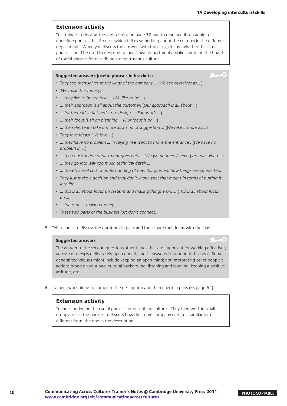#### **Extension activity**

Tell trainees to look at the audio script on page 52 and to read and listen again to underline phrases that Bo uses which tell us something about the cultures in the different departments. When you discuss the answers with the class, discuss whether the same phrases could be used to describe trainees' own departments. Make a note on the board of useful phrases for describing a department's culture.

#### **Suggested answers (useful phrases in brackets)**

• They see themselves as the kings of the company ... (We see ourselves as ...)

- • 'We make the money.'
- ... they like to be creative ... (We like to be ...)
- ... their approach is all about the customer. (Our approach is all about ...)
- ... for them it's a finished store design ... (For us, it's ...)
- ... their focus is all on planning ... (Our focus is on ...)
- ... the sales team take it more as a kind of suggestion ... (We take it more as ...)
- They love ideas! (We love ...)
- ... they have no problem ... in saying 'We want to move the entrance'. (We have no problem in …)
- ... the construction department goes nuts ... (We (sometimes / never) go nuts when ...)
- ... they go into way too much technical detail ...
- ... there's a real lack of understanding of how things work, how things are connected.
- They just make a decision and they don't know what that means in terms of putting it  $\int$ into life
- ... this is all about focus on systems and making things work ... (This is all about focus on …)
- ... focus on ... making money
- These two parts of the business just don't connect.
- **5** Tell trainees to discuss the questions in pairs and then share their ideas with the class.

#### **Suggested answers**

The answer to the second question (other things that are important for working effectively across cultures) is deliberately open-ended, and is answered throughout this book. Some general techniques might include keeping an open mind; not interpreting other people's actions based on your own cultural background; listening and learning; keeping a positive attitude, etc.

**6** Trainees work alone to complete the description and then check in pairs (SB page 64).

#### **Extension activity**

Trainees underline the useful phrases for describing cultures. They then work in small groups to use the phrases to discuss how their own company culture is similar to, or different from, the one in the description.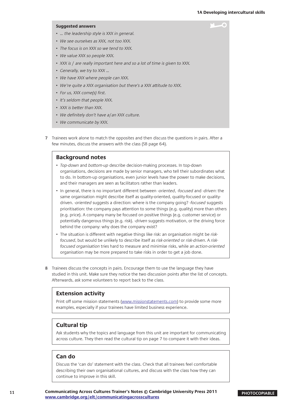#### **Suggested answers**

- ... the leadership style is XXX in general.
- We see ourselves as XXX, not too XXX.
- The focus is on XXX so we tend to XXX.
- We value XXX so people XXX.
- XXX is / are really important here and so a lot of time is given to XXX.
- Generally, we try to XXX ...
- We have XXX where people can XXX.
- We're quite a XXX organisation but there's a XXX attitude to XXX.
- For us, XXX come(s) first.
- It's seldom that people XXX.
- XXX is better than XXX.
- We definitely don't have a/an XXX culture.
- We communicate by XXX.
- **7** Trainees work alone to match the opposites and then discuss the questions in pairs. After a few minutes, discuss the answers with the class (SB page 64).

#### **Background notes**

- Top-down and bottom-up describe decision-making processes. In top-down organisations, decisions are made by senior managers, who tell their subordinates what to do. In bottom-up organisations, even junior levels have the power to make decisions, and their managers are seen as facilitators rather than leaders.
- In general, there is no important different between -oriented, -focused and -driven: the same organisation might describe itself as quality-oriented, quality-focused or qualitydriven. -oriented suggests a direction: where is the company going? -focused suggests prioritisation: the company pays attention to some things (e.g. quality) more than others (e.g. price). A company many be focused on positive things (e.g. customer service) or potentially dangerous things (e.g. risk). -driven suggests motivation, or the driving force behind the company: why does the company exist?
- The situation is different with negative things like risk: an organisation might be riskfocused, but would be unlikely to describe itself as risk-oriented or risk-driven. A riskfocused organisation tries hard to measure and minimise risks, while an action-oriented organisation may be more prepared to take risks in order to get a job done.
- **8** Trainees discuss the concepts in pairs. Encourage them to use the language they have studied in this unit. Make sure they notice the two discussion points after the list of concepts. Afterwards, ask some volunteers to report back to the class.

#### **Extension activity**

Print off some mission statements ([www.missionstatements.com](http://www.missionstatements.com)) to provide some more examples, especially if your trainees have limited business experience.

#### **Cultural tip**

Ask students why the topics and language from this unit are important for communicating across culture. They then read the cultural tip on page 7 to compare it with their ideas.

#### **Can do**

Discuss the 'can do' statement with the class. Check that all trainees feel comfortable describing their own organisational cultures, and discuss with the class how they can continue to improve in this skill.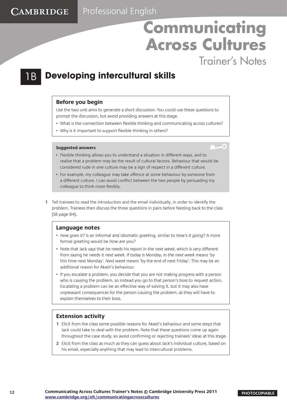Trainer's Notes

 $\overline{\phantom{0}}$ 

### 1B **Developing intercultural skills**

#### **Before you begin**

**CAMBRIDGE** 

Use the two unit aims to generate a short discussion. You could use these questions to prompt the discussion, but avoid providing answers at this stage.

- What is the connection between flexible thinking and communicating across cultures?
- Why is it important to support flexible thinking in others?

#### **Suggested answers**

- Flexible thinking allows you to understand a situation in different ways, and to realise that a problem may be the result of cultural factors. Behaviour that would be considered rude in one culture may be a sign of respect in a different culture.
- For example, my colleague may take offence at some behaviour by someone from a different culture. I can avoid conflict between the two people by persuading my colleague to think more flexibly.
- **1** Tell trainees to read the introduction and the email individually, in order to identify the problem. Trainees then discuss the three questions in pairs before feeding back to the class (SB page 64).

#### **Language notes**

- How goes it? is an informal and idiomatic greeting, similar to How's it going? A more formal greeting would be How are you?
- Note that Jack says that he needs his report in the next week, which is very different from saying he needs it next week. If today is Monday, in the next week means 'by this time next Monday'. Next week means 'by the end of next Friday'. This may be an additional reason for Akash's behaviour.
- If you escalate a problem, you decide that you are not making progress with a person who is causing the problem, so instead you go to that person's boss to request action. Escalating a problem can be an effective way of solving it, but it may also have unpleasant consequences for the person causing the problem, as they will have to explain themselves to their boss.

#### **Extension activity**

- **1** Elicit from the class some possible reasons for Akash's behaviour and some steps that Jack could take to deal with the problem. Note that these questions come up again throughout the case study, so avoid confirming or rejecting trainees' ideas at this stage.
- **2** Elicit from the class as much as they can guess about Jack's individual culture, based on his email, especially anything that may lead to intercultural problems.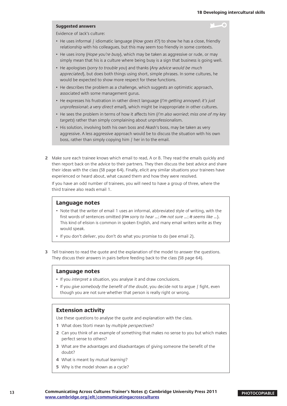#### **Suggested answers**

Evidence of Jack's culture:

- He uses informal / idiomatic language (How goes it?) to show he has a close, friendly relationship with his colleagues, but this may seem too friendly in some contexts.
- He uses irony (Hope you're busy), which may be taken as aggressive or rude, or may simply mean that his is a culture where being busy is a sign that business is going well.
- He apologises (sorry to trouble you) and thanks (Any advice would be much appreciated), but does both things using short, simple phrases. In some cultures, he would be expected to show more respect for these functions.
- He describes the problem as a challenge, which suggests an optimistic approach, associated with some management gurus.
- He expresses his frustration in rather direct language (I'm getting annoyed; it's just unprofessional; a very direct email), which might be inappropriate in other cultures.
- He sees the problem in terms of how it affects him (I'm also worried; miss one of my key targets) rather than simply complaining about unprofessionalism.
- His solution, involving both his own boss and Akash's boss, may be taken as very aggressive. A less aggressive approach would be to discuss the situation with his own boss, rather than simply copying him / her in to the email.
- **2** Make sure each trainee knows which email to read, A or B. They read the emails quickly and then report back on the advice to their partners. They then discuss the best advice and share their ideas with the class (SB page 64). Finally, elicit any similar situations your trainees have experienced or heard about, what caused them and how they were resolved.

If you have an odd number of trainees, you will need to have a group of three, where the third trainee also reads email 1.

#### **Language notes**

- Note that the writer of email 1 uses an informal, abbreviated style of writing, with the first words of sentences omitted ( $l<sup>2</sup>m$  sorry to hear ...;  $l<sup>2</sup>m$  not sure ...; It seems like ...). This kind of elision is common in spoken English, and many email writers write as they would speak.
- If you don't deliver, you don't do what you promise to do (see email 2).
- **3** Tell trainees to read the quote and the explanation of the model to answer the questions. They discuss their answers in pairs before feeding back to the class (SB page 64).

#### **Language notes**

- If you interpret a situation, you analyse it and draw conclusions.
- If you give somebody the benefit of the doubt, you decide not to argue / fight, even though you are not sure whether that person is really right or wrong.

#### **Extension activity**

Use these questions to analyse the quote and explanation with the class.

- **1** What does Storti mean by multiple perspectives?
- **2** Can you think of an example of something that makes no sense to you but which makes perfect sense to others?
- **3** What are the advantages and disadvantages of giving someone the benefit of the doubt?
- **4** What is meant by mutual learning?
- **5** Why is the model shown as a cycle?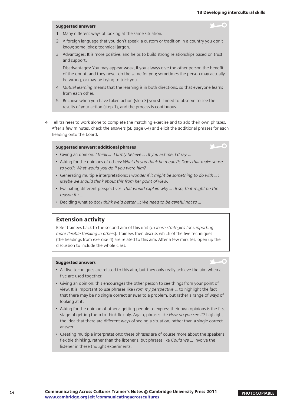#### **Suggested answers**

- 1 Many different ways of looking at the same situation.
- 2 A foreign language that you don't speak; a custom or tradition in a country you don't know; some jokes; technical jargon.
- 3 Advantages: It is more positive, and helps to build strong relationships based on trust and support.

Disadvantages: You may appear weak, if you always give the other person the benefit of the doubt, and they never do the same for you; sometimes the person may actually be wrong, or may be trying to trick you.

- 4 Mutual learning means that the learning is in both directions, so that everyone learns from each other.
- 5 Because when you have taken action (step 3) you still need to observe to see the results of your action (step 1), and the process is continuous.
- **4** Tell trainees to work alone to complete the matching exercise and to add their own phrases. After a few minutes, check the answers (SB page 64) and elicit the additional phrases for each heading onto the board.

#### **Suggested answers: additional phrases**

×

- Giving an opinion: I think …; I firmly believe …; If you ask me, I'd say …
- Asking for the opinions of others: What do you think he means?; Does that make sense to you?; What would you do if you were him?
- Generating multiple interpretations: I wonder if it might be something to do with …; Maybe we should think about this from her point of view.
- Evaluating different perspectives: That would explain why …; If so, that might be the reason for …
- Deciding what to do: I think we'd better …; We need to be careful not to …

#### **Extension activity**

Refer trainees back to the second aim of this unit (To learn strategies for supporting more flexible thinking in others). Trainees then discuss which of the five techniques (the headings from exercise 4) are related to this aim. After a few minutes, open up the discussion to include the whole class.

#### **Suggested answers**

- All five techniques are related to this aim, but they only really achieve the aim when all five are used together.
- Giving an opinion: this encourages the other person to see things from your point of view. It is important to use phrases like From my perspective ... to highlight the fact that there may be no single correct answer to a problem, but rather a range of ways of looking at it.
- Asking for the opinion of others: getting people to express their own opinions is the first stage of getting them to think flexibly. Again, phrases like How do you see it? highlight the idea that there are different ways of seeing a situation, rather than a single correct answer.
- Creating multiple interpretations: these phrases are of course more about the speaker's flexible thinking, rather than the listener's, but phrases like Could we … involve the listener in these thought experiments.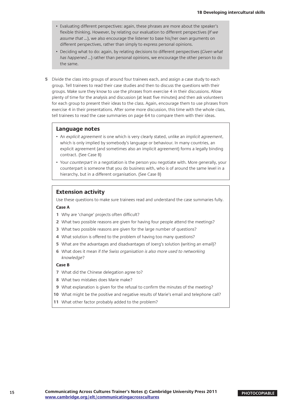- Evaluating different perspectives: again, these phrases are more about the speaker's flexible thinking. However, by relating our evaluation to different perspectives (If we assume that ...), we also encourage the listener to base his/her own arguments on different perspectives, rather than simply to express personal opinions.
- Deciding what to do: again, by relating decisions to different perspectives (Given what has happened ...) rather than personal opinions, we encourage the other person to do the same.
- **5** Divide the class into groups of around four trainees each, and assign a case study to each group. Tell trainees to read their case studies and then to discuss the questions with their groups. Make sure they know to use the phrases from exercise 4 in their discussions. Allow plenty of time for the analysis and discussion (at least five minutes) and then ask volunteers for each group to present their ideas to the class. Again, encourage them to use phrases from exercise 4 in their presentations. After some more discussion, this time with the whole class, tell trainees to read the case summaries on page 64 to compare them with their ideas.

#### **Language notes**

- An explicit agreement is one which is very clearly stated, unlike an *implicit agreement*, which is only implied by somebody's language or behaviour. In many countries, an explicit agreement (and sometimes also an implicit agreement) forms a legally binding contract. (See Case B)
- Your counterpart in a negotiation is the person you negotiate with. More generally, your counterpart is someone that you do business with, who is of around the same level in a hierarchy, but in a different organisation. (See Case B)

#### **Extension activity**

Use these questions to make sure trainees read and understand the case summaries fully. **Case A**

- **1** Why are 'change' projects often difficult?
- **2** What two possible reasons are given for having four people attend the meetings?
- **3** What two possible reasons are given for the large number of questions?
- **4** What solution is offered to the problem of having too many questions?
- **5** What are the advantages and disadvantages of Joerg's solution (writing an email)?
- **6** What does it mean if the Swiss organisation is also more used to networking knowledge?

#### **Case B**

- **7** What did the Chinese delegation agree to?
- **8** What two mistakes does Marie make?
- **9** What explanation is given for the refusal to confirm the minutes of the meeting?
- **10** What might be the positive and negative results of Marie's email and telephone call?
- **11** What other factor probably added to the problem?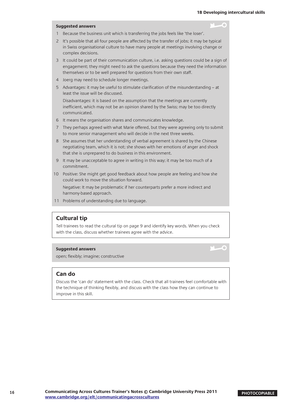#### **Suggested answers**

- 1 Because the business unit which is transferring the jobs feels like 'the loser'.
- 2 It's possible that all four people are affected by the transfer of jobs; it may be typical in Swiss organisational culture to have many people at meetings involving change or complex decisions.
- 3 It could be part of their communication culture, i.e. asking questions could be a sign of engagement; they might need to ask the questions because they need the information themselves or to be well prepared for questions from their own staff.
- 4 Joerg may need to schedule longer meetings.
- 5 Advantages: it may be useful to stimulate clarification of the misunderstanding at least the issue will be discussed.

Disadvantages: it is based on the assumption that the meetings are currently inefficient, which may not be an opinion shared by the Swiss; may be too directly communicated.

- 6 It means the organisation shares and communicates knowledge.
- 7 They perhaps agreed with what Marie offered, but they were agreeing only to submit to more senior management who will decide in the next three weeks.
- 8 She assumes that her understanding of verbal agreement is shared by the Chinese negotiating team, which it is not; she shows with her emotions of anger and shock that she is unprepared to do business in this environment.
- 9 It may be unacceptable to agree in writing in this way; it may be too much of a commitment.
- 10 Positive: She might get good feedback about how people are feeling and how she could work to move the situation forward.

Negative: It may be problematic if her counterparts prefer a more indirect and harmony-based approach.

11 Problems of understanding due to language.

#### **Cultural tip**

Tell trainees to read the cultural tip on page 9 and identify key words. When you check with the class, discuss whether trainees agree with the advice.

#### **Suggested answers**

open; flexibly; imagine; constructive

#### **Can do**

Discuss the 'can do' statement with the class. Check that all trainees feel comfortable with the technique of thinking flexibly, and discuss with the class how they can continue to improve in this skill.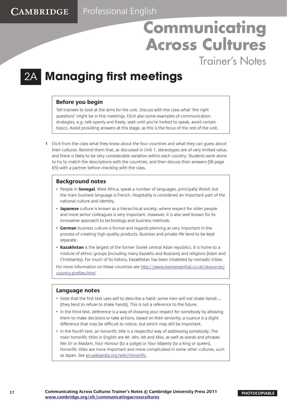Trainer's Notes

### 2A **Managing first meetings**

#### **Before you begin**

CAMBRIDGE

Tell trainees to look at the aims for the unit. Discuss with the class what 'the right questions' might be in first meetings. Elicit also some examples of communication strategies, e.g. talk openly and freely, wait until you're invited to speak, avoid certain topics. Avoid providing answers at this stage, as this is the focus of the rest of the unit.

**1** Elicit from the class what they know about the four countries and what they can guess about their cultures. Remind them that, as discussed in Unit 1, stereotypes are of very limited value, and there is likely to be very considerable variation within each country. Students work alone to try to match the descriptions with the countries, and then discuss their answers (SB page 65) with a partner before checking with the class.

#### **Background notes**

- People in **Senegal**, West Africa, speak a number of languages, principally Wolof, but the main business language is French. Hospitality is considered an important part of the national culture and identity.
- **Japanese** culture is known as a hierarchical society, where respect for older people and more senior colleagues is very important. However, it is also well known for its innovative approach to technology and business methods.
- **German** business culture is formal and regards planning as very important in the process of creating high quality products. Business and private life tend to be kept separate.
- **Kazakhstan** is the largest of the former Soviet central Asian republics. It is home to a mixture of ethnic groups (including many Kazakhs and Russians) and religions (Islam and Christianity). For much of its history, Kazakhstan has been inhabited by nomadic tribes.

For more information on these countries see [http://www.kwintessential.co.uk/resources/](http://www.kwintessential.co.uk/resources/country-profiles.html) [country-profiles.html.](http://www.kwintessential.co.uk/resources/country-profiles.html)

#### **Language notes**

- Note that the first text uses will to describe a habit: some men will not shake hands ... (they tend to refuse to shake hands). This is not a reference to the future.
- In the third text, *deference* is a way of showing your respect for somebody by allowing them to make decisions or take actions, based on their seniority; a nuance is a slight difference that may be difficult to notice, but which may still be important.
- In the fourth text, an *honorific title* is a respectful way of addressing somebody. The main honorific titles in English are Mr, Mrs, Ms and Miss, as well as words and phrases like Sir or Madam, Your Honour (to a judge) or Your Majesty (to a king or queen). Honorific titles are more important and more complicated in some other cultures, such as Japan. See<en.wikipedia.org/wiki/Honorific>.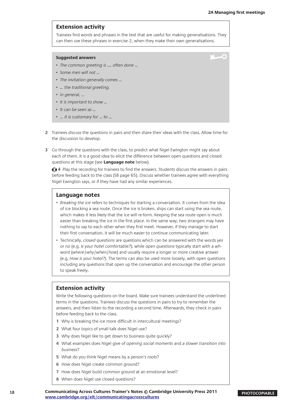n

#### **Extension activity**

Trainees find words and phrases in the text that are useful for making generalisations. They can then use these phrases in exercise 2, when they make their own generalisations.

#### **Suggested answers**

- The common greeting is …, often done …
- Some men will not …
- The invitation generally comes …
- … the traditional greeting.
- In general, …
- It is important to show …
- It can be seen as ...
- … it is customary for … to …
- **2** Trainees discuss the questions in pairs and then share their ideas with the class. Allow time for the discussion to develop.
- **3** Go through the questions with the class, to predict what Nigel Ewington might say about each of them. It is a good idea to elicit the difference between open questions and closed questions at this stage (see **Language note** below).

**4** Play the recording for trainees to find the answers. Students discuss the answers in pairs before feeding back to the class (SB page 65). Discuss whether trainees agree with everything Nigel Ewington says, or if they have had any similar experiences.

#### **Language notes**

- Breaking the ice refers to techniques for starting a conversation. It comes from the idea of ice blocking a sea route. Once the ice is broken, ships can start using the sea route, which makes it less likely that the ice will re-form. Keeping the sea route open is much easier than breaking the ice in the first place. In the same way, two strangers may have nothing to say to each other when they first meet. However, if they manage to start their first conversation, it will be much easier to continue communicating later.
- Technically, closed questions are questions which can be answered with the words yes or no (e.g. Is your hotel comfortable?), while open questions typically start with a whword (where/why/when/how) and usually require a longer or more creative answer (e.g. How is your hotel?). The terms can also be used more loosely, with open questions including any questions that open up the conversation and encourage the other person to speak freely.

#### **Extension activity**

Write the following questions on the board. Make sure trainees understand the underlined terms in the questions. Trainees discuss the questions in pairs to try to remember the answers, and then listen to the recording a second time. Afterwards, they check in pairs before feeding back to the class.

- **1** Why is breaking the ice more difficult in intercultural meetings?
- **2** What four topics of small talk does Nigel use?
- **3** Why does Nigel like to get down to business quite quickly?
- **4** What examples does Nigel give of opening social moments and a slower transition into business?
- **5** What do you think Nigel means by a person's roots?
- **6** How does Nigel create common ground?
- **7** How does Nigel build common ground at an emotional level?
- **8** When does Nigel use closed questions?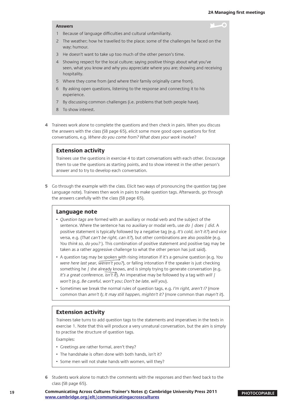$-\sqrt{2}$ 

#### **Answers**

- 1 Because of language difficulties and cultural unfamiliarity.
- 2 The weather; how he travelled to the place; some of the challenges he faced on the way; humour.
- 3 He doesn't want to take up too much of the other person's time.
- 4 Showing respect for the local culture; saying positive things about what you've seen, what you know and why you appreciate where you are; showing and receiving hospitality.
- 5 Where they come from (and where their family originally came from).
- 6 By asking open questions, listening to the response and connecting it to his experience.
- 7 By discussing common challenges (i.e. problems that both people have).
- 8 To show interest.
- **4** Trainees work alone to complete the questions and then check in pairs. When you discuss the answers with the class (SB page 65), elicit some more good open questions for first conversations, e.g. Where do you come from? What does your work involve?

#### **Extension activity**

Trainees use the questions in exercise 4 to start conversations with each other. Encourage them to use the questions as starting points, and to show interest in the other person's answer and to try to develop each conversation.

**5** Go through the example with the class. Elicit two ways of pronouncing the question tag (see Language note). Trainees then work in pairs to make question tags. Afterwards, go through the answers carefully with the class (SB page 65).

#### **Language note**

- Question tags are formed with an auxiliary or modal verb and the subject of the sentence. Where the sentence has no auxiliary or modal verb, use do | does | did. A positive statement is typically followed by a negative tag (e.g. It's cold, isn't it?) and vice versa, e.g. (That can't be right, can it?), but other combinations are also possible (e.g. You think so, do you?). This combination of positive statement and positive tag may be taken as a rather aggressive challenge to what the other person has just said).
- A question tag may be spoken with rising intonation if it's a genuine question (e.g. You were here last year,  $\widetilde{w_{\text{e}}(x)}$ , or falling intonation if the speaker is just checking something he / she already knows, and is simply trying to generate conversation (e.g. It's a great conference, isn't it). An imperative may be followed by a tag with will  $|$ won't (e.g. Be careful, won't you; Don't be late, will you).
- Sometimes we break the normal rules of question tags, e.g. I'm right, aren't I? (more common than amn't I); It may still happen, mightn't it? (more common than mayn't it).

#### **Extension activity**

Trainees take turns to add question tags to the statements and imperatives in the texts in exercise 1. Note that this will produce a very unnatural conversation, but the aim is simply to practise the structure of question tags.

Examples:

- Greetings are rather formal, aren't they?
- The handshake is often done with both hands, isn't it?
- Some men will not shake hands with women, will they?
- **6** Students work alone to match the comments with the responses and then feed back to the class (SB page 65).
- **Communicating Across Cultures Trainer's Notes © Cambridge University Press 2011 PHOTOCOPIABLE [www.cambridge.org/elt/c](http://www.cambridge.org/elt/communicatingacrosscultures)ommunicatingacrosscultures**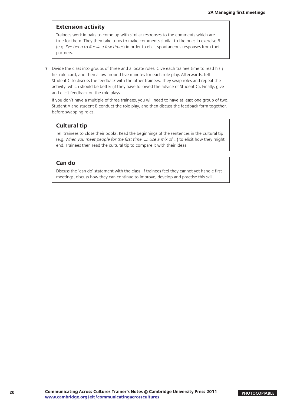#### **Extension activity**

Trainees work in pairs to come up with similar responses to the comments which are true for them. They then take turns to make comments similar to the ones in exercise 6 (e.g. I've been to Russia a few times) in order to elicit spontaneous responses from their partners.

**7** Divide the class into groups of three and allocate roles. Give each trainee time to read his / her role card, and then allow around five minutes for each role play. Afterwards, tell Student C to discuss the feedback with the other trainees. They swap roles and repeat the activity, which should be better (if they have followed the advice of Student C). Finally, give and elicit feedback on the role plays.

If you don't have a multiple of three trainees, you will need to have at least one group of two. Student A and student B conduct the role play, and then discuss the feedback form together, before swapping roles.

#### **Cultural tip**

Tell trainees to close their books. Read the beginnings of the sentences in the cultural tip (e.g. When you meet people for the first time, …; Use a mix of …) to elicit how they might end. Trainees then read the cultural tip to compare it with their ideas.

#### **Can do**

Discuss the 'can do' statement with the class. If trainees feel they cannot yet handle first meetings, discuss how they can continue to improve, develop and practise this skill.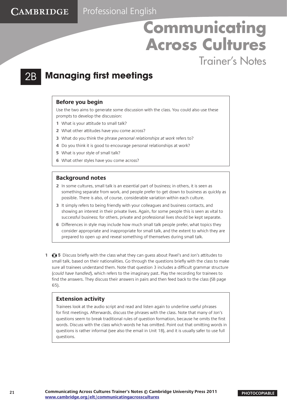Trainer's Notes

### 2B **Managing first meetings**

#### **Before you begin**

**CAMBRIDGE** 

Use the two aims to generate some discussion with the class. You could also use these prompts to develop the discussion:

- **1** What is your attitude to small talk?
- **2** What other attitudes have you come across?
- **3** What do you think the phrase personal relationships at work refers to?
- **4** Do you think it is good to encourage personal relationships at work?
- **5** What is your style of small talk?
- **6** What other styles have you come across?

#### **Background notes**

- **2** In some cultures, small talk is an essential part of business; in others, it is seen as something separate from work, and people prefer to get down to business as quickly as possible. There is also, of course, considerable variation within each culture.
- **3** It simply refers to being friendly with your colleagues and business contacts, and showing an interest in their private lives. Again, for some people this is seen as vital to successful business; for others, private and professional lives should be kept separate.
- **6** Differences in style may include how much small talk people prefer, what topics they consider appropriate and inappropriate for small talk, and the extent to which they are prepared to open up and reveal something of themselves during small talk.
- **1 5** Discuss briefly with the class what they can guess about Pavel's and Jon's attitudes to small talk, based on their nationalities. Go through the questions briefly with the class to make sure all trainees understand them. Note that question 3 includes a difficult grammar structure (could have handled), which refers to the imaginary past. Play the recording for trainees to find the answers. They discuss their answers in pairs and then feed back to the class (SB page 65).

#### **Extension activity**

Trainees look at the audio script and read and listen again to underline useful phrases for first meetings. Afterwards, discuss the phrases with the class. Note that many of Jon's questions seem to break traditional rules of question formation, because he omits the first words. Discuss with the class which words he has omitted. Point out that omitting words in questions is rather informal (see also the email in Unit 1B), and it is usually safer to use full questions.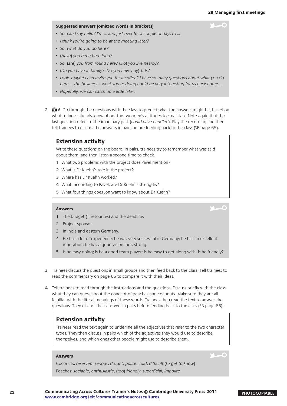#### **Suggested answers (omitted words in brackets)**

- So, can I say hello? I'm … and just over for a couple of days to …
- I think you're going to be at the meeting later?
- So, what do you do here?
- (Have) you been here long?
- So, (are) you from round here? (Do) you live nearby?
- (Do you have a) family? (Do you have any) kids?
- Look, maybe I can invite you for a coffee? I have so many questions about what you do here … the business – what you're doing could be very interesting for us back home …
- Hopefully, we can catch up a little later.
- **2 6** Go through the questions with the class to predict what the answers might be, based on what trainees already know about the two men's attitudes to small talk. Note again that the last question refers to the imaginary past (could have handled). Play the recording and then tell trainees to discuss the answers in pairs before feeding back to the class (SB page 65).

#### **Extension activity**

Write these questions on the board. In pairs, trainees try to remember what was said about them, and then listen a second time to check.

- **1** What two problems with the project does Pavel mention?
- **2** What is Dr Kuehn's role in the project?
- **3** Where has Dr Kuehn worked?
- **4** What, according to Pavel, are Dr Kuehn's strengths?
- **5** What four things does Jon want to know about Dr Kuehn?

#### **Answers**

- 1 The budget (= resources) and the deadline.
- 2 Project sponsor.
- 3 In India and eastern Germany.
- 4 He has a lot of experience; he was very successful in Germany; he has an excellent reputation; he has a good vision; he's strong.
- 5 Is he easy going; is he a good team player; is he easy to get along with; is he friendly?
- **3** Trainees discuss the questions in small groups and then feed back to the class. Tell trainees to read the commentary on page 66 to compare it with their ideas.
- **4** Tell trainees to read through the instructions and the questions. Discuss briefly with the class what they can guess about the concept of peaches and coconuts. Make sure they are all familiar with the literal meanings of these words. Trainees then read the text to answer the questions. They discuss their answers in pairs before feeding back to the class (SB page 66).

#### **Extension activity**

Trainees read the text again to underline all the adjectives that refer to the two character types. They then discuss in pairs which of the adjectives they would use to describe themselves, and which ones other people might use to describe them.

#### **Answers**

 $\overline{\phantom{0}}$ 

'n

Coconuts: reserved, serious, distant, polite, cold, difficult (to get to know) Peaches: sociable, enthusiastic, (too) friendly, superficial, impolite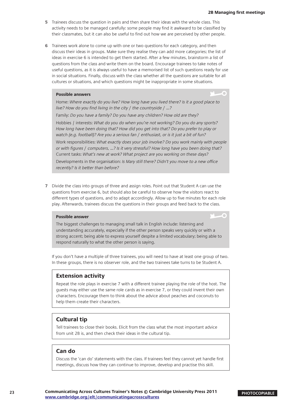œ

- **5** Trainees discuss the question in pairs and then share their ideas with the whole class. This activity needs to be managed carefully: some people may find it awkward to be classified by their classmates, but it can also be useful to find out how we are perceived by other people.
- **6** Trainees work alone to come up with one or two questions for each category, and then discuss their ideas in groups. Make sure they realise they can add more categories; the list of ideas in exercise 6 is intended to get them started. After a few minutes, brainstorm a list of questions from the class and write them on the board. Encourage trainees to take notes of useful questions, as it is always useful to have a memorised list of such questions ready for use in social situations. Finally, discuss with the class whether all the questions are suitable for all cultures or situations, and which questions might be inappropriate in some situations.

#### **Possible answers**

Home: Where exactly do you live? How long have you lived there? Is it a good place to live? How do you find living in the city / the countryside / …?

Family: Do you have a family? Do you have any children? How old are they?

Hobbies / interests: What do you do when you're not working? Do you do any sports? How long have been doing that? How did you get into that? Do you prefer to play or watch (e.g. football)? Are you a serious fan / enthusiast, or is it just a bit of fun?

Work responsibilities: What exactly does your job involve? Do you work mainly with people or with figures / computers, …? Is it very stressful? How long have you been doing that? Current tasks: What's new at work? What project are you working on these days?

Developments in the organisation: Is Mary still there? Didn't you move to a new office recently? Is it better than before?

**7** Divide the class into groups of three and assign roles. Point out that Student A can use the questions from exercise 6, but should also be careful to observe how the visitors react to different types of questions, and to adapt accordingly. Allow up to five minutes for each role play. Afterwards, trainees discuss the questions in their groups and feed back to the class.

#### **Possible answer**

The biggest challenges to managing small talk in English include: listening and understanding accurately, especially if the other person speaks very quickly or with a strong accent; being able to express yourself despite a limited vocabulary; being able to respond naturally to what the other person is saying.

If you don't have a multiple of three trainees, you will need to have at least one group of two. In these groups, there is no observer role, and the two trainees take turns to be Student A.

#### **Extension activity**

Repeat the role plays in exercise 7 with a different trainee playing the role of the host. The guests may either use the same role cards as in exercise 7, or they could invent their own characters. Encourage them to think about the advice about peaches and coconuts to help them create their characters.

#### **Cultural tip**

Tell trainees to close their books. Elicit from the class what the most important advice from unit 2B is, and then check their ideas in the cultural tip.

#### **Can do**

Discuss the 'can do' statements with the class. If trainees feel they cannot yet handle first meetings, discuss how they can continue to improve, develop and practise this skill.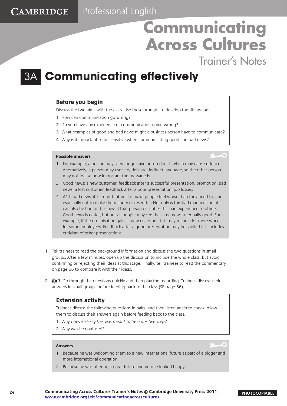Trainer's Notes

r

### 3A **Communicating effectively**

#### **Before you begin**

CAMBRIDGE

Discuss the two aims with the class. Use these prompts to develop the discussion:

- **1** How can communication go wrong?
- **2** Do you have any experience of communication going wrong?
- **3** What examples of good and bad news might a business person have to communicate?
- **4** Why is it important to be sensitive when communicating good and bad news?

#### **Possible answers**

- 1 For example, a person may seem aggressive or too direct, which may cause offence. Alternatively, a person may use very delicate, indirect language, so the other person may not realise how important the message is.
- 3 Good news: a new customer, feedback after a successful presentation, promotion. Bad news: a lost customer, feedback after a poor presentation, job losses.
- 4 With bad news, it is important not to make people feel worse than they need to, and especially not to make them angry or resentful. Not only is this bad manners, but it can also be bad for business if that person describes this bad experience to others. Good news is easier, but not all people may see the same news as equally good. For example, if the organisation gains a new customer, this may mean a lot more work for some employees. Feedback after a good presentation may be spoiled if it includes criticism of other presentations.
- **1** Tell trainees to read the background information and discuss the two questions in small groups. After a few minutes, open up the discussion to include the whole class, but avoid confirming or rejecting their ideas at this stage. Finally, tell trainees to read the commentary on page 66 to compare it with their ideas.
- **2 1** Go through the questions quickly and then play the recording. Trainees discuss their answers in small groups before feeding back to the class (SB page 66).

#### **Extension activity**

Trainees discuss the following questions in pairs, and then listen again to check. Allow them to discuss their answers again before feeding back to the class.

- **1** Why does José say this was meant to be a positive step?
- **2** Why was he confused?

#### **Answers**

- 1 Because he was welcoming them to a new international future as part of a bigger and more international operation.
- 2 Because he was offering a great future and no one looked happy.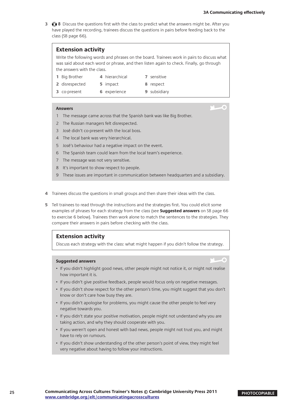O

**3 8** Discuss the questions first with the class to predict what the answers might be. After you have played the recording, trainees discuss the questions in pairs before feeding back to the class (SB page 66).

| <b>Extension activity</b>                                                                                                                                                                                            |                |              |  |  |  |
|----------------------------------------------------------------------------------------------------------------------------------------------------------------------------------------------------------------------|----------------|--------------|--|--|--|
| Write the following words and phrases on the board. Trainees work in pairs to discuss what<br>was said about each word or phrase, and then listen again to check. Finally, go through<br>the answers with the class. |                |              |  |  |  |
| 1 Big Brother                                                                                                                                                                                                        | 4 hierarchical | 7 sensitive  |  |  |  |
| 2 disrespected                                                                                                                                                                                                       | 5 impact       | 8 respect    |  |  |  |
| co-present<br>3.                                                                                                                                                                                                     | 6 experience   | 9 subsidiary |  |  |  |
|                                                                                                                                                                                                                      |                |              |  |  |  |

#### **Answers**

- 1 The message came across that the Spanish bank was like Big Brother.
- 2 The Russian managers felt disrespected.
- 3 José didn't co-present with the local boss.
- 4 The local bank was very hierarchical.
- 5 José's behaviour had a negative impact on the event.
- 6 The Spanish team could learn from the local team's experience.
- 7 The message was not very sensitive.
- 8 It's important to show respect to people.
- 9 These issues are important in communication between headquarters and a subsidiary.
- **4** Trainees discuss the questions in small groups and then share their ideas with the class.
- **5** Tell trainees to read through the instructions and the strategies first. You could elicit some examples of phrases for each strategy from the class (see **Suggested answers** on SB page 66 to exercise 6 below). Trainees then work alone to match the sentences to the strategies. They compare their answers in pairs before checking with the class.

#### **Extension activity**

Discuss each strategy with the class: what might happen if you didn't follow the strategy.

#### **Suggested answers**

- If you didn't highlight good news, other people might not notice it, or might not realise how important it is.
- If you didn't give positive feedback, people would focus only on negative messages.
- If you didn't show respect for the other person's time, you might suggest that you don't know or don't care how busy they are.
- If you didn't apologise for problems, you might cause the other people to feel very negative towards you.
- If you didn't state your positive motivation, people might not understand why you are taking action, and why they should cooperate with you.
- If you weren't open and honest with bad news, people might not trust you, and might have to rely on rumours.
- If you didn't show understanding of the other person's point of view, they might feel very negative about having to follow your instructions.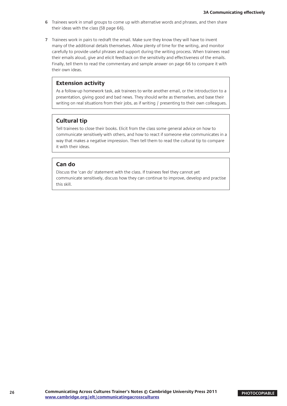- **6** Trainees work in small groups to come up with alternative words and phrases, and then share their ideas with the class (SB page 66).
- **7** Trainees work in pairs to redraft the email. Make sure they know they will have to invent many of the additional details themselves. Allow plenty of time for the writing, and monitor carefully to provide useful phrases and support during the writing process. When trainees read their emails aloud, give and elicit feedback on the sensitivity and effectiveness of the emails. Finally, tell them to read the commentary and sample answer on page 66 to compare it with their own ideas.

#### **Extension activity**

As a follow-up homework task, ask trainees to write another email, or the introduction to a presentation, giving good and bad news. They should write as themselves, and base their writing on real situations from their jobs, as if writing / presenting to their own colleagues.

#### **Cultural tip**

Tell trainees to close their books. Elicit from the class some general advice on how to communicate sensitively with others, and how to react if someone else communicates in a way that makes a negative impression. Then tell them to read the cultural tip to compare it with their ideas.

#### **Can do**

Discuss the 'can do' statement with the class. If trainees feel they cannot yet communicate sensitively, discuss how they can continue to improve, develop and practise this skill.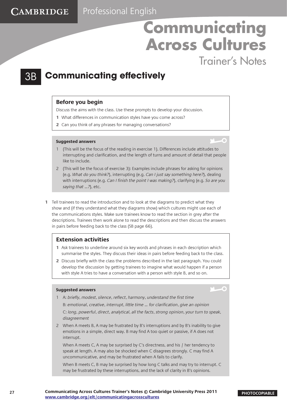Trainer's Notes

### **Communicating effectively**

#### **Before you begin**

**CAMBRIDGE** 

Discuss the aims with the class. Use these prompts to develop your discussion.

- **1** What differences in communication styles have you come across?
- **2** Can you think of any phrases for managing conversations?

#### **Suggested answers**

- 1 (This will be the focus of the reading in exercise 1). Differences include attitudes to interrupting and clarification, and the length of turns and amount of detail that people like to include.
- 2 (This will be the focus of exercise 3): Examples include phrases for asking for opinions (e.g. What do you think?), interrupting (e.g. Can I just say something here?), dealing with interruptions (e.g. *Can I finish the point I was making?*), clarifying (e.g. *So are you* saying that ...?), etc.
- **1** Tell trainees to read the introduction and to look at the diagrams to predict what they show and (if they understand what they diagrams show) which cultures might use each of the communications styles. Make sure trainees know to read the section in grey after the descriptions. Trainees then work alone to read the descriptions and then discuss the answers in pairs before feeding back to the class (SB page 66).

#### **Extension activities**

- **1** Ask trainees to underline around six key words and phrases in each description which summarise the styles. They discuss their ideas in pairs before feeding back to the class.
- **2** Discuss briefly with the class the problems described in the last paragraph. You could develop the discussion by getting trainees to imagine what would happen if a person with style A tries to have a conversation with a person with style B, and so on.

#### **Suggested answers**

- 
- 1 A: briefly, modest, silence, reflect, harmony, understand the first time B: emotional, creative, interrupt, little time … for clarification, give an opinion

C: long, powerful, direct, analytical, all the facts, strong opinion, your turn to speak, disagreement

2 When A meets B, A may be frustrated by B's interruptions and by B's inability to give emotions in a simple, direct way. B may find A too quiet or passive, if A does not interrupt.

When A meets C, A may be surprised by C's directness, and his / her tendency to speak at length. A may also be shocked when C disagrees strongly. C may find A uncommunicative, and may be frustrated when A fails to clarify.

When B meets C, B may be surprised by how long C talks and may try to interrupt. C may be frustrated by these interruptions, and the lack of clarity in B's opinions.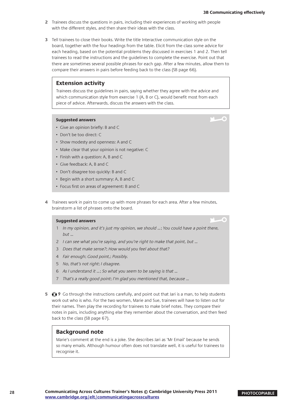×

- **2** Trainees discuss the questions in pairs, including their experiences of working with people with the different styles, and then share their ideas with the class.
- **3** Tell trainees to close their books. Write the title Interactive communication style on the board, together with the four headings from the table. Elicit from the class some advice for each heading, based on the potential problems they discussed in exercises 1 and 2. Then tell trainees to read the instructions and the guidelines to complete the exercise. Point out that there are sometimes several possible phrases for each gap. After a few minutes, allow them to compare their answers in pairs before feeding back to the class (SB page 66).

#### **Extension activity**

Trainees discuss the guidelines in pairs, saying whether they agree with the advice and which communication style from exercise 1 (A, B or C), would benefit most from each piece of advice. Afterwards, discuss the answers with the class.

#### **Suggested answers**

- Give an opinion briefly: B and C
- Don't be too direct: C
- Show modesty and openness: A and C
- Make clear that your opinion is not negative: C
- Finish with a question: A, B and C
- Give feedback: A, B and C
- Don't disagree too quickly: B and C
- Begin with a short summary: A, B and C
- Focus first on areas of agreement: B and C
- **4** Trainees work in pairs to come up with more phrases for each area. After a few minutes, brainstorm a list of phrases onto the board.

#### **Suggested answers**

- 1 In my opinion, and it's just my opinion, we should …; You could have a point there,  $but$ ...
- 2 I can see what you're saying, and you're right to make that point, but ...
- 3 Does that make sense?; How would you feel about that?
- 4 Fair enough; Good point,; Possibly.
- 5 No, that's not right; I disagree.
- 6 As I understand it ...; So what you seem to be saying is that ...
- 7 That's a really good point; I'm glad you mentioned that, because ...
- **5 9** Go through the instructions carefully, and point out that Jari is a man, to help students work out who is who. For the two women, Marie and Sue, trainees will have to listen out for their names. Then play the recording for trainees to make brief notes. They compare their notes in pairs, including anything else they remember about the conversation, and then feed back to the class (SB page 67).

#### **Background note**

Marie's comment at the end is a joke. She describes Jari as 'Mr Email' because he sends so many emails. Although humour often does not translate well, it is useful for trainees to recognise it.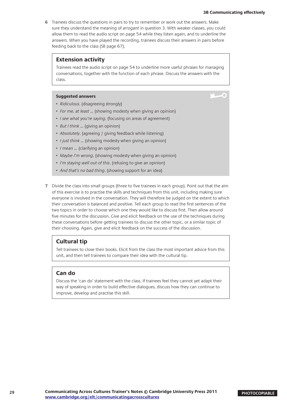**6** Trainees discuss the questions in pairs to try to remember or work out the answers. Make sure they understand the meaning of arrogant in question 3. With weaker classes, you could allow them to read the audio script on page 54 while they listen again, and to underline the answers. When you have played the recording, trainees discuss their answers in pairs before feeding back to the class (SB page 67).

#### **Extension activity**

Trainees read the audio script on page 54 to underline more useful phrases for managing conversations, together with the function of each phrase. Discuss the answers with the class.

#### **Suggested answers**

- Ridiculous. (disagreeing strongly)
- For me, at least ... (showing modesty when giving an opinion)
- I see what you're saying. (focusing on areas of agreement)
- *But I think ...* (giving an opinion)
- Absolutely. (agreeing / giving feedback while listening)
- I just think ... (showing modesty when giving an opinion)
- I mean ... (clarifying an opinion)
- Maybe I'm wrong. (showing modesty when giving an opinion)
- I'm staying well out of this. (refusing to give an opinion)
- And that's no bad thing. (showing support for an idea)
- **7** Divide the class into small groups (three to five trainees in each group). Point out that the aim of this exercise is to practise the skills and techniques from this unit, including making sure everyone is involved in the conversation. They will therefore be judged on the extent to which their conversation is balanced and positive. Tell each group to read the first sentences of the two topics in order to choose which one they would like to discuss first. Then allow around five minutes for the discussion. Give and elicit feedback on the use of the techniques during these conversations before getting trainees to discuss the other topic, or a similar topic of their choosing. Again, give and elicit feedback on the success of the discussion.

#### **Cultural tip**

Tell trainees to close their books. Elicit from the class the most important advice from this unit, and then tell trainees to compare their idea with the cultural tip.

#### **Can do**

Discuss the 'can do' statement with the class. If trainees feel they cannot yet adapt their way of speaking in order to build effective dialogues, discuss how they can continue to improve, develop and practise this skill.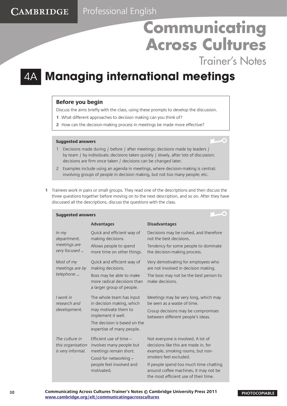Trainer's Notes

F

### 4A **Managing international meetings**

#### **Before you begin**

**CAMBRIDGE** 

Discuss the aims briefly with the class, using these prompts to develop the discussion.

- **1** What different approaches to decision making can you think of?
- **2** How can the decision-making process in meetings be made more effective?

#### **Suggested answers**

- 1 Decisions made during / before / after meetings; decisions made by leaders / by team / by individuals; decisions taken quickly / slowly, after lots of discussion; decisions are firm once taken / decisions can be changed later.
- 2 Examples include using an agenda in meetings, where decision-making is central; involving groups of people in decision making, but not too many people; etc.
- **1** Trainees work in pairs or small groups. They read one of the descriptions and then discuss the three questions together before moving on to the next description, and so on. After they have discussed all the descriptions, discuss the questions with the class.

| <b>Suggested answers</b>                                 |                                                                                                     |                                                                                                                          |  |
|----------------------------------------------------------|-----------------------------------------------------------------------------------------------------|--------------------------------------------------------------------------------------------------------------------------|--|
|                                                          | <b>Advantages</b>                                                                                   | <b>Disadvantages</b>                                                                                                     |  |
| $ln$ my<br>department,<br>meetings are<br>very focused   | Quick and efficient way of<br>making decisions.                                                     | Decisions may be rushed, and therefore<br>not the best decisions.                                                        |  |
|                                                          | Allows people to spend<br>more time on other things.                                                | Tendency for some people to dominate<br>the decision-making process.                                                     |  |
| Most of my<br>meetings are by<br>telephone               | Quick and efficient way of<br>making decisions.                                                     | Very demotivating for employees who<br>are not involved in decision making.                                              |  |
|                                                          | Boss may be able to make<br>more radical decisions than<br>a larger group of people.                | The boss may not be the best person to<br>make decisions.                                                                |  |
| I work in<br>research and<br>development.                | The whole team has input<br>in decision making, which<br>may motivate them to<br>implement it well. | Meetings may be very long, which may<br>be seen as a waste of time.                                                      |  |
|                                                          |                                                                                                     | Group decisions may be compromises<br>between different people's ideas.                                                  |  |
|                                                          | The decision is based on the<br>expertise of many people.                                           |                                                                                                                          |  |
| The culture in<br>this organisation<br>is very informal. | Efficient use of time -<br>involves many people but                                                 | Not everyone is involved. A lot of<br>decisions like this are made in, for                                               |  |
|                                                          | meetings remain short.<br>Good for networking -<br>people feel involved and<br>motivated.           | example, smoking rooms, but non-<br>smokers feel excluded.                                                               |  |
|                                                          |                                                                                                     | If people spend too much time chatting<br>around coffee machines, it may not be<br>the most efficient use of their time. |  |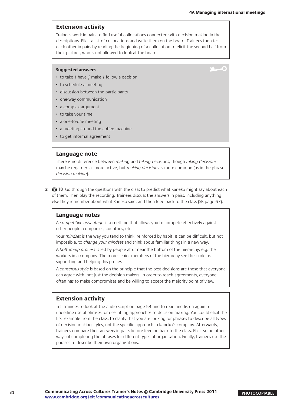×

#### **Extension activity**

Trainees work in pairs to find useful collocations connected with decision making in the descriptions. Elicit a list of collocations and write them on the board. Trainees then test each other in pairs by reading the beginning of a collocation to elicit the second half from their partner, who is not allowed to look at the board.

#### **Suggested answers**

- to take / have / make / follow a decision
- to schedule a meeting
- discussion between the participants
- one-way communication
- a complex argument
- to take your time
- a one-to-one meeting
- a meeting around the coffee machine
- to get informal agreement

#### **Language note**

There is no difference between making and taking decisions, though taking decisions may be regarded as more active, but *making decisions* is more common (as in the phrase decision making).

**2 10** Go through the questions with the class to predict what Kaneko might say about each of them. Then play the recording. Trainees discuss the answers in pairs, including anything else they remember about what Kaneko said, and then feed back to the class (SB page 67).

#### **Language notes**

A competitive advantage is something that allows you to compete effectively against other people, companies, countries, etc.

Your *mindset* is the way you tend to think, reinforced by habit. It can be difficult, but not impossible, to *change your mindset* and think about familiar things in a new way.

A bottom-up process is led by people at or near the bottom of the hierarchy, e.g. the workers in a company. The more senior members of the hierarchy see their role as supporting and helping this process.

A consensus style is based on the principle that the best decisions are those that everyone can agree with, not just the decision makers. In order to reach agreements, everyone often has to make compromises and be willing to accept the majority point of view.

#### **Extension activity**

Tell trainees to look at the audio script on page 54 and to read and listen again to underline useful phrases for describing approaches to decision making. You could elicit the first example from the class, to clarify that you are looking for phrases to describe all types of decision-making styles, not the specific approach in Kaneko's company. Afterwards, trainees compare their answers in pairs before feeding back to the class. Elicit some other ways of completing the phrases for different types of organisation. Finally, trainees use the phrases to describe their own organisations.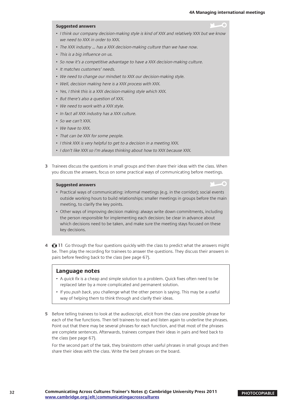#### **Suggested answers**  • I think our company decision-making style is kind of XXX and relatively XXX but we know we need to XXX in order to XXX. • The XXX industry ... has a XXX decision-making culture than we have now. • This is a big influence on us. • So now it's a competitive advantage to have a XXX decision-making culture. • It matches customers' needs. • We need to change our mindset to XXX our decision-making style. • Well, decision making here is a XXX process with XXX. • Yes, I think this is a XXX decision-making style which XXX. • But there's also a question of XXX. • We need to work with a XXX style. • In fact all XXX industry has a XXX culture.

- So we can't XXX.
- We have to XXX.
- That can be XXX for some people.
- I think XXX is very helpful to get to a decision in a meeting XXX.
- I don't like XXX so I'm always thinking about how to XXX because XXX.
- **3** Trainees discuss the questions in small groups and then share their ideas with the class. When you discuss the answers, focus on some practical ways of communicating before meetings.

#### **Suggested answers**

- Practical ways of communicating: informal meetings (e.g. in the corridor); social events outside working hours to build relationships; smaller meetings in groups before the main meeting, to clarify the key points.
- Other ways of improving decision making: always write down commitments, including the person responsible for implementing each decision; be clear in advance about which decisions need to be taken, and make sure the meeting stays focused on these key decisions.
- **4 11** Go through the four questions quickly with the class to predict what the answers might be. Then play the recording for trainees to answer the questions. They discuss their answers in pairs before feeding back to the class (see page 67).

#### **Language notes**

- A quick fix is a cheap and simple solution to a problem. Quick fixes often need to be replaced later by a more complicated and permanent solution.
- If you push back, you challenge what the other person is saying. This may be a useful way of helping them to think through and clarify their ideas.
- **5** Before telling trainees to look at the audioscript, elicit from the class one possible phrase for each of the five functions. Then tell trainees to read and listen again to underline the phrases. Point out that there may be several phrases for each function, and that most of the phrases are complete sentences. Afterwards, trainees compare their ideas in pairs and feed back to the class (see page 67).

For the second part of the task, they brainstorm other useful phrases in small groups and then share their ideas with the class. Write the best phrases on the board.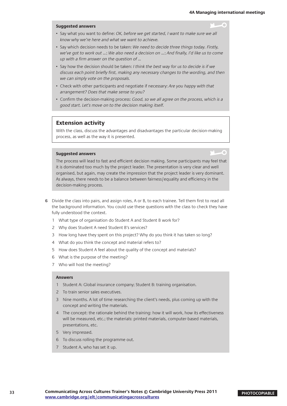G

#### **Suggested answers**

- Say what you want to define: OK, before we get started, I want to make sure we all know why we're here and what we want to achieve.
- Say which decision needs to be taken: We need to decide three things today. Firstly, we've got to work out …; We also need a decision on …; And finally, I'd like us to come up with a firm answer on the question of …
- Say how the decision should be taken: I think the best way for us to decide is if we discuss each point briefly first, making any necessary changes to the wording, and then we can simply vote on the proposals.
- Check with other participants and negotiate if necessary: Are you happy with that arrangement? Does that make sense to you?
- Confirm the decision-making process: Good, so we all agree on the process, which is a good start. Let's move on to the decision making itself.

#### **Extension activity**

With the class, discuss the advantages and disadvantages the particular decision-making process, as well as the way it is presented.

#### **Suggested answers**

The process will lead to fast and efficient decision making. Some participants may feel that it is dominated too much by the project leader. The presentation is very clear and well organised, but again, may create the impression that the project leader is very dominant. As always, there needs to be a balance between fairness/equality and efficiency in the decision-making process.

- **6** Divide the class into pairs, and assign roles, A or B, to each trainee. Tell them first to read all the background information. You could use these questions with the class to check they have fully understood the context.
	- 1 What type of organisation do Student A and Student B work for?
	- 2 Why does Student A need Student B's services?
	- 3 How long have they spent on this project? Why do you think it has taken so long?
	- 4 What do you think the concept and material refers to?
	- 5 How does Student A feel about the quality of the concept and materials?
	- 6 What is the purpose of the meeting?
	- 7 Who will host the meeting?

#### **Answers**

- 1 Student A: Global insurance company; Student B: training organisation.
- 2 To train senior sales executives.
- 3 Nine months. A lot of time researching the client's needs, plus coming up with the concept and writing the materials.
- 4 The concept: the rationale behind the training: how it will work, how its effectiveness will be measured, etc.; the materials: printed materials, computer-based materials, presentations, etc.
- 5 Very impressed.
- 6 To discuss rolling the programme out.
- 7 Student A, who has set it up.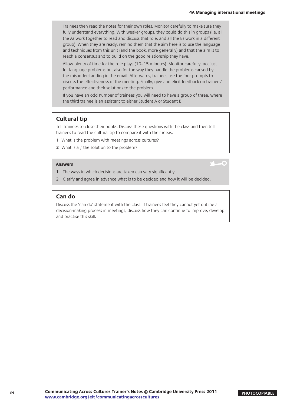Trainees then read the notes for their own roles. Monitor carefully to make sure they fully understand everything. With weaker groups, they could do this in groups (i.e. all the As work together to read and discuss that role, and all the Bs work in a different group). When they are ready, remind them that the aim here is to use the language and techniques from this unit (and the book, more generally) and that the aim is to reach a consensus and to build on the good relationship they have.

Allow plenty of time for the role plays (10–15 minutes). Monitor carefully, not just for language problems but also for the way they handle the problems caused by the misunderstanding in the email. Afterwards, trainees use the four prompts to discuss the effectiveness of the meeting. Finally, give and elicit feedback on trainees' performance and their solutions to the problem.

If you have an odd number of trainees you will need to have a group of three, where the third trainee is an assistant to either Student A or Student B.

#### **Cultural tip**

Tell trainees to close their books. Discuss these questions with the class and then tell trainees to read the cultural tip to compare it with their ideas.

- **1** What is the problem with meetings across cultures?
- **2** What is a / the solution to the problem?

#### **Answers**

- 1 The ways in which decisions are taken can vary significantly.
- 2 Clarify and agree in advance what is to be decided and how it will be decided.

#### **Can do**

Discuss the 'can do' statement with the class. If trainees feel they cannot yet outline a decision-making process in meetings, discuss how they can continue to improve, develop and practise this skill.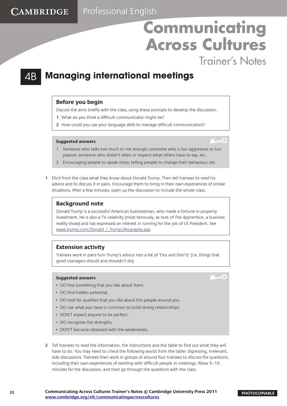Trainer's Notes

G

### 4B **Managing international meetings**

#### **Before you begin**

CAMBRIDGE

Discuss the aims briefly with the class, using these prompts to develop the discussion.

- **1** What do you think a difficult communicator might be?
- **2** How could you use your language skills to manage difficult communicators?

#### **Suggested answers**

- 1 Someone who talks too much or not enough; someone who is too aggressive or too passive; someone who doesn't listen or respect what others have to say, etc.
- 2 Encouraging people to speak more; telling people to change their behaviour, etc.
- **1** Elicit from the class what they know about Donald Trump. Then tell trainees to read his advice and to discuss it in pairs. Encourage them to bring in their own experiences of similar situations. After a few minutes, open up the discussion to include the whole class.

#### **Background note**

Donald Trump is a successful American businessman, who made a fortune in property investment. He is also a TV celebrity (most famously, as host of The Apprentice, a business reality show) and has expressed an interest in running for the job of US President. See www.trump.com/Donald J\_Trump/Biography.asp.

#### **Extension activity**

Trainees work in pairs turn Trump's advice into a list of 'Dos and Don'ts' (i.e. things that good managers should and shouldn't do).

#### **Suggested answers**

- DO find something that you like about them.
- DO find hidden potential.
- DO look for qualities that you like about the people around you.
- DO use what you have in common to build strong relationships.
- DON'T expect anyone to be perfect.
- DO recognise the strengths.
- DON'T become obsessed with the weaknesses.
- **2** Tell trainees to read the information, the instructions and the table to find out what they will have to do. You may need to check the following words from the table: digressing, irrelevant, side discussions. Trainees then work in groups of around four trainees to discuss the questions, including their own experiences of working with difficult people in meetings. Allow 5–10 minutes for the discussion, and then go through the questions with the class.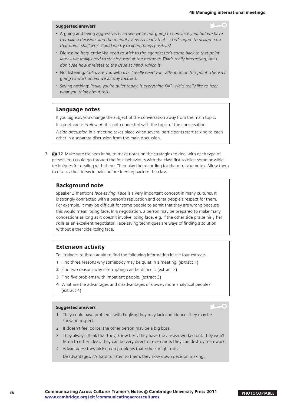#### **Suggested answers**

- Arguing and being aggressive: I can see we're not going to convince you, but we have to make a decision, and the majority view is clearly that …; Let's agree to disagree on that point, shall we?; Could we try to keep things positive?
- Digressing frequently: We need to stick to the agenda; Let's come back to that point later – we really need to stay focused at the moment; That's really interesting, but I don't see how it relates to the issue at hand, which is …
- Not listening: Colin, are you with us?; I really need your attention on this point; This isn't going to work unless we all stay focused.
- Saying nothing: Paula, you're quiet today. Is everything OK?; We'd really like to hear what you think about this.

#### **Language notes**

If you *digress*, you change the subject of the conversation away from the main topic. If something is *irrelevant*, it is not connected with the topic of the conversation.

A side discussion in a meeting takes place when several participants start talking to each other in a separate discussion from the main discussion.

**3 12** Make sure trainees know to make notes on the strategies to deal with each type of person. You could go through the four behaviours with the class first to elicit some possible techniques for dealing with them. Then play the recording for them to take notes. Allow them to discuss their ideas in pairs before feeding back to the class.

#### **Background note**

Speaker 3 mentions face-saving. Face is a very important concept in many cultures. It is strongly connected with a person's reputation and other people's respect for them. For example, it may be difficult for some people to admit that they are wrong because this would mean losing face. In a negotiation, a person may be prepared to make many concessions as long as it doesn't involve losing face, e.g. if the other side praise his / her skills as an excellent negotiator. Face-saving techniques are ways of finding a solution without either side losing face.

#### **Extension activity**

Tell trainees to listen again to find the following information in the four extracts.

- **1** Find three reasons why somebody may be quiet in a meeting. (extract 1)
- **2** Find two reasons why interrupting can be difficult. (extract 2)
- **3** Find five problems with impatient people. (extract 3)
- **4** What are the advantages and disadvantages of slower, more analytical people? (extract 4)

#### **Suggested answers**

- 1 They could have problems with English; they may lack confidence; they may be showing respect.
- 2 It doesn't feel polite; the other person may be a big boss.
- 3 They always (think that they) know best; they have the answer worked out; they won't listen to other ideas; they can be very direct or even rude; they can destroy teamwork.
- 4 Advantages: they pick up on problems that others might miss. Disadvantages: it's hard to listen to them; they slow down decision making.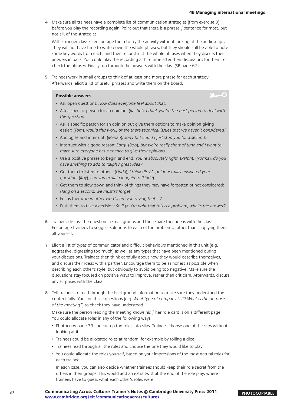. C

**4** Make sure all trainees have a complete list of communication strategies (from exercise 3) before you play the recording again. Point out that there is a phrase / sentence for most, but not all, of the strategies.

With stronger classes, encourage them to try the activity without looking at the audioscript. They will not have time to write down the whole phrases, but they should still be able to note some key words from each, and then reconstruct the whole phrases when they discuss their answers in pairs. You could play the recording a third time after their discussions for them to check the phrases. Finally, go through the answers with the class (SB page 67).

**5** Trainees work in small groups to think of at least one more phrase for each strategy. Afterwards, elicit a list of useful phrases and write them on the board.

#### **Possible answers**

- Ask open questions: How does everyone feel about that?
- Ask a specific person for an opinion: (Rachel), I think you're the best person to deal with this question.
- Ask a specific person for an opinion but give them options to make opinion giving easier: (Tom), would this work, or are there technical issues that we haven't considered?
- Apologise and interrupt: (Marian), sorry but could I just stop you for a second?
- Interrupt with a good reason: Sorry, (Bob), but we're really short of time and I want to make sure everyone has a chance to give their opinions.
- Use a positive phrase to begin and end: You're absolutely right, (Ralph). (Norma), do you have anything to add to Ralph's great idea?
- Get them to listen to others: (Linda), I think (Roy)'s point actually answered your question. (Roy), can you explain it again to (Linda).
- Get them to slow down and think of things they may have forgotten or not considered: Hang on a second, we mustn't forget …
- Focus them: So in other words, are you saying that …?
- Push them to take a decision: So if you're right that this is a problem, what's the answer?
- **6** Trainees discuss the question in small groups and then share their ideas with the class. Encourage trainees to suggest solutions to each of the problems, rather than supplying them all yourself.
- **7** Elicit a list of types of communicator and difficult behaviours mentioned in this unit (e.g. aggressive, digressing too much) as well as any types that have been mentioned during your discussions. Trainees then think carefully about how they would describe themselves, and discuss their ideas with a partner. Encourage them to be as honest as possible when describing each other's style, but obviously to avoid being too negative. Make sure the discussions stay focused on positive ways to improve, rather than criticism. Afterwards, discuss any surprises with the class.
- **8** Tell trainees to read through the background information to make sure they understand the context fully. You could use questions (e.g. What type of company is it? What is the purpose of the meeting?) to check they have understood.

Make sure the person leading the meeting knows his / her role card is on a different page. You could allocate roles in any of the following ways.

- Photocopy page 79 and cut up the roles into slips. Trainees choose one of the slips without looking at it.
- Trainees could be allocated roles at random, for example by rolling a dice.
- Trainees read through all the roles and choose the one they would like to play.
- • You could allocate the roles yourself, based on your impressions of the most natural roles for each trainee.

In each case, you can also decide whether trainees should keep their role secret from the others in their groups. This would add an extra twist at the end of the role play, where trainees have to guess what each other's roles were.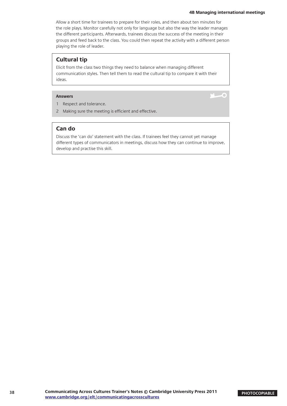#### **4B Managing international meetings**

C

Allow a short time for trainees to prepare for their roles, and then about ten minutes for the role plays. Monitor carefully not only for language but also the way the leader manages the different participants. Afterwards, trainees discuss the success of the meeting in their groups and feed back to the class. You could then repeat the activity with a different person playing the role of leader.

#### **Cultural tip**

Elicit from the class two things they need to balance when managing different communication styles. Then tell them to read the cultural tip to compare it with their ideas.

#### **Answers**

- 1 Respect and tolerance.
- 2 Making sure the meeting is efficient and effective.

#### **Can do**

Discuss the 'can do' statement with the class. If trainees feel they cannot yet manage different types of communicators in meetings, discuss how they can continue to improve, develop and practise this skill.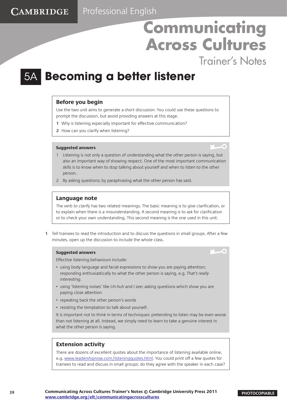Trainer's Notes

 $\overline{\phantom{0}}$ 

ò

### **Becoming a better listener**

#### **Before you begin**

CAMBRIDGE

Use the two unit aims to generate a short discussion. You could use these questions to prompt the discussion, but avoid providing answers at this stage.

- **1** Why is listening especially important for effective communication?
- **2** How can you clarify when listening?

#### **Suggested answers**

- 1 Listening is not only a question of understanding what the other person is saying, but also an important way of showing respect. One of the most important communication skills is to know when to stop talking about yourself and when to listen to the other person.
- 2 By asking questions; by paraphrasing what the other person has said.

#### **Language note**

The verb to clarify has two related meanings. The basic meaning is to give clarification, or to explain when there is a misunderstanding. A second meaning is to ask for clarification or to check your own understanding. This second meaning is the one used in this unit.

**1** Tell trainees to read the introduction and to discuss the questions in small groups. After a few minutes, open up the discussion to include the whole class.

#### **Suggested answers**

Effective listening behaviours include:

- using body language and facial expressions to show you are paying attention; responding enthusiastically to what the other person is saying, e.g. That's really interesting.
- using 'listening noises' like Uh-huh and I see; asking questions which show you are paying close attention
- repeating back the other person's words
- resisting the temptation to talk about yourself.

It is important not to think in terms of techniques: pretending to listen may be even worse than not listening at all. Instead, we simply need to learn to take a genuine interest in what the other person is saying.

#### **Extension activity**

There are dozens of excellent quotes about the importance of listening available online, e.g. [www.leadershipnow.com/listeningquotes.html.](http://www.leadershipnow.com/listeningquotes.html) You could print off a few quotes for trainees to read and discuss in small groups: do they agree with the speaker in each case?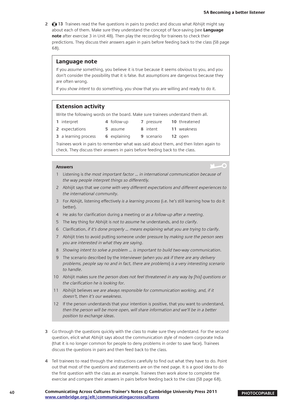**2 13** Trainees read the five questions in pairs to predict and discuss what Abhijit might say about each of them. Make sure they understand the concept of face-saving (see **Language note** after exercise 3 in Unit 4B). Then play the recording for trainees to check their predictions. They discuss their answers again in pairs before feeding back to the class (SB page 68).

#### **Language note**

If you assume something, you believe it is true because it seems obvious to you, and you don't consider the possibility that it is false. But assumptions are dangerous because they are often wrong.

If you show intent to do something, you show that you are willing and ready to do it.

#### **Extension activity**

Write the following words on the board. Make sure trainees understand them all.

- **1** interpret **4** follow-up **7** pressure **10** threatened **2** expectations **5** assume **8** intent **11** weakness
	- **3** a learning process **6** explaining **9** scenario **12** open

Trainees work in pairs to remember what was said about them, and then listen again to check. They discuss their answers in pairs before feeding back to the class.

#### **Answers**

- 1 Listening is the most important factor … in international communication because of the way people interpret things so differently.
- 2 Abhijit says that we come with very different expectations and different experiences to the international community.
- 3 For Abhijit, listening effectively is a learning process (i.e. he's still learning how to do it better).
- 4 He asks for clarification during a meeting or as a follow-up after a meeting.
- 5 The key thing for Abhijit is not to assume he understands, and to clarify.
- 6 Clarification, if it's done properly … means explaining what you are trying to clarify.
- 7 Abhijit tries to avoid putting someone under pressure by making sure the person sees you are interested in what they are saying.
- 8 Showing intent to solve a problem … is important to build two-way communication.
- 9 The scenario described by the Interviewer (when you ask if there are any delivery problems, people say no and in fact, there are problems) is a very interesting scenario to handle.
- 10 Abhijit makes sure the person does not feel threatened in any way by [his] questions or the clarification he is looking for.
- 11 Abihijit believes we are always responsible for communication working, and, if it doesn't, then it's our weakness.
- 12 If the person understands that your intention is positive, that you want to understand, then the person will be more open, will share information and we'll be in a better position to exchange ideas.
- **3** Go through the questions quickly with the class to make sure they understand. For the second question, elicit what Abhijit says about the communication style of modern corporate India (that it is no longer common for people to deny problems in order to save face). Trainees discuss the questions in pairs and then feed back to the class.
- **4** Tell trainees to read through the instructions carefully to find out what they have to do. Point out that most of the questions and statements are on the next page. It is a good idea to do the first question with the class as an example. Trainees then work alone to complete the exercise and compare their answers in pairs before feeding back to the class (SB page 68).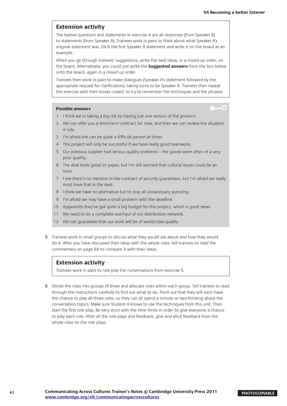$\overline{1}-\overline{0}$ 

#### **Extension activity**

The twelve questions and statements in exercise 4 are all responses (from Speaker B) to statements (from Speaker A). Trainees work in pairs to think about what Speaker A's original statement was. Elicit the first Speaker A statement and write it on the board as an example.

When you go through trainees' suggestions, write the best ideas, in a mixed-up order, on the board. Alternatively, you could just write the **Suggested answers** from the box below onto the board, again in a mixed up order.

Trainees then work in pairs to make dialogues (Speaker A's statement followed by the appropriate request for clarification), taking turns to be Speaker A. Trainees then repeat the exercise with their books closed, to try to remember the techniques and the phrases.

#### **Possible answers**

- 1 I think we're taking a big risk by having just one version of the product.
- 2 We can offer you a short-term contract for now, and then we can review the situation in July.
- 3 I'm afraid she can be quite a difficult person at times.
- 4 This project will only be successful if we have really good teamwork.
- 5 Our previous supplier had serious quality problems the goods were often of a very poor quality.
- 6 The deal looks good on paper, but I'm still worried that cultural issues could be an issue.
- 7 I see there's no mention in the contract of security guarantees, but I'm afraid we really must have that in the deal.
- 8 I think we have no alternative but to stop all unnecessary spending.
- 9 I'm afraid we may have a small problem with the deadline.
- 10 Apparently they've got quite a big budget for this project, which is good news.
- 11 We need to do a complete overhaul of our distribution network.
- 12 We can guarantee that our work will be of world-class quality.
- **5** Trainees work in small groups to discuss what they would ask about and how they would do it. After you have discussed their ideas with the whole class, tell trainees to read the commentary on page 68 to compare it with their ideas.

#### **Extension activity**

Trainees work in pairs to role play the conversations from exercise 5.

**6** Divide the class into groups of three and allocate roles within each group. Tell trainees to read through the instructions carefully to find out what to do. Point out that they will each have the chance to play all three roles, so they can all spend a minute or two thinking about the conversation topics. Make sure Student A knows to use the techniques from this unit. Then start the first role play. Be very strict with the time limits in order to give everyone a chance to play each role. After all the role plays and feedback, give and elicit feedback from the whole class on the role plays.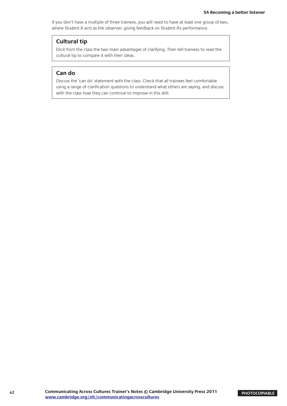If you don't have a multiple of three trainees, you will need to have at least one group of two, where Student B acts as the observer, giving feedback on Student A's performance.

#### **Cultural tip**

Elicit from the class the two main advantages of clarifying. Then tell trainees to read the cultural tip to compare it with their ideas.

#### **Can do**

Discuss the 'can do' statement with the class. Check that all trainees feel comfortable using a range of clarification questions to understand what others are saying, and discuss with the class how they can continue to improve in this skill.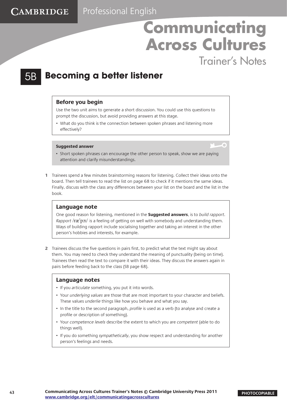Trainer's Notes

F

### 5B **Becoming a better listener**

#### **Before you begin**

**CAMBRIDGE** 

Use the two unit aims to generate a short discussion. You could use this questions to prompt the discussion, but avoid providing answers at this stage.

• What do you think is the connection between spoken phrases and listening more effectively?

#### **Suggested answer**

- Short spoken phrases can encourage the other person to speak, show we are paying attention and clarify misunderstandings.
- **1** Trainees spend a few minutes brainstorming reasons for listening. Collect their ideas onto the board. Then tell trainees to read the list on page 68 to check if it mentions the same ideas. Finally, discuss with the class any differences between your list on the board and the list in the book.

#### **Language note**

One good reason for listening, mentioned in the **Suggested answers**, is to build rapport. Rapport / $r$ æ $'$ pɔː/ is a feeling of getting on well with somebody and understanding them. Ways of building rapport include socialising together and taking an interest in the other person's hobbies and interests, for example.

**2** Trainees discuss the five questions in pairs first, to predict what the text might say about them. You may need to check they understand the meaning of punctuality (being on time). Trainees then read the text to compare it with their ideas. They discuss the answers again in pairs before feeding back to the class (SB page 68).

#### **Language notes**

- If you articulate something, you put it into words.
- Your *underlying values* are those that are most important to your character and beliefs. These values *underlie* things like how you behave and what you say.
- In the title to the second paragraph, profile is used as a verb (to analyse and create a profile or description of something).
- Your competence levels describe the extent to which you are competent (able to do things well).
- If you do something *sympathetically*, you show respect and understanding for another person's feelings and needs.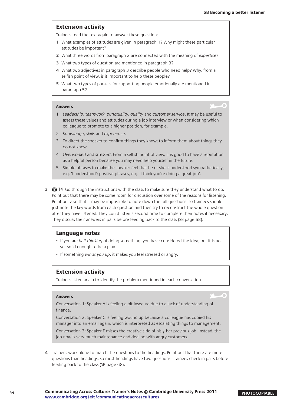#### **Extension activity**

Trainees read the text again to answer these questions.

- **1** What examples of attitudes are given in paragraph 1? Why might these particular attitudes be important?
- **2** What three words from paragraph 2 are connected with the meaning of expertise?
- **3** What two types of question are mentioned in paragraph 3?
- **4** What two adjectives in paragraph 3 describe people who need help? Why, from a selfish point of view, is it important to help these people?
- **5** What two types of phrases for supporting people emotionally are mentioned in paragraph 5?

#### **Answers**

- 1 Leadership, teamwork, punctuality, quality and customer service. It may be useful to assess these values and attitudes during a job interview or when considering which colleague to promote to a higher position, for example.
- 2 Knowledge, skills and experience.
- 3 To direct the speaker to confirm things they know; to inform them about things they do not know.
- 4 Overworked and stressed. From a selfish point of view, it is good to have a reputation as a helpful person because you may need help yourself in the future.
- 5 Simple phrases to make the speaker feel that he or she is understood sympathetically, e.g. 'I understand'; positive phrases, e.g. 'I think you're doing a great job'.
- **3 14** Go through the instructions with the class to make sure they understand what to do. Point out that there may be some room for discussion over some of the reasons for listening. Point out also that it may be impossible to note down the full questions, so trainees should just note the key words from each question and then try to reconstruct the whole question after they have listened. They could listen a second time to complete their notes if necessary. They discuss their answers in pairs before feeding back to the class (SB page 68).

#### **Language notes**

- If you are half-thinking of doing something, you have considered the idea, but it is not yet solid enough to be a plan.
- If something winds you up, it makes you feel stressed or angry.

#### **Extension activity**

Trainees listen again to identify the problem mentioned in each conversation.

#### **Answers**

Conversation 1: Speaker A is feeling a bit insecure due to a lack of understanding of finance.

Conversation 2: Speaker C is feeling wound up because a colleague has copied his manager into an email again, which is interpreted as escalating things to management. Conversation 3: Speaker E misses the creative side of his / her previous job. Instead, the job now is very much maintenance and dealing with angry customers.

**4** Trainees work alone to match the questions to the headings. Point out that there are more questions than headings, so most headings have two questions. Trainees check in pairs before feeding back to the class (SB page 68).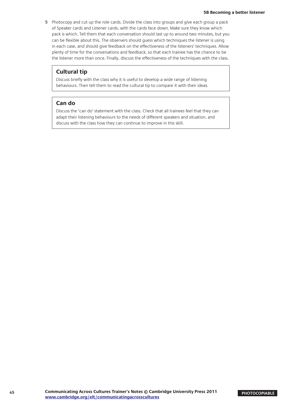**5** Photocopy and cut up the role cards. Divide the class into groups and give each group a pack of Speaker cards and Listener cards, with the cards face down. Make sure they know which pack is which. Tell them that each conversation should last up to around two minutes, but you can be flexible about this. The observers should guess which techniques the listener is using in each case, and should give feedback on the effectiveness of the listeners' techniques. Allow plenty of time for the conversations and feedback, so that each trainee has the chance to be the listener more than once. Finally, discuss the effectiveness of the techniques with the class.

#### **Cultural tip**

Discuss briefly with the class why it is useful to develop a wide range of listening behaviours. Then tell them to read the cultural tip to compare it with their ideas.

#### **Can do**

Discuss the 'can do' statement with the class. Check that all trainees feel that they can adapt their listening behaviours to the needs of different speakers and situation, and discuss with the class how they can continue to improve in this skill.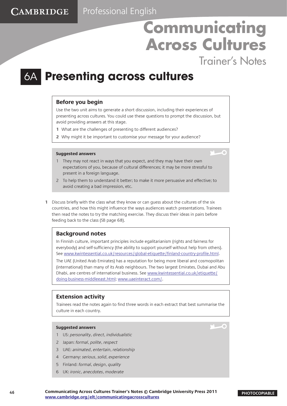Trainer's Notes

'n

### **Presenting across cultures**

#### **Before you begin**

**CAMBRIDGE** 

Use the two unit aims to generate a short discussion, including their experiences of presenting across cultures. You could use these questions to prompt the discussion, but avoid providing answers at this stage.

- **1** What are the challenges of presenting to different audiences?
- **2** Why might it be important to customise your message for your audience?

#### **Suggested answers**

- 1 They may not react in ways that you expect, and they may have their own expectations of you, because of cultural differences; it may be more stressful to present in a foreign language.
- 2 To help them to understand it better; to make it more persuasive and effective; to avoid creating a bad impression, etc.
- **1** Discuss briefly with the class what they know or can guess about the cultures of the six countries, and how this might influence the ways audiences watch presentations. Trainees then read the notes to try the matching exercise. They discuss their ideas in pairs before feeding back to the class (SB page 68).

#### **Background notes**

In Finnish culture, important principles include egalitarianism (rights and fairness for everybody) and self-sufficiency (the ability to support yourself without help from others). See [www.kwintessential.co.uk/resources/global-etiquette/finland-country-profile.html.](www.kwintessential.co.uk/resources/global-etiquette/finland-country-profile.html) The UAE (United Arab Emirates) has a reputation for being more liberal and cosmopolitan (international) than many of its Arab neighbours. The two largest Emirates, Dubai and Abu Dhabi, are centres of international business. See [www.kwintessential.co.uk/etiquette/](http://www.kwintessential.co.uk/etiquette/doing-business-middleeast.html)

[doing-business-middleeast.html;](http://www.kwintessential.co.uk/etiquette/doing-business-middleeast.html) [www.uaeinteract.com/.](http://www.uaeinteract.com/)

#### **Extension activity**

Trainees read the notes again to find three words in each extract that best summarise the culture in each country.

#### **Suggested answers**

- 1 US: personality, direct, individualistic
- 2 Japan: formal, polite, respect
- 3 UAE: animated, entertain, relationship
- 4 Germany: serious, solid, experience
- 5 Finland: formal, design, quality
- 6 UK: ironic, anecdotes, moderate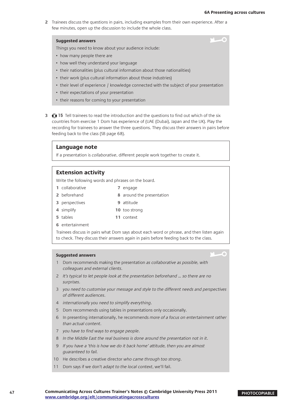O

**2** Trainees discuss the questions in pairs, including examples from their own experience. After a few minutes, open up the discussion to include the whole class.

#### **Suggested answers**

Things you need to know about your audience include:

- how many people there are
- how well they understand your language
- their nationalities (plus cultural information about those nationalities)
- their work (plus cultural information about those industries)
- their level of experience / knowledge connected with the subject of your presentation
- their expectations of your presentation
- their reasons for coming to your presentation
- **3 15** Tell trainees to read the introduction and the questions to find out which of the six countries from exercise 1 Dom has experience of (UAE (Dubai), Japan and the UK). Play the recording for trainees to answer the three questions. They discuss their answers in pairs before feeding back to the class (SB page 68).

#### **Language note**

If a presentation is collaborative, different people work together to create it.

#### **Extension activity**

Write the following words and phrases on the board.

- **1** collaborative **7** engage
- **2** beforehand **8** around the presentation
- -
- 
- **3** perspectives **9** attitude
- **4** simplify **10** too strong
- **5** tables **11** context
- **6** entertainment

Trainees discuss in pairs what Dom says about each word or phrase, and then listen again to check. They discuss their answers again in pairs before feeding back to the class.

#### **Suggested answers**

- 1 Dom recommends making the presentation as collaborative as possible, with colleagues and external clients.
- 2 It's typical to let people look at the presentation beforehand ... so there are no surprises.
- 3 you need to customise your message and style to the different needs and perspectives of different audiences.
- 4 internationally you need to simplify everything.
- 5 Dom recommends using tables in presentations only occasionally.
- 6 In presenting internationally, he recommends more of a focus on entertainment rather than actual content.
- 7 you have to find ways to engage people.
- 8 In the Middle East the real business is done around the presentation not in it.
- 9 If you have a 'this is how we do it back home' attitude, then you are almost guaranteed to fail.
- 10 He describes a creative director who came through too strong.
- 11 Dom says if we don't adapt to the local context, we'll fail.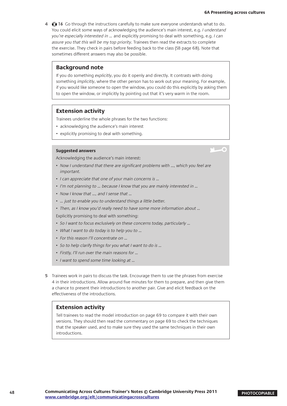C

**4 16** Go through the instructions carefully to make sure everyone understands what to do. You could elicit some ways of acknowledging the audience's main interest, e.g. I understand you're especially interested in ... and explicitly promising to deal with something, e.g. I can assure you that this will be my top priority. Trainees then read the extracts to complete the exercise. They check in pairs before feeding back to the class (SB page 68). Note that sometimes different answers may also be possible.

#### **Background note**

If you do something explicitly, you do it openly and directly. It contrasts with doing something *implicitly*, where the other person has to work out your meaning. For example, if you would like someone to open the window, you could do this explicitly by asking them to open the window, or implicitly by pointing out that it's very warm in the room.

#### **Extension activity**

Trainees underline the whole phrases for the two functions:

- acknowledging the audience's main interest
- explicitly promising to deal with something.

#### **Suggested answers**

Acknowledging the audience's main interest:

- Now I understand that there are significant problems with ..., which you feel are important.
- I can appreciate that one of your main concerns is ...
- I'm not planning to ... because I know that you are mainly interested in ...
- Now I know that ..., and I sense that ...
- ... just to enable you to understand things a little better.
- Then, as I know you'd really need to have some more information about ...

Explicitly promising to deal with something:

- So I want to focus exclusively on these concerns today, particularly ...
- What I want to do today is to help you to ...
- For this reason I'll concentrate on ...
- So to help clarify things for you what I want to do is ...
- Firstly, I'll run over the main reasons for ...
- I want to spend some time looking at ...
- **5** Trainees work in pairs to discuss the task. Encourage them to use the phrases from exercise 4 in their introductions. Allow around five minutes for them to prepare, and then give them a chance to present their introductions to another pair. Give and elicit feedback on the effectiveness of the introductions.

#### **Extension activity**

Tell trainees to read the model introduction on page 69 to compare it with their own versions. They should then read the commentary on page 69 to check the techniques that the speaker used, and to make sure they used the same techniques in their own introductions.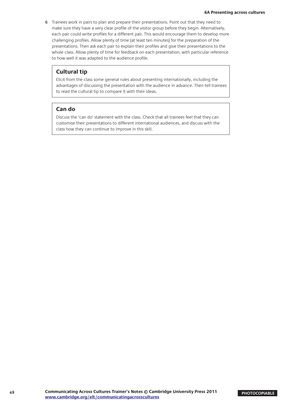**6** Trainees work in pairs to plan and prepare their presentations. Point out that they need to make sure they have a very clear profile of the visitor group before they begin. Alternatively, each pair could write profiles for a different pair. This would encourage them to develop more challenging profiles. Allow plenty of time (at least ten minutes) for the preparation of the presentations. Then ask each pair to explain their profiles and give their presentations to the whole class. Allow plenty of time for feedback on each presentation, with particular reference to how well it was adapted to the audience profile.

#### **Cultural tip**

Elicit from the class some general rules about presenting internationally, including the advantages of discussing the presentation with the audience in advance. Then tell trainees to read the cultural tip to compare it with their ideas.

#### **Can do**

Discuss the 'can do' statement with the class. Check that all trainees feel that they can customise their presentations to different international audiences, and discuss with the class how they can continue to improve in this skill.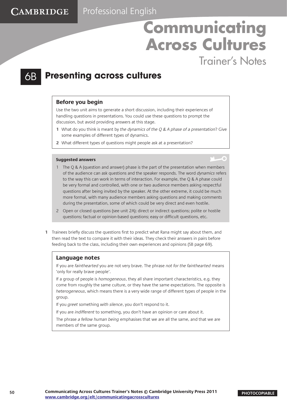Trainer's Notes

### 6B **Presenting across cultures**

#### **Before you begin**

**CAMBRIDGE** 

Use the two unit aims to generate a short discussion, including their experiences of handling questions in presentations. You could use these questions to prompt the discussion, but avoid providing answers at this stage.

- **1** What do you think is meant by the dynamics of the Q & A phase of a presentation? Give some examples of different types of dynamics.
- **2** What different types of questions might people ask at a presentation?

#### **Suggested answers**

- 1 The Q & A (question and answer) phase is the part of the presentation when members of the audience can ask questions and the speaker responds. The word dynamics refers to the way this can work in terms of interaction. For example, the Q & A phase could be very formal and controlled, with one or two audience members asking respectful questions after being invited by the speaker. At the other extreme, it could be much more formal, with many audience members asking questions and making comments during the presentation, some of which could be very direct and even hostile.
- 2 Open or closed questions (see unit 2A); direct or indirect questions; polite or hostile questions; factual or opinion-based questions; easy or difficult questions, etc.
- **1** Trainees briefly discuss the questions first to predict what Rana might say about them, and then read the text to compare it with their ideas. They check their answers in pairs before feeding back to the class, including their own experiences and opinions (SB page 69).

#### **Language notes**

If you are fainthearted you are not very brave. The phrase not for the fainthearted means 'only for really brave people'.

If a group of people is *homogeneous*, they all share important characteristics, e.g. they come from roughly the same culture, or they have the same expectations. The opposite is heterogeneous, which means there is a very wide range of different types of people in the group.

If you *greet* something with silence, you don't respond to it.

If you are indifferent to something, you don't have an opinion or care about it.

The phrase a fellow human being emphasises that we are all the same, and that we are members of the same group.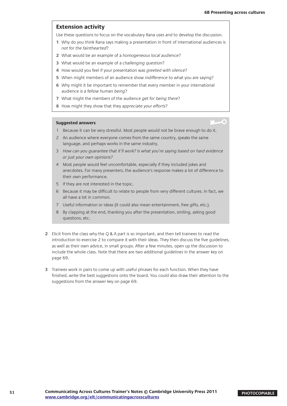F

#### **Extension activity**

Use these questions to focus on the vocabulary Rana uses and to develop the discussion.

- **1** Why do you think Rana says making a presentation in front of international audiences is not for the fainthearted?
- **2** What would be an example of a homogeneous local audience?
- **3** What would be an example of a challenging question?
- **4** How would you feel if your presentation was greeted with silence?
- **5** When might members of an audience show indifference to what you are saying?
- **6** Why might it be important to remember that every member in your international audience is a fellow human being?
- **7** What might the members of the audience get for being there?
- **8** How might they show that they appreciate your efforts?

#### **Suggested answers**

- 1 Because it can be very stressful. Most people would not be brave enough to do it.
- 2 An audience where everyone comes from the same country, speaks the same language, and perhaps works in the same industry.
- 3 How can you guarantee that it'll work? Is what you're saying based on hard evidence or just your own opinions?
- 4 Most people would feel uncomfortable, especially if they included jokes and anecdotes. For many presenters, the audience's response makes a lot of difference to their own performance.
- 5 If they are not interested in the topic.
- 6 Because it may be difficult to relate to people from very different cultures. In fact, we all have a lot in common.
- 7 Useful information or ideas (it could also mean entertainment, free gifts, etc.).
- 8 By clapping at the end, thanking you after the presentation, smiling, asking good questions, etc.
- **2** Elicit from the class why the Q & A part is so important, and then tell trainees to read the introduction to exercise 2 to compare it with their ideas. They then discuss the five guidelines, as well as their own advice, in small groups. After a few minutes, open up the discussion to include the whole class. Note that there are two additional guidelines in the answer key on page 69.
- **3** Trainees work in pairs to come up with useful phrases for each function. When they have finished, write the best suggestions onto the board. You could also draw their attention to the suggestions from the answer key on page 69.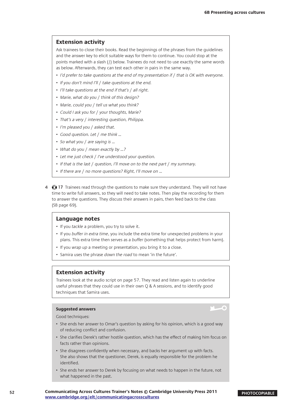#### **Extension activity**

Ask trainees to close their books. Read the beginnings of the phrases from the guidelines and the answer key to elicit suitable ways for them to continue. You could stop at the points marked with a slash (/) below. Trainees do not need to use exactly the same words as below. Afterwards, they can test each other in pairs in the same way.

- I'd prefer to take questions at the end of my presentation if / that is OK with everyone.
- If you don't mind I'll / take questions at the end.
- I'll take questions at the end if that's / all right.
- Marie, what do you / think of this design?
- Marie, could you / tell us what you think?
- • Could I ask you for / your thoughts, Marie?
- That's a very / interesting question, Philippa.
- I'm pleased you / asked that.
- • Good question. Let / me think …
- So what you / are saying is ...
- What do you / mean exactly by ...?
- Let me just check / I've understood your question.
- If that is the last / question, I'll move on to the next part / my summary.
- If there are / no more questions? Right, I'll move on ...
- **4 17** Trainees read through the questions to make sure they understand. They will not have time to write full answers, so they will need to take notes. Then play the recording for them to answer the questions. They discuss their answers in pairs, then feed back to the class (SB page 69).

#### **Language notes**

- If you tackle a problem, you try to solve it.
- If you buffer in extra time, you include the extra time for unexpected problems in your plans. This extra time then serves as a buffer (something that helps protect from harm).
- If you wrap up a meeting or presentation, you bring it to a close.
- Samira uses the phrase down the road to mean 'in the future'.

#### **Extension activity**

Trainees look at the audio script on page 57. They read and listen again to underline useful phrases that they could use in their own Q & A sessions, and to identify good techniques that Samira uses.

#### **Suggested answers**

Good techniques:

- She ends her answer to Omar's question by asking for his opinion, which is a good way of reducing conflict and confusion.
- She clarifies Derek's rather hostile question, which has the effect of making him focus on facts rather than opinions.
- She disagrees confidently when necessary, and backs her argument up with facts. She also shows that the questioner, Derek, is equally responsible for the problem he identified.
- She ends her answer to Derek by focusing on what needs to happen in the future, not what happened in the past.

G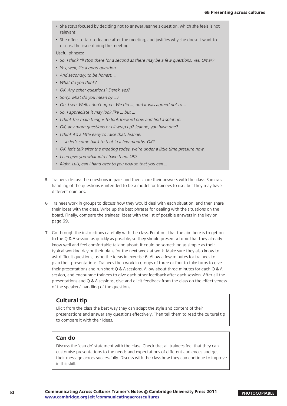- She stays focused by deciding not to answer Jeanne's question, which she feels is not relevant.
- She offers to talk to Jeanne after the meeting, and justifies why she doesn't want to discuss the issue during the meeting.

Useful phrases:

- So, I think I'll stop there for a second as there may be a few questions. Yes, Omar?
- • Yes, well, it's a good question.
- And secondly, to be honest, ...
- What do you think?
- OK. Any other questions? Derek, yes?
- Sorry, what do you mean by ...?
- Oh, I see. Well, I don't agree. We did ..., and it was agreed not to ...
- • So, I appreciate it may look like … but …
- I think the main thing is to look forward now and find a solution.
- OK, any more questions or I'll wrap up? Jeanne, you have one?
- I think it's a little early to raise that, Jeanne.
- ... so let's come back to that in a few months. OK?
- OK, let's talk after the meeting today, we're under a little time pressure now.
- I can give you what info I have then. OK?
- Right, Luis, can I hand over to you now so that you can ...
- **5** Trainees discuss the questions in pairs and then share their answers with the class. Samira's handling of the questions is intended to be a model for trainees to use, but they may have different opinions.
- **6** Trainees work in groups to discuss how they would deal with each situation, and then share their ideas with the class. Write up the best phrases for dealing with the situations on the board. Finally, compare the trainees' ideas with the list of possible answers in the key on page 69.
- **7** Go through the instructions carefully with the class. Point out that the aim here is to get on to the Q & A session as quickly as possible, so they should present a topic that they already know well and feel comfortable talking about. It could be something as simple as their typical working day or their plans for the next week at work. Make sure they also know to ask difficult questions, using the ideas in exercise 6. Allow a few minutes for trainees to plan their presentations. Trainees then work in groups of three or four to take turns to give their presentations and run short Q & A sessions. Allow about three minutes for each Q & A session, and encourage trainees to give each other feedback after each session. After all the presentations and Q & A sessions, give and elicit feedback from the class on the effectiveness of the speakers' handling of the questions.

#### **Cultural tip**

Elicit from the class the best way they can adapt the style and content of their presentations and answer any questions effectively. Then tell them to read the cultural tip to compare it with their ideas.

#### **Can do**

Discuss the 'can do' statement with the class. Check that all trainees feel that they can customise presentations to the needs and expectations of different audiences and get their message across successfully. Discuss with the class how they can continue to improve in this skill.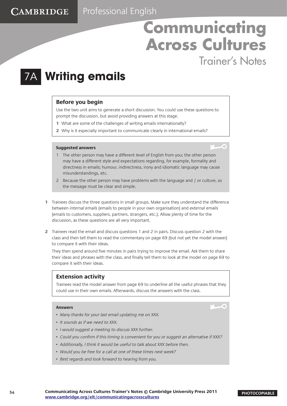Trainer's Notes

 $\sim$ 

### 7A **Writing emails**

#### **Before you begin**

Use the two unit aims to generate a short discussion. You could use these questions to prompt the discussion, but avoid providing answers at this stage.

- **1** What are some of the challenges of writing emails internationally?
- **2** Why is it especially important to communicate clearly in international emails?

#### **Suggested answers**

- 1 The other person may have a different level of English from you; the other person may have a different style and expectations regarding, for example, formality and directness in emails; humour, indirectness, irony and idiomatic language may cause misunderstandings, etc.
- 2 Because the other person may have problems with the language and / or culture, so the message must be clear and simple.
- **1** Trainees discuss the three questions in small groups. Make sure they understand the difference between internal emails (emails to people in your own organisation) and external emails (emails to customers, suppliers, partners, strangers, etc.). Allow plenty of time for the discussion, as these questions are all very important.
- **2** Trainees read the email and discuss questions 1 and 2 in pairs. Discuss question 2 with the class and then tell them to read the commentary on page 69 (but not yet the model answer) to compare it with their ideas.

They then spend around five minutes in pairs trying to improve the email. Ask them to share their ideas and phrases with the class, and finally tell them to look at the model on page 69 to compare it with their ideas.

#### **Extension activity**

Trainees read the model answer from page 69 to underline all the useful phrases that they could use in their own emails. Afterwards, discuss the answers with the class.

#### **Answers**

- Many thanks for your last email updating me on XXX.
- It sounds as if we need to XXX.
- I would suggest a meeting to discuss XXX further.
- Could you confirm if this timing is convenient for you or suggest an alternative if XXX?
- Additionally, I think it would be useful to talk about XXX before then.
- Would you be free for a call at one of these times next week?
- Best regards and look forward to hearing from you.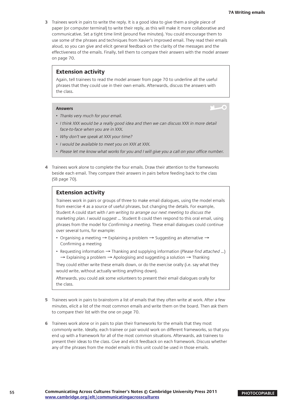**3** Trainees work in pairs to write the reply. It is a good idea to give them a single piece of paper (or computer terminal) to write their reply, as this will make it more collaborative and communicative. Set a tight time limit (around five minutes). You could encourage them to use some of the phrases and techniques from Xavier's improved email. They read their emails aloud, so you can give and elicit general feedback on the clarity of the messages and the effectiveness of the emails. Finally, tell them to compare their answers with the model answer on page 70.

#### **Extension activity**

Again, tell trainees to read the model answer from page 70 to underline all the useful phrases that they could use in their own emails. Afterwards, discuss the answers with the class.

#### **Answers**

- Thanks very much for your email.
- I think XXX would be a really good idea and then we can discuss XXX in more detail face-to-face when you are in XXX.
- Why don't we speak at XXX your time?
- I would be available to meet you on XXX at XXX.
- Please let me know what works for you and I will give you a call on your office number.
- **4** Trainees work alone to complete the four emails. Draw their attention to the frameworks beside each email. They compare their answers in pairs before feeding back to the class (SB page 70).

#### **Extension activity**

Trainees work in pairs or groups of three to make email dialogues, using the model emails from exercise 4 as a source of useful phrases, but changing the details. For example, Student A could start with I am writing to arrange our next meeting to discuss the marketing plan. I would suggest ... Student B could then respond to this oral email, using phrases from the model for Confirming a meeting. These email dialogues could continue over several turns, for example:

- Organising a meeting → Explaining a problem → Suggesting an alternative → Confirming a meeting
- Requesting information → Thanking and supplying information (Please find attached ...)  $\rightarrow$  Explaining a problem  $\rightarrow$  Apologising and suggesting a solution  $\rightarrow$  Thanking

They could either write these emails down, or do the exercise orally (i.e. say what they would write, without actually writing anything down).

Afterwards, you could ask some volunteers to present their email dialogues orally for the class.

- **5** Trainees work in pairs to brainstorm a list of emails that they often write at work. After a few minutes, elicit a list of the most common emails and write them on the board. Then ask them to compare their list with the one on page 70.
- **6** Trainees work alone or in pairs to plan their frameworks for the emails that they most commonly write. Ideally, each trainee or pair would work on different frameworks, so that you end up with a framework for all of the most common situations. Afterwards, ask trainees to present their ideas to the class. Give and elicit feedback on each framework. Discuss whether any of the phrases from the model emails in this unit could be used in those emails.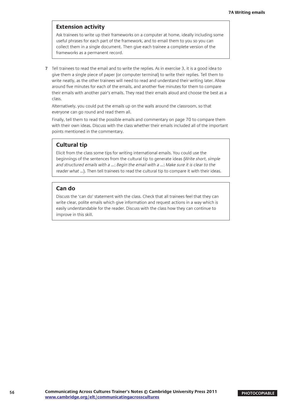#### **Extension activity**

Ask trainees to write up their frameworks on a computer at home, ideally including some useful phrases for each part of the framework, and to email them to you so you can collect them in a single document. Then give each trainee a complete version of the frameworks as a permanent record.

**7** Tell trainees to read the email and to write the replies. As in exercise 3, it is a good idea to give them a single piece of paper (or computer terminal) to write their replies. Tell them to write neatly, as the other trainees will need to read and understand their writing later. Allow around five minutes for each of the emails, and another five minutes for them to compare their emails with another pair's emails. They read their emails aloud and choose the best as a class.

Alternatively, you could put the emails up on the walls around the classroom, so that everyone can go round and read them all.

Finally, tell them to read the possible emails and commentary on page 70 to compare them with their own ideas. Discuss with the class whether their emails included all of the important points mentioned in the commentary.

#### **Cultural tip**

Elicit from the class some tips for writing international emails. You could use the beginnings of the sentences from the cultural tip to generate ideas (Write short, simple and structured emails with a …; Begin the email with a …; Make sure it is clear to the reader what ...). Then tell trainees to read the cultural tip to compare it with their ideas.

#### **Can do**

Discuss the 'can do' statement with the class. Check that all trainees feel that they can write clear, polite emails which give information and request actions in a way which is easily understandable for the reader. Discuss with the class how they can continue to improve in this skill.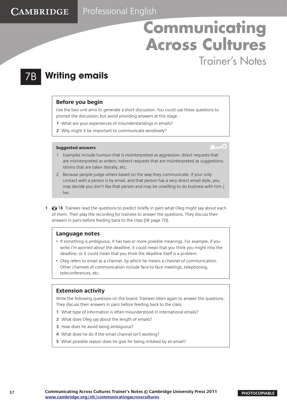Trainer's Notes

 $\overline{\phantom{0}}$ 

### **Writing emails**

CAMBRIDGE

#### **Before you begin**

Use the two unit aims to generate a short discussion. You could use these questions to prompt the discussion, but avoid providing answers at this stage.

- **1** What are your experiences of misunderstandings in emails?
- **2** Why might it be important to communicate sensitively?

#### **Suggested answers**

- 1 Examples include humour that is misinterpreted as aggression; direct requests that are misinterpreted as orders; indirect requests that are misinterpreted as suggestions; idioms that are taken literally, etc.
- 2 Because people judge others based on the way they communicate. If your only contact with a person is by email, and that person has a very direct email style, you may decide you don't like that person and may be unwilling to do business with him / her.
- **1 18** Trainees read the questions to predict briefly in pairs what Oleg might say about each of them. Then play the recording for trainees to answer the questions. They discuss their answers in pairs before feeding back to the class (SB page 70).

#### **Language notes**

- If something is ambiguous, it has two or more possible meanings. For example, if you write I'm worried about the deadline, it could mean that you think you might miss the deadline, or it could mean that you think the deadline itself is a problem.
- Oleg refers to email as a channel, by which he means a channel of communication. Other channels of communication include face-to-face meetings, telephoning, teleconferences, etc.

#### **Extension activity**

Write the following questions on the board. Trainees listen again to answer the questions. They discuss their answers in pairs before feeding back to the class.

- **1** What type of information is often misunderstood in international emails?
- **2** What does Oleg say about the length of emails?
- **3** How does he avoid being ambiguous?
- **4** What does he do if the email channel isn't working?
- **5** What possible reason does he give for being irritated by an email?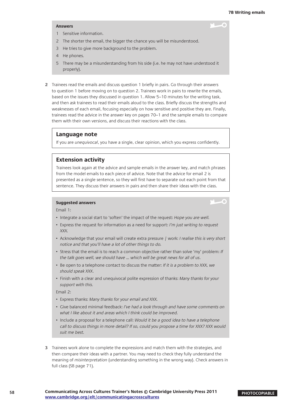-6

#### **Answers**

- 1 Sensitive information.
- 2 The shorter the email, the bigger the chance you will be misunderstood.
- 3 He tries to give more background to the problem.
- 4 He phones.
- 5 There may be a misunderstanding from his side (i.e. he may not have understood it properly).
- **2** Trainees read the emails and discuss question 1 briefly in pairs. Go through their answers to question 1 before moving on to question 2. Trainees work in pairs to rewrite the emails, based on the issues they discussed in question 1. Allow 5–10 minutes for the writing task, and then ask trainees to read their emails aloud to the class. Briefly discuss the strengths and weaknesses of each email, focusing especially on how sensitive and positive they are. Finally, trainees read the advice in the answer key on pages 70–1 and the sample emails to compare them with their own versions, and discuss their reactions with the class.

#### **Language note**

If you are unequivocal, you have a single, clear opinion, which you express confidently.

#### **Extension activity**

Trainees look again at the advice and sample emails in the answer key, and match phrases from the model emails to each piece of advice. Note that the advice for email 2 is presented as a single sentence, so they will first have to separate out each point from that sentence. They discuss their answers in pairs and then share their ideas with the class.

#### **Suggested answers**

Email 1:

- Integrate a social start to 'soften' the impact of the request: Hope you are well.
- Express the request for information as a need for support: I'm just writing to request XXX.
- Acknowledge that your email will create extra pressure / work: *I realise this is very short* notice and that you'll have a lot of other things to do.
- Stress that the email is to reach a common objective rather than solve 'my' problem: If the talk goes well, we should have … which will be great news for all of us.
- Be open to a telephone contact to discuss the matter: If it is a problem to XXX, we should speak XXX.
- Finish with a clear and unequivocal polite expression of thanks: Many thanks for your support with this.

Email 2:

- Express thanks: Many thanks for your email and XXX.
- Give balanced minimal feedback: I've had a look through and have some comments on what I like about it and areas which I think could be improved.
- Include a proposal for a telephone call: Would it be a good idea to have a telephone call to discuss things in more detail? If so, could you propose a time for XXX? XXX would suit me best.
- **3** Trainees work alone to complete the expressions and match them with the strategies, and then compare their ideas with a partner. You may need to check they fully understand the meaning of *misinterpretation* (understanding something in the wrong way). Check answers in full class (SB page 71).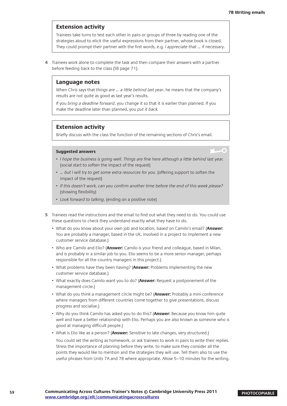#### **Extension activity**

Trainees take turns to test each other in pairs or groups of three by reading one of the strategies aloud to elicit the useful expressions from their partner, whose book is closed. They could prompt their partner with the first words, e.g. I appreciate that ... if necessary.

**4** Trainees work alone to complete the task and then compare their answers with a partner before feeding back to the class (SB page 71).

#### **Language notes**

When Chris says that *things are ... a little behind last year*, he means that the company's results are not quite as good as last year's results.

If you bring a deadline forward, you change it so that it is earlier than planned. If you make the deadline later than planned, you put it back.

#### **Extension activity**

Briefly discuss with the class the function of the remaining sections of Chris's email.

#### **Suggested answers**

- I hope the business is going well. Things are fine here although a little behind last year. (social start to soften the impact of the request)
- … but I will try to get some extra resources for you. (offering support to soften the impact of the request)
- If this doesn't work, can you confirm another time before the end of this week please? (showing flexibility)
- Look forward to talking. (ending on a positive note)
- **5** Trainees read the instructions and the email to find out what they need to do. You could use these questions to check they understand exactly what they have to do.
	- What do you know about your own job and location, based on Camilo's email? (**Answer:** You are probably a manager, based in the UK, involved in a project to implement a new customer service database.)
	- Who are Camilo and Elio? (**Answer:** Camilo is your friend and colleague, based in Milan, and is probably in a similar job to you. Elio seems to be a more senior manager, perhaps responsible for all the country managers in this project.)
	- What problems have they been having? (**Answer:** Problems implementing the new customer service database.)
	- What exactly does Camilo want you to do? (**Answer:** Request a postponement of the management circle.)
	- What do you think a management circle might be? (**Answer:** Probably a mini-conference where managers from different countries come together to give presentations, discuss progress and socialise.)
	- Why do you think Camilo has asked you to do this? (**Answer:** Because you know him quite well and have a better relationship with Elio. Perhaps you are also known as someone who is good at managing difficult people.)
	- What is Elio like as a person? (**Answer:** Sensitive to late changes, very structured.)

You could set the writing as homework, or ask trainees to work in pairs to write their replies. Stress the importance of planning before they write, to make sure they consider all the points they would like to mention and the strategies they will use. Tell them also to use the useful phrases from Units 7A and 7B where appropriate. Allow 5–10 minutes for the writing.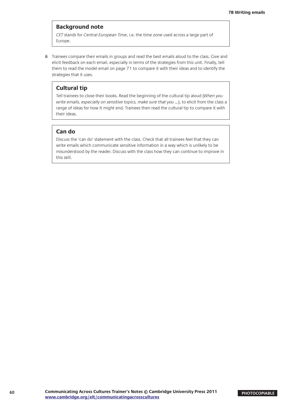#### **Background note**

CET stands for Central European Time, i.e. the time zone used across a large part of Europe.

**6** Trainees compare their emails in groups and read the best emails aloud to the class. Give and elicit feedback on each email, especially in terms of the strategies from this unit. Finally, tell them to read the model email on page 71 to compare it with their ideas and to identify the strategies that it uses.

#### **Cultural tip**

Tell trainees to close their books. Read the beginning of the cultural tip aloud (When you write emails, especially on sensitive topics, make sure that you ...), to elicit from the class a range of ideas for how it might end. Trainees then read the cultural tip to compare it with their ideas.

#### **Can do**

Discuss the 'can do' statement with the class. Check that all trainees feel that they can write emails which communicate sensitive information in a way which is unlikely to be misunderstood by the reader. Discuss with the class how they can continue to improve in this skill.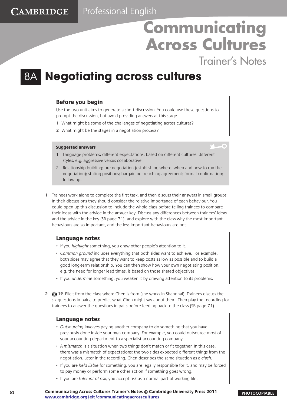Trainer's Notes

 $-\Omega$ 

### **Negotiating across cultures**

#### **Before you begin**

Use the two unit aims to generate a short discussion. You could use these questions to prompt the discussion, but avoid providing answers at this stage.

- **1** What might be some of the challenges of negotiating across cultures?
- **2** What might be the stages in a negotiation process?

#### **Suggested answers**

- 1 Language problems; different expectations, based on different cultures; different styles, e.g. aggressive versus collaborative.
- 2 Relationship-building; pre-negotiation (establishing where, when and how to run the negotiation); stating positions; bargaining; reaching agreement; formal confirmation; follow-up.
- **1** Trainees work alone to complete the first task, and then discuss their answers in small groups. In their discussions they should consider the relative importance of each behaviour. You could open up this discussion to include the whole class before telling trainees to compare their ideas with the advice in the answer key. Discuss any differences between trainees' ideas and the advice in the key (SB page 71), and explore with the class why the most important behaviours are so important, and the less important behaviours are not.

#### **Language notes**

- If you highlight something, you draw other people's attention to it.
- Common ground includes everything that both sides want to achieve. For example, both sides may agree that they want to keep costs as low as possible and to build a good long-term relationship. You can then show how your own negotiating position, e.g. the need for longer lead times, is based on those shared objectives.
- If you *undermine* something, you weaken it by drawing attention to its problems.
- **2 19** Elicit from the class where Chen is from (she works in Shanghai). Trainees discuss the six questions in pairs, to predict what Chen might say about them. Then play the recording for trainees to answer the questions in pairs before feeding back to the class (SB page 71).

#### **Language notes**

- Outsourcing involves paying another company to do something that you have previously done inside your own company. For example, you could outsource most of your accounting department to a specialist accounting company.
- A mismatch is a situation when two things don't match or fit together. In this case, there was a mismatch of expectations: the two sides expected different things from the negotiation. Later in the recording, Chen describes the same situation as a clash.
- If you are held liable for something, you are legally responsible for it, and may be forced to pay money or perform some other action if something goes wrong.
- If you are tolerant of risk, you accept risk as a normal part of working life.
- **Communicating Across Cultures Trainer's Notes © Cambridge University Press 2011 PHOTOCOPIABLE [www.cambridge.org/elt/c](http://www.cambridge.org/elt/communicatingacrosscultures)ommunicatingacrosscultures**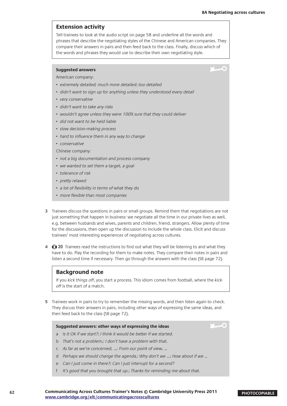r e

#### **Extension activity**

Tell trainees to look at the audio script on page 58 and underline all the words and phrases that describe the negotiating styles of the Chinese and American companies. They compare their answers in pairs and then feed back to the class. Finally, discuss which of the words and phrases they would use to describe their own negotiating style.

#### **Suggested answers**

American company:

- • extremely detailed; much more detailed; too detailed
- didn't want to sign up for anything unless they understood every detail
- very conservative
- didn't want to take any risks
- wouldn't agree unless they were 100% sure that they could deliver
- did not want to be held liable
- slow decision-making process
- hard to influence them in any way to change
- • conservative
- Chinese company:
- not a big documentation and process company
- we wanted to set them a target, a goal
- tolerance of risk
- pretty relaxed
- a lot of flexibility in terms of what they do
- more flexible than most companies
- **3** Trainees discuss the questions in pairs or small groups. Remind them that negotiations are not just something that happen in business: we negotiate all the time in our private lives as well, e.g. between husbands and wives, parents and children, friend, strangers. Allow plenty of time for the discussions, then open up the discussion to include the whole class. Elicit and discuss trainees' most interesting experiences of negotiating across cultures.
- **4 20** Trainees read the instructions to find out what they will be listening to and what they have to do. Play the recording for them to make notes. They compare their notes in pairs and listen a second time if necessary. Then go through the answers with the class (SB page 72).

#### **Background note**

If you kick things off, you start a process. This idiom comes from football, where the kickoff is the start of a match.

**5** Trainees work in pairs to try to remember the missing words, and then listen again to check. They discuss their answers in pairs, including other ways of expressing the same ideas, and then feed back to the class (SB page 72).

#### **Suggested answers: other ways of expressing the ideas**



- a Is it OK if we start?; I think it would be better if we started.
- b That's not a problem.; I don't have a problem with that.
- c As far as we're concerned, …; From our point of view, …
- d Perhaps we should change the agenda.; Why don't we …; How about if we …
- e Can I just come in there?; Can I just interrupt for a second?
- f It's good that you brought that up.; Thanks for reminding me about that.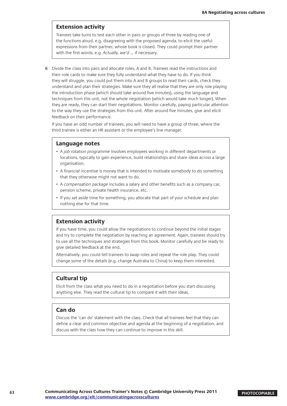#### **Extension activity**

Trainees take turns to test each other in pairs or groups of three by reading one of the functions aloud, e.g. disagreeing with the proposed agenda, to elicit the useful expressions from their partner, whose book is closed. They could prompt their partner with the first words, e.g. Actually, we'd ... if necessary.

**6** Divide the class into pairs and allocate roles, A and B. Trainees read the instructions and their role cards to make sure they fully understand what they have to do. If you think they will struggle, you could put them into A and B groups to read their cards, check they understand and plan their strategies. Make sure they all realise that they are only role playing the introduction phase (which should take around five minutes), using the language and techniques from this unit, not the whole negotiation (which would take much longer). When they are ready, they can start their negotiations. Monitor carefully, paying particular attention to the way they use the strategies from this unit. After around five minutes, give and elicit feedback on their performance.

If you have an odd number of trainees, you will need to have a group of three, where the third trainee is either an HR assistant or the employee's line manager.

#### **Language notes**

- • A job rotation programme involves employees working in different departments or locations, typically to gain experience, build relationships and share ideas across a large organisation.
- A financial incentive is money that is intended to motivate somebody to do something that they otherwise might not want to do.
- A compensation package includes a salary and other benefits such as a company car, pension scheme, private health insurance, etc.
- If you set aside time for something, you allocate that part of your schedule and plan nothing else for that time.

#### **Extension activity**

If you have time, you could allow the negotiations to continue beyond the initial stages and try to complete the negotiation by reaching an agreement. Again, trainees should try to use all the techniques and strategies from this book. Monitor carefully and be ready to give detailed feedback at the end.

Alternatively, you could tell trainees to swap roles and repeat the role play. They could change some of the details (e.g. change Australia to China) to keep them interested.

#### **Cultural tip**

Elicit from the class what you need to do in a negotiation before you start discussing anything else. They read the cultural tip to compare it with their ideas.

#### **Can do**

Discuss the 'can do' statement with the class. Check that all trainees feel that they can define a clear and common objective and agenda at the beginning of a negotiation, and discuss with the class how they can continue to improve in this skill.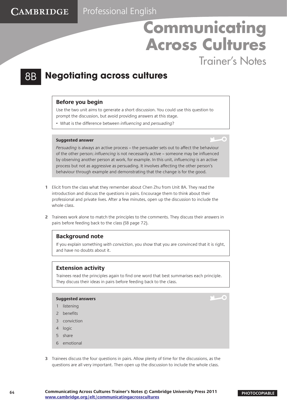Trainer's Notes

### 8B **Negotiating across cultures**

#### **Before you begin**

**CAMBRIDGE** 

Use the two unit aims to generate a short discussion. You could use this question to prompt the discussion, but avoid providing answers at this stage.

• What is the difference between influencing and persuading?

#### **Suggested answer**

'n

Persuading is always an active process – the persuader sets out to affect the behaviour of the other person; influencing is not necessarily active – someone may be influenced by observing another person at work, for example. In this unit, influencing is an active process but not as aggressive as persuading. It involves affecting the other person's behaviour through example and demonstrating that the change is for the good.

- **1** Elicit from the class what they remember about Chen Zhu from Unit 8A. They read the introduction and discuss the questions in pairs. Encourage them to think about their professional and private lives. After a few minutes, open up the discussion to include the whole class.
- **2** Trainees work alone to match the principles to the comments. They discuss their answers in pairs before feeding back to the class (SB page 72).

#### **Background note**

If you explain something with conviction, you show that you are convinced that it is right, and have no doubts about it.

#### **Extension activity**

Trainees read the principles again to find one word that best summarises each principle. They discuss their ideas in pairs before feeding back to the class.

#### **Suggested answers**

- 1 listening
- 2 benefits
- 3 conviction
- 4 logic
- 5 share
- 6 emotional
- **3** Trainees discuss the four questions in pairs. Allow plenty of time for the discussions, as the questions are all very important. Then open up the discussion to include the whole class.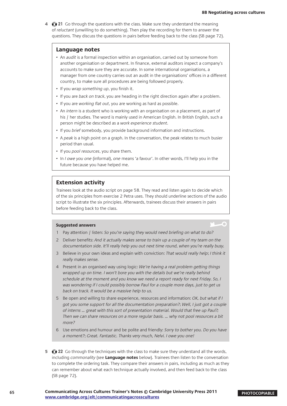G

**4 21** Go through the questions with the class. Make sure they understand the meaning of reluctant (unwilling to do something). Then play the recording for them to answer the questions. They discuss the questions in pairs before feeding back to the class (SB page 72).

#### **Language notes**

- An *audit* is a formal inspection within an organisation, carried out by someone from another organisation or department. In finance, external auditors inspect a company's accounts to make sure they are accurate. In some international organisations, a manager from one country carries out an audit in the organisations' offices in a different country, to make sure all procedures are being followed properly.
- If you wrap something up, you finish it.
- If you are back on track, you are heading in the right direction again after a problem.
- If you are working flat out, you are working as hard as possible.
- An *intern* is a student who is working with an organisation on a placement, as part of his / her studies. The word is mainly used in American English. In British English, such a person might be described as a work experience student.
- If you brief somebody, you provide background information and instructions.
- A peak is a high point on a graph. In the conversation, the peak relates to much busier period than usual.
- If you pool resources, you share them.
- In I owe you one (informal), one means 'a favour'. In other words, I'll help you in the future because you have helped me.

#### **Extension activity**

Trainees look at the audio script on page 58. They read and listen again to decide which of the six principles from exercise 2 Petra uses. They should underline sections of the audio script to illustrate the six principles. Afterwards, trainees discuss their answers in pairs before feeding back to the class.

#### **Suggested answers**

- 1 Pay attention / listen: So you're saying they would need briefing on what to do?
- 2 Deliver benefits: And it actually makes sense to train up a couple of my team on the documentation side. It'll really help you out next time round, when you're really busy.
- 3 Believe in your own ideas and explain with conviction: That would really help; I think it really makes sense.
- 4 Present in an organised way using logic: We're having a real problem getting things wrapped up on time. I won't bore you with the details but we're really behind schedule at the moment and you know we need a report ready for next Friday. So, I was wondering if I could possibly borrow Paul for a couple more days, just to get us back on track. It would be a massive help to us.
- 5 Be open and willing to share experience, resources and information: OK, but what if I got you some support for all the documentation preparation?; Well, I just got a couple of interns … great with this sort of presentation material. Would that free up Paul?; Then we can share resources on a more regular basis. … why not pool resources a bit more?
- 6 Use emotions and humour and be polite and friendly: Sorry to bother you. Do you have a moment?; Great. Fantastic. Thanks very much, Nelvi. I owe you one!
- **5 22** Go through the techniques with the class to make sure they understand all the words, including commonality (see **Language notes** below). Trainees then listen to the conversation to complete the ordering task. They compare their answers in pairs, including as much as they can remember about what each technique actually involved, and then feed back to the class (SB page 72).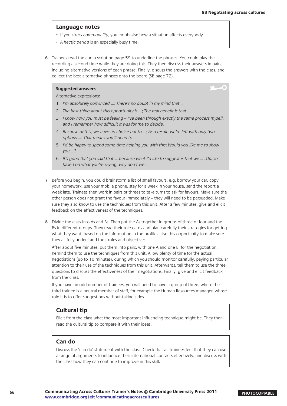#### **Language notes**

- If you stress commonality, you emphasise how a situation affects everybody.
- A hectic period is an especially busy time.
- **6** Trainees read the audio script on page 59 to underline the phrases. You could play the recording a second time while they are doing this. They then discuss their answers in pairs, including alternative versions of each phrase. Finally, discuss the answers with the class, and collect the best alternative phrases onto the board (SB page 72).

#### **Suggested answers**

Alternative expressions:

- 1 I'm absolutely convinced ...; There's no doubt in my mind that ...
- 2 The best thing about this opportunity is ...; The real benefit is that ...
- 3 I know how you must be feeling I've been through exactly the same process myself, and I remember how difficult it was for me to decide.
- 4 Because of this, we have no choice but to …; As a result, we're left with only two options …; That means you'll need to …
- 5 I'd be happy to spend some time helping you with this; Would you like me to show you …?
- 6 It's good that you said that … because what I'd like to suggest is that we …; OK, so based on what you're saying, why don't we …
- **7** Before you begin, you could brainstorm a list of small favours, e.g. borrow your car, copy your homework, use your mobile phone, stay for a week in your house, send the report a week late. Trainees then work in pairs or threes to take turns to ask for favours. Make sure the other person does not grant the favour immediately – they will need to be persuaded. Make sure they also know to use the techniques from this unit. After a few minutes, give and elicit feedback on the effectiveness of the techniques.
- **8** Divide the class into As and Bs. Then put the As together in groups of three or four and the Bs in different groups. They read their role cards and plan carefully their strategies for getting what they want, based on the information in the profiles. Use this opportunity to make sure they all fully understand their roles and objectives.

After about five minutes, put them into pairs, with one A and one B, for the negotiation. Remind them to use the techniques from this unit. Allow plenty of time for the actual negotiations (up to 10 minutes), during which you should monitor carefully, paying particular attention to their use of the techniques from this unit. Afterwards, tell them to use the three questions to discuss the effectiveness of their negotiations. Finally, give and elicit feedback from the class.

If you have an odd number of trainees, you will need to have a group of three, where the third trainee is a neutral member of staff, for example the Human Resources manager, whose role it is to offer suggestions without taking sides.

#### **Cultural tip**

Elicit from the class what the most important influencing technique might be. They then read the cultural tip to compare it with their ideas.

#### **Can do**

Discuss the 'can do' statement with the class. Check that all trainees feel that they can use a range of arguments to influence their international contacts effectively, and discuss with the class how they can continue to improve in this skill.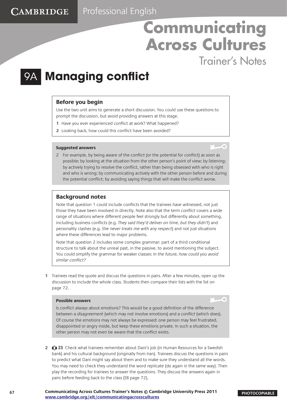Trainer's Notes

 $\overline{1}$ 

### 9A **Managing conflict**

#### **Before you begin**

CAMBRIDGE

Use the two unit aims to generate a short discussion. You could use these questions to prompt the discussion, but avoid providing answers at this stage.

- **1** Have you ever experienced conflict at work? What happened?
- **2** Looking back, how could this conflict have been avoided?

#### **Suggested answers**

2 For example, by being aware of the conflict (or the potential for conflict) as soon as possible; by looking at the situation from the other person's point of view; by listening; by actively trying to resolve the conflict, rather than being obsessed with who is right and who is wrong; by communicating actively with the other person before and during the potential conflict; by avoiding saying things that will make the conflict worse.

#### **Background notes**

Note that question 1 could include conflicts that the trainees have witnessed, not just those they have been involved in directly. Note also that the term *conflict* covers a wide range of situations where different people feel strongly but differently about something, including business conflicts (e.g. They said they'd deliver on time, but they didn't) and personality clashes (e.g. She never treats me with any respect) and not just situations where these differences lead to major problems.

Note that question 2 includes some complex grammar: part of a third conditional structure to talk about the unreal past, in the passive, to avoid mentioning the subject. You could simplify the grammar for weaker classes: In the future, how could you avoid similar conflict?

**1** Trainees read the quote and discuss the questions in pairs. After a few minutes, open up the discussion to include the whole class. Students then compare their lists with the list on page 72.

#### **Possible answers**

Is conflict always about emotions? This would be a good definition of the difference between a disagreement (which may not involve emotions) and a conflict (which does). Of course the emotions may not always be expressed: one person may feel frustrated, disappointed or angry inside, but keep these emotions private. In such a situation, the other person may not even be aware that the conflict exists.

**2 23** Check what trainees remember about Dani's job (in Human Resources for a Swedish bank) and his cultural background (originally from Iran). Trainees discuss the questions in pairs to predict what Dani might say about them and to make sure they understand all the words. You may need to check they understand the word replicate (do again in the same way). Then play the recording for trainees to answer the questions. They discuss the answers again in pairs before feeding back to the class (SB page 72).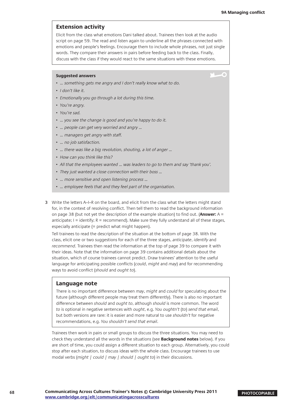#### **Extension activity**

Elicit from the class what emotions Dani talked about. Trainees then look at the audio script on page 59. The read and listen again to underline all the phrases connected with emotions and people's feelings. Encourage them to include whole phrases, not just single words. They compare their answers in pairs before feeding back to the class. Finally, discuss with the class if they would react to the same situations with these emotions.

#### **Suggested answers**

- • … something gets me angry and I don't really know what to do.
- I don't like it.
- Emotionally you go through a lot during this time.
- You're angry.
- You're sad.
- ... you see the change is good and you're happy to do it.
- ... people can get very worried and angry ...
- ... managers get angry with staff.
- ... no job satisfaction.
- ... there was like a big revolution, shouting, a lot of anger ...
- How can you think like this?
- All that the employees wanted ... was leaders to go to them and say 'thank you'.
- They just wanted a close connection with their boss ...
- ... more sensitive and open listening process ...
- • … employee feels that and they feel part of the organisation.
- **3** Write the letters A–I–R on the board, and elicit from the class what the letters might stand for, in the context of resolving conflict. Then tell them to read the background information on page 38 (but not yet the description of the example situation) to find out. (**Answer:** A = anticipate;  $I =$  identify;  $R =$  recommend). Make sure they fully understand all of these stages, especially anticipate (= predict what might happen).

Tell trainees to read the description of the situation at the bottom of page 38. With the class, elicit one or two suggestions for each of the three stages, anticipate, identify and recommend. Trainees then read the information at the top of page 39 to compare it with their ideas. Note that the information on page 39 contains additional details about the situation, which of course trainees cannot predict. Draw trainees' attention to the useful language for anticipating possible conflicts (could, might and may) and for recommending ways to avoid conflict (should and ought to).

#### **Language note**

There is no important difference between may, might and could for speculating about the future (although different people may treat them differently). There is also no important difference between should and ought to, although should is more common. The word to is optional in negative sentences with *ought*, e.g. You oughtn't (to) send that email, but both versions are rare: it is easier and more natural to use *shouldn't* for negative recommendations, e.g. You shouldn't send that email.

Trainees then work in pairs or small groups to discuss the three situations. You may need to check they understand all the words in the situations (see **Background notes** below). If you are short of time, you could assign a different situation to each group. Alternatively, you could stop after each situation, to discuss ideas with the whole class. Encourage trainees to use modal verbs (might | could | may | should | ought to) in their discussions.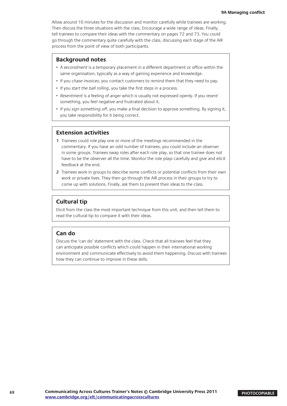Allow around 10 minutes for the discussion and monitor carefully while trainees are working. Then discuss the three situations with the class. Encourage a wide range of ideas. Finally, tell trainees to compare their ideas with the commentary on pages 72 and 73. You could go through the commentary quite carefully with the class, discussing each stage of the AIR process from the point of view of both participants.

#### **Background notes**

- • A secondment is a temporary placement in a different department or office within the same organisation, typically as a way of gaining experience and knowledge.
- If you chase invoices, you contact customers to remind them that they need to pay.
- If you start the ball rolling, you take the first steps in a process.
- Resentment is a feeling of anger which is usually not expressed openly. If you resent something, you feel negative and frustrated about it.
- If you sign something off, you make a final decision to approve something. By signing it, you take responsibility for it being correct.

#### **Extension activities**

- **1** Trainees could role play one or more of the meetings recommended in the commentary. If you have an odd number of trainees, you could include an observer in some groups. Trainees swap roles after each role play, so that one trainee does not have to be the observer all the time. Monitor the role plays carefully and give and elicit feedback at the end.
- **2** Trainees work in groups to describe some conflicts or potential conflicts from their own work or private lives. They then go through the AIR process in their groups to try to come up with solutions. Finally, ask them to present their ideas to the class.

#### **Cultural tip**

Elicit from the class the most important technique from this unit, and then tell them to read the cultural tip to compare it with their ideas.

#### **Can do**

Discuss the 'can do' statement with the class. Check that all trainees feel that they can anticipate possible conflicts which could happen in their international working environment and communicate effectively to avoid them happening. Discuss with trainees how they can continue to improve in these skills.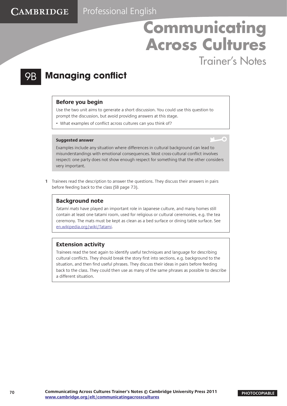Trainer's Notes

### 9B **Managing conflict**

**CAMBRIDGE** 

#### **Before you begin**

Use the two unit aims to generate a short discussion. You could use this question to prompt the discussion, but avoid providing answers at this stage.

• What examples of conflict across cultures can you think of?

#### **Suggested answer**

C

Examples include any situation where differences in cultural background can lead to misunderstandings with emotional consequences. Most cross-cultural conflict involves respect: one party does not show enough respect for something that the other considers very important.

**1** Trainees read the description to answer the questions. They discuss their answers in pairs before feeding back to the class (SB page 73).

#### **Background note**

Tatami mats have played an important role in Japanese culture, and many homes still contain at least one tatami room, used for religious or cultural ceremonies, e.g. the tea ceremony. The mats must be kept as clean as a bed surface or dining table surface. See [en.wikipedia.org/wiki/Tatami.](http://en.wikipedia.org/wiki/Tatami)

#### **Extension activity**

Trainees read the text again to identify useful techniques and language for describing cultural conflicts. They should break the story first into sections, e.g. background to the situation, and then find useful phrases. They discuss their ideas in pairs before feeding back to the class. They could then use as many of the same phrases as possible to describe a different situation.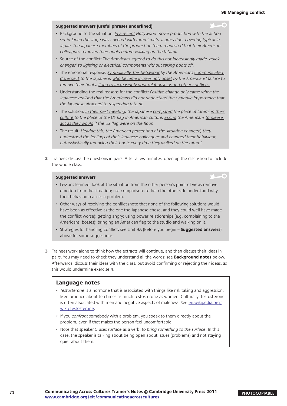#### **Suggested answers (useful phrases underlined)**

- Background to the situation: In a recent Hollywood movie production with the action set in Japan the stage was covered with tatami mats, a grass floor covering typical in Japan. The Japanese members of the production team requested that their American colleagues removed their boots before walking on the tatami.
- Source of the conflict: The Americans agreed to do this but increasingly made 'quick changes' to lighting or electrical components without taking boots off.
- The emotional response: Symbolically, this behaviour by the Americans communicated disrespect to the Japanese, who became increasingly upset by the Americans' failure to remove their boots. It led to increasingly poor relationships and other conflicts.
- Understanding the real reasons for the conflict: *Positive change only came when the* Japanese realised that the Americans did not understand the symbolic importance that the Japanese attached to respecting tatami.
- The solution: In their next meeting, the Japanese compared the place of tatami in their culture to the place of the US flag in American culture, asking the Americans to please act as they would if the US flag were on the floor.
- The result: *Hearing this, the American perception of the situation changed; they* understood the feelings of their Japanese colleagues and changed their behaviour, enthusiastically removing their boots every time they walked on the tatami.
- **2** Trainees discuss the questions in pairs. After a few minutes, open up the discussion to include the whole class.

#### **Suggested answers**

- Lessons learned: look at the situation from the other person's point of view; remove emotion from the situation; use comparisons to help the other side understand why their behaviour causes a problem.
- Other ways of resolving the conflict (note that none of the following solutions would have been as effective as the one the Japanese chose, and they could well have made the conflict worse): getting angry; using power relationships (e.g. complaining to the Americans' bosses); bringing an American flag to the studio and walking on it.
- Strategies for handling conflict: see Unit 9A (Before you begin **Suggested answers**) above for some suggestions.
- **3** Trainees work alone to think how the extracts will continue, and then discuss their ideas in pairs. You may need to check they understand all the words: see **Background notes** below. Afterwards, discuss their ideas with the class, but avoid confirming or rejecting their ideas, as this would undermine exercise 4.

#### **Language notes**

- Testosterone is a hormone that is associated with things like risk taking and aggression. Men produce about ten times as much testosterone as women. Culturally, testosterone is often associated with men and negative aspects of maleness. See [en.wikipedia.org/](http://en.wikipedia.org/wiki/Testosterone) [wiki/Testosterone.](http://en.wikipedia.org/wiki/Testosterone)
- If you confront somebody with a problem, you speak to them directly about the problem, even if that makes the person feel uncomfortable.
- Note that speaker 5 uses surface as a verb: to bring something to the surface. In this case, the speaker is talking about being open about issues (problems) and not staying quiet about them.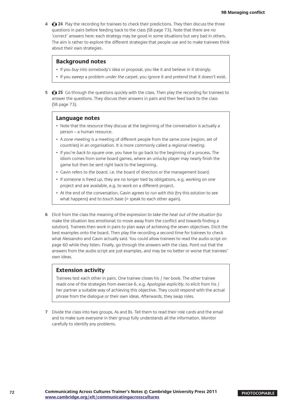**4 24** Play the recording for trainees to check their predictions. They then discuss the three questions in pairs before feeding back to the class (SB page 73). Note that there are no 'correct' answers here: each strategy may be good in some situations but very bad in others. The aim is rather to explore the different strategies that people use and to make trainees think about their own strategies.

#### **Background notes**

- If you buy into somebody's idea or proposal, you like it and believe in it strongly.
- If you sweep a problem under the carpet, you ignore it and pretend that it doesn't exist.
- **5 25** Go through the questions quickly with the class. Then play the recording for trainees to answer the questions. They discuss their answers in pairs and then feed back to the class (SB page 73).

#### **Language notes**

- Note that the resource they discuss at the beginning of the conversation is actually a person – a human resource.
- A zone meeting is a meeting of different people from the same zone (region, set of countries) in an organisation. It is more commonly called a regional meeting.
- If you're back to square one, you have to go back to the beginning of a process. The idiom comes from some board games, where an unlucky player may nearly finish the game but then be sent right back to the beginning.
- Gavin refers to the board, i.e. the board of directors or the management board.
- If someone is freed up, they are no longer tied by obligations, e.g. working on one project and are available, e.g. to work on a different project.
- At the end of the conversation, Gavin agrees to run with this (try this solution to see what happens) and to *touch base* (= speak to each other again).
- **6** Elicit from the class the meaning of the expression to take the heat out of the situation (to make the situation less emotional; to move away from the conflict and towards finding a solution). Trainees then work in pairs to plan ways of achieving the seven objectives. Elicit the best examples onto the board. Then play the recording a second time for trainees to check what Alessandro and Gavin actually said. You could allow trainees to read the audio script on page 60 while they listen. Finally, go through the answers with the class. Point out that the answers from the audio script are just examples, and may be no better or worse that trainees' own ideas.

#### **Extension activity**

Trainees test each other in pairs. One trainee closes his / her book. The other trainee reads one of the strategies from exercise 6, e.g. Apologise explicitly, to elicit from his / her partner a suitable way of achieving this objective. They could respond with the actual phrase from the dialogue or their own ideas. Afterwards, they swap roles.

**7** Divide the class into two groups, As and Bs. Tell them to read their role cards and the email and to make sure everyone in their group fully understands all the information. Monitor carefully to identify any problems.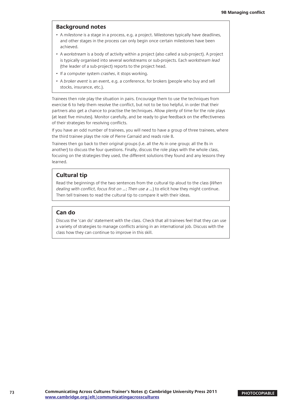# **Background notes**

- A milestone is a stage in a process, e.g. a project. Milestones typically have deadlines, and other stages in the process can only begin once certain milestones have been achieved.
- A workstream is a body of activity within a project (also called a sub-project). A project is typically organised into several workstreams or sub-projects. Each workstream lead (the leader of a sub-project) reports to the project head.
- If a computer system crashes, it stops working.
- A broker event is an event, e.g. a conference, for brokers (people who buy and sell stocks, insurance, etc.).

Trainees then role play the situation in pairs. Encourage them to use the techniques from exercise 6 to help them resolve the conflict, but not to be too helpful, in order that their partners also get a chance to practise the techniques. Allow plenty of time for the role plays (at least five minutes). Monitor carefully, and be ready to give feedback on the effectiveness of their strategies for resolving conflicts.

If you have an odd number of trainees, you will need to have a group of three trainees, where the third trainee plays the role of Pierre Garnaid and reads role B.

Trainees then go back to their original groups (i.e. all the As in one group; all the Bs in another) to discuss the four questions. Finally, discuss the role plays with the whole class, focusing on the strategies they used, the different solutions they found and any lessons they learned.

# **Cultural tip**

Read the beginnings of the two sentences from the cultural tip aloud to the class (When dealing with conflict, focus first on ...; Then use a ...) to elicit how they might continue. Then tell trainees to read the cultural tip to compare it with their ideas.

# **Can do**

Discuss the 'can do' statement with the class. Check that all trainees feel that they can use a variety of strategies to manage conflicts arising in an international job. Discuss with the class how they can continue to improve in this skill.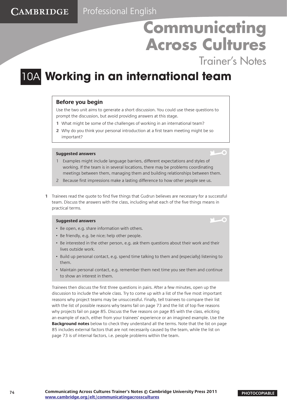Trainer's Notes

n

# 10A **Working in an international team**

# **Before you begin**

CAMBRIDGE

Use the two unit aims to generate a short discussion. You could use these questions to prompt the discussion, but avoid providing answers at this stage.

- **1** What might be some of the challenges of working in an international team?
- **2** Why do you think your personal introduction at a first team meeting might be so important?

#### **Suggested answers**

- 1 Examples might include language barriers, different expectations and styles of working. If the team is in several locations, there may be problems coordinating meetings between them, managing them and building relationships between them.
- 2 Because first impressions make a lasting difference to how other people see us.
- **1** Trainees read the quote to find five things that Gudrun believes are necessary for a successful team. Discuss the answers with the class, including what each of the five things means in practical terms.

#### **Suggested answers**

- Be open, e.g. share information with others.
- Be friendly, e.g. be nice; help other people.
- Be interested in the other person, e.g. ask them questions about their work and their lives outside work.
- Build up personal contact, e.g. spend time talking to them and (especially) listening to them.
- Maintain personal contact, e.g. remember them next time you see them and continue to show an interest in them.

Trainees then discuss the first three questions in pairs. After a few minutes, open up the discussion to include the whole class. Try to come up with a list of the five most important reasons why project teams may be unsuccessful. Finally, tell trainees to compare their list with the list of possible reasons why teams fail on page 73 and the list of top five reasons why projects fail on page 85. Discuss the five reasons on page 85 with the class, eliciting an example of each, either from your trainees' experience or an imagined example. Use the **Background notes** below to check they understand all the terms. Note that the list on page 85 includes external factors that are not necessarily caused by the team, while the list on page 73 is of internal factors, i.e. people problems within the team.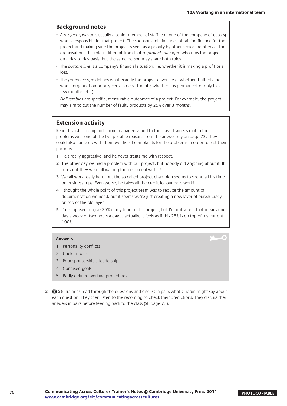# **Background notes**

- A project sponsor is usually a senior member of staff (e.g. one of the company directors) who is responsible for that project. The sponsor's role includes obtaining finance for the project and making sure the project is seen as a priority by other senior members of the organisation. This role is different from that of project manager, who runs the project on a day-to-day basis, but the same person may share both roles.
- The bottom line is a company's financial situation, i.e. whether it is making a profit or a loss.
- The project scope defines what exactly the project covers (e.g. whether it affects the whole organisation or only certain departments; whether it is permanent or only for a few months, etc.).
- Deliverables are specific, measurable outcomes of a project. For example, the project may aim to cut the number of faulty products by 25% over 3 months.

## **Extension activity**

Read this list of complaints from managers aloud to the class. Trainees match the problems with one of the five possible reasons from the answer key on page 73. They could also come up with their own list of complaints for the problems in order to test their partners.

- **1** He's really aggressive, and he never treats me with respect.
- **2** The other day we had a problem with our project, but nobody did anything about it. It turns out they were all waiting for me to deal with it!
- **3** We all work really hard, but the so-called project champion seems to spend all his time on business trips. Even worse, he takes all the credit for our hard work!
- **4** I thought the whole point of this project team was to reduce the amount of documentation we need, but it seems we're just creating a new layer of bureaucracy on top of the old layer.
- **5** I'm supposed to give 25% of my time to this project, but I'm not sure if that means one day a week or two hours a day … actually, it feels as if this 25% is on top of my current 100%.

#### **Answers**

- 1 Personality conflicts
- 2 Unclear roles
- 3 Poor sponsorship / leadership
- 4 Confused goals
- 5 Badly defined working procedures
- **2 26** Trainees read through the questions and discuss in pairs what Gudrun might say about each question. They then listen to the recording to check their predictions. They discuss their answers in pairs before feeding back to the class (SB page 73).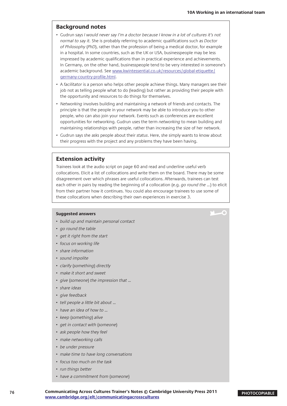C

# **Background notes**

- • Gudrun says I would never say I'm a doctor because I know in a lot of cultures it's not normal to say it. She is probably referring to academic qualifications such as Doctor of Philosophy (PhD), rather than the profession of being a medical doctor, for example in a hospital. In some countries, such as the UK or USA, businesspeople may be less impressed by academic qualifications than in practical experience and achievements. In Germany, on the other hand, businesspeople tend to be very interested in someone's academic background. See [www.kwintessential.co.uk/resources/global-etiquette/](http://www.kwintessential.co.uk/resources/global-etiquette/germany-country-profile.html) [germany-country-profile.html.](http://www.kwintessential.co.uk/resources/global-etiquette/germany-country-profile.html)
- A facilitator is a person who helps other people achieve things. Many managers see their job not as telling people what to do (leading) but rather as providing their people with the opportunity and resources to do things for themselves.
- Networking involves building and maintaining a network of friends and contacts. The principle is that the people in your network may be able to introduce you to other people, who can also join your network. Events such as conferences are excellent opportunities for networking. Gudrun uses the term networking to mean building and maintaining relationships with people, rather than increasing the size of her network.
- Gudrun says she asks people about their status. Here, she simply wants to know about their progress with the project and any problems they have been having.

#### **Extension activity**

Trainees look at the audio script on page 60 and read and underline useful verb collocations. Elicit a list of collocations and write them on the board. There may be some disagreement over which phrases are useful collocations. Afterwards, trainees can test each other in pairs by reading the beginning of a collocation (e.g. go round the ...) to elicit from their partner how it continues. You could also encourage trainees to use some of these collocations when describing their own experiences in exercise 3.

#### **Suggested answers**

- build up and maintain personal contact
- go round the table
- get it right from the start
- focus on working life
- share information
- sound impolite
- clarify (something) directly
- make it short and sweet
- give (someone) the impression that ...
- share ideas
- give feedback
- tell people a little bit about ...
- have an idea of how to ...
- keep (something) alive
- get in contact with (someone)
- ask people how they feel
- make networking calls
- be under pressure
- make time to have long conversations
- focus too much on the task
- run things better
- have a commitment from (someone)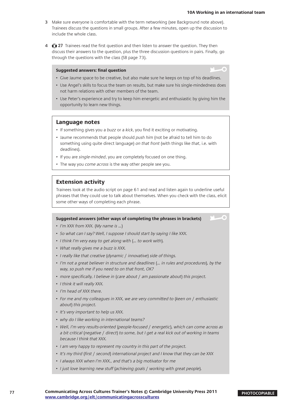- **3** Make sure everyone is comfortable with the term networking (see Background note above). Trainees discuss the questions in small groups. After a few minutes, open up the discussion to include the whole class.
- **4 27** Trainees read the first question and then listen to answer the question. They then discuss their answers to the question, plus the three discussion questions in pairs. Finally, go through the questions with the class (SB page 73).

#### **Suggested answers: final question**



×

- Give Jaume space to be creative, but also make sure he keeps on top of his deadlines.
- Use Angel's skills to focus the team on results, but make sure his single-mindedness does not harm relations with other members of the team.
- Use Peter's experience and try to keep him energetic and enthusiastic by giving him the opportunity to learn new things.

### **Language notes**

- If something gives you a *buzz* or a *kick*, you find it exciting or motivating.
- Jaume recommends that people should push him (not be afraid to tell him to do something using quite direct language) on that front (with things like that, i.e. with deadlines).
- If you are *single-minded*, you are completely focused on one thing.
- The way you come across is the way other people see you.

## **Extension activity**

Trainees look at the audio script on page 61 and read and listen again to underline useful phrases that they could use to talk about themselves. When you check with the class, elicit some other ways of completing each phrase.

### **Suggested answers (other ways of completing the phrases in brackets)**

- I'm XXX from XXX. (My name is ...)
- So what can I say? Well, I suppose I should start by saying I like XXX.
- I think I'm very easy to get along with (... to work with).
- What really gives me a buzz is XXX.
- I really like that creative (dynamic / innovative) side of things.
- I'm not a great believer in structure and deadlines (... in rules and procedures), by the way, so push me if you need to on that front, OK?
- more specifically, I believe in (care about / am passionate about) this project.
- I think it will really XXX.
- I'm head of XXX there.
- For me and my colleagues in XXX, we are very committed to (keen on / enthusiastic about) this project.
- It's very important to help us XXX.
- why do I like working in international teams?
- Well, I'm very results-oriented (people-focused / energetic), which can come across as a bit critical (negative / direct) to some, but I get a real kick out of working in teams because I think that XXX.
- I am very happy to represent my country in this part of the project.
- It's my third (first / second) international project and I know that they can be XXX
- I always XXX when I'm XXX., and that's a big motivator for me
- I just love learning new stuff (achieving goals / working with great people).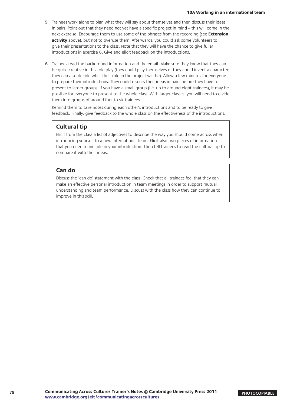- **5** Trainees work alone to plan what they will say about themselves and then discuss their ideas in pairs. Point out that they need not yet have a specific project in mind – this will come in the next exercise. Encourage them to use some of the phrases from the recording (see **Extension activity** above), but not to overuse them. Afterwards, you could ask some volunteers to give their presentations to the class. Note that they will have the chance to give fuller introductions in exercise 6. Give and elicit feedback on the introductions.
- **6** Trainees read the background information and the email. Make sure they know that they can be quite creative in this role play (they could play themselves or they could invent a character; they can also decide what their role in the project will be). Allow a few minutes for everyone to prepare their introductions. They could discuss their ideas in pairs before they have to present to larger groups. If you have a small group (i.e. up to around eight trainees), it may be possible for everyone to present to the whole class. With larger classes, you will need to divide them into groups of around four to six trainees.

Remind them to take notes during each other's introductions and to be ready to give feedback. Finally, give feedback to the whole class on the effectiveness of the introductions.

# **Cultural tip**

Elicit from the class a list of adjectives to describe the way you should come across when introducing yourself to a new international team. Elicit also two pieces of information that you need to include in your introduction. Then tell trainees to read the cultural tip to compare it with their ideas.

# **Can do**

Discuss the 'can do' statement with the class. Check that all trainees feel that they can make an effective personal introduction in team meetings in order to support mutual understanding and team performance. Discuss with the class how they can continue to improve in this skill.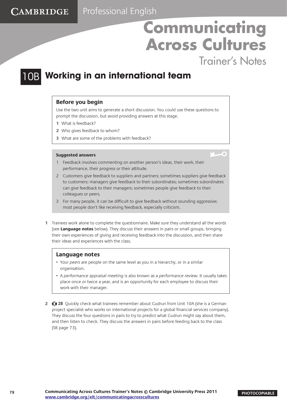Trainer's Notes

×

# 10B **Working in an international team**

# **Before you begin**

**CAMBRIDGE** 

Use the two unit aims to generate a short discussion. You could use these questions to prompt the discussion, but avoid providing answers at this stage.

- **1** What is feedback?
- **2** Who gives feedback to whom?
- **3** What are some of the problems with feedback?

#### **Suggested answers**

- 1 Feedback involves commenting on another person's ideas, their work, their performance, their progress or their attitude.
- 2 Customers give feedback to suppliers and partners; sometimes suppliers give feedback to customers; managers give feedback to their subordinates; sometimes subordinates can give feedback to their managers; sometimes people give feedback to their colleagues or peers.
- 3 For many people, it can be difficult to give feedback without sounding aggressive; most people don't like receiving feedback, especially criticism.
- **1** Trainees work alone to complete the questionnaire. Make sure they understand all the words (see **Language notes** below). They discuss their answers in pairs or small groups, bringing their own experiences of giving and receiving feedback into the discussion, and then share their ideas and experiences with the class.

- Your peers are people on the same level as you in a hierarchy, or in a similar organisation.
- A performance appraisal meeting is also known as a performance review. It usually takes place once or twice a year, and is an opportunity for each employee to discuss their work with their manager.
- **2 28** Quickly check what trainees remember about Gudrun from Unit 10A (she is a German project specialist who works on international projects for a global financial services company). They discuss the four questions in pairs to try to predict what Gudrun might say about them, and then listen to check. They discuss the answers in pairs before feeding back to the class (SB page 73).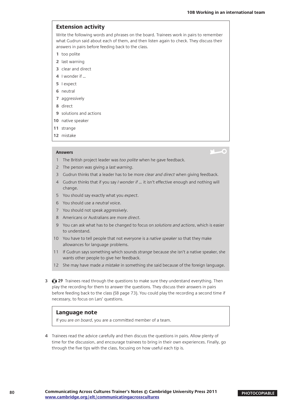C

# **Extension activity**

Write the following words and phrases on the board. Trainees work in pairs to remember what Gudrun said about each of them, and then listen again to check. They discuss their answers in pairs before feeding back to the class.

- **1** too polite
- **2** last warning
- **3** clear and direct
- **4** I wonder if …
- **5** I expect
- **6** neutral
- **7** aggressively
- **8** direct
- **9** solutions and actions
- **10** native speaker
- **11** strange
- **12** mistake

#### **Answers**

- 1 The British project leader was too polite when he gave feedback.
- 2 The person was giving a *last warning*.
- 3 Gudrun thinks that a leader has to be more clear and direct when giving feedback.
- 4 Gudrun thinks that if you say I wonder if ... it isn't effective enough and nothing will change.
- 5 You should say exactly what you expect.
- 6 You should use a neutral voice.
- 7 You should not speak aggressively.
- 8 Americans or Australians are more *direct*.
- 9 You can ask what has to be changed to focus on solutions and actions, which is easier to understand.
- 10 You have to tell people that not everyone is a native speaker so that they make allowances for language problems.
- 11 If Gudrun says something which sounds *strange* because she isn't a native speaker, she wants other people to give her feedback.
- 12 She may have made a mistake in something she said because of the foreign language.
- **3 29** Trainees read through the questions to make sure they understand everything. Then play the recording for them to answer the questions. They discuss their answers in pairs before feeding back to the class (SB page 73). You could play the recording a second time if necessary, to focus on Lars' questions.

#### **Language note**

If you are on board, you are a committed member of a team.

**4** Trainees read the advice carefully and then discuss the questions in pairs. Allow plenty of time for the discussion, and encourage trainees to bring in their own experiences. Finally, go through the five tips with the class, focusing on how useful each tip is.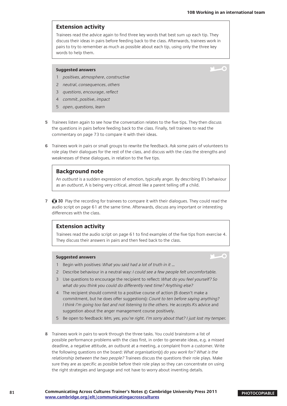×

# **Extension activity**

Trainees read the advice again to find three key words that best sum up each tip. They discuss their ideas in pairs before feeding back to the class. Afterwards, trainees work in pairs to try to remember as much as possible about each tip, using only the three key words to help them.

#### **Suggested answers**

- 1 positives, atmosphere, constructive
- 2 neutral, consequences, others
- 3 questions, encourage, reflect
- 4 commit, positive, impact
- 5 open, questions, learn
- **5** Trainees listen again to see how the conversation relates to the five tips. They then discuss the questions in pairs before feeding back to the class. Finally, tell trainees to read the commentary on page 73 to compare it with their ideas.
- **6** Trainees work in pairs or small groups to rewrite the feedback. Ask some pairs of volunteers to role play their dialogues for the rest of the class, and discuss with the class the strengths and weaknesses of these dialogues, in relation to the five tips.

# **Background note**

An outburst is a sudden expression of emotion, typically anger. By describing B's behaviour as an outburst, A is being very critical, almost like a parent telling off a child.

**7 30** Play the recording for trainees to compare it with their dialogues. They could read the audio script on page 61 at the same time. Afterwards, discuss any important or interesting differences with the class.

#### **Extension activity**

Trainees read the audio script on page 61 to find examples of the five tips from exercise 4. They discuss their answers in pairs and then feed back to the class.

#### **Suggested answers**

- 1 Begin with positives: What you said had a lot of truth in it ...
- 2 Describe behaviour in a neutral way: I could see a few people felt uncomfortable.
- 3 Use questions to encourage the recipient to reflect: What do you feel yourself? So what do you think you could do differently next time? Anything else?
- 4 The recipient should commit to a positive course of action (B doesn't make a commitment, but he does offer suggestions): Count to ten before saying anything? I think I'm going too fast and not listening to the others. He accepts A's advice and suggestion about the anger management course positively.
- 5 Be open to feedback: Mm, yes, you're right. I'm sorry about that? I just lost my temper.
- **8** Trainees work in pairs to work through the three tasks. You could brainstorm a list of possible performance problems with the class first, in order to generate ideas, e.g. a missed deadline, a negative attitude, an outburst at a meeting, a complaint from a customer. Write the following questions on the board: What organisation(s) do you work for? What is the relationship between the two people? Trainees discuss the questions their role plays. Make sure they are as specific as possible before their role plays so they can concentrate on using the right strategies and language and not have to worry about inventing details.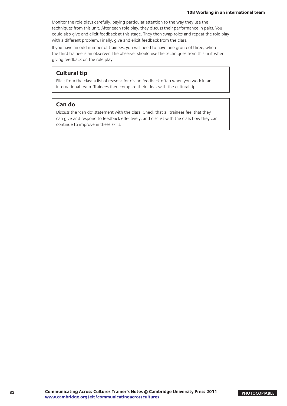Monitor the role plays carefully, paying particular attention to the way they use the techniques from this unit. After each role play, they discuss their performance in pairs. You could also give and elicit feedback at this stage. They then swap roles and repeat the role play with a different problem. Finally, give and elicit feedback from the class.

If you have an odd number of trainees, you will need to have one group of three, where the third trainee is an observer. The observer should use the techniques from this unit when giving feedback on the role play.

# **Cultural tip**

Elicit from the class a list of reasons for giving feedback often when you work in an international team. Trainees then compare their ideas with the cultural tip.

# **Can do**

Discuss the 'can do' statement with the class. Check that all trainees feel that they can give and respond to feedback effectively, and discuss with the class how they can continue to improve in these skills.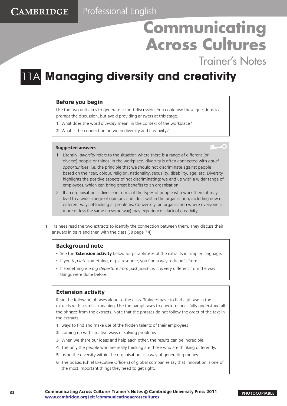# Trainer's Notes

 $\mathbf{r} = \mathbf{r}$ 

# 11A **Managing diversity and creativity**

# **Before you begin**

**CAMBRIDGE** 

Use the two unit aims to generate a short discussion. You could use these questions to prompt the discussion, but avoid providing answers at this stage.

- **1** What does the word diversity mean, in the context of the workplace?
- **2** What is the connection between diversity and creativity?

#### **Suggested answers**

- 1 Literally, diversity refers to the situation where there is a range of different (or diverse) people or things. In the workplace, diversity is often connected with equal opportunities, i.e. the principle that we should not discriminate against people based on their sex, colour, religion, nationality, sexuality, disability, age, etc. Diversity highlights the positive aspects of not discriminating: we end up with a wider range of employees, which can bring great benefits to an organisation.
- 2 If an organisation is diverse in terms of the types of people who work there, it may lead to a wider range of opinions and ideas within the organisation, including new or different ways of looking at problems. Conversely, an organisation where everyone is more or less the same (in some way) may experience a lack of creativity.
- **1** Trainees read the two extracts to identify the connection between them. They discuss their answers in pairs and then with the class (SB page 74).

# **Background note**

- See the **Extension activity** below for paraphrases of the extracts in simpler language.
- If you tap into something, e.g. a resource, you find a way to benefit from it.
- If something is a big departure from past practice, it is very different from the way things were done before.

# **Extension activity**

Read the following phrases aloud to the class. Trainees have to find a phrase in the extracts with a similar meaning. Use the paraphrases to check trainees fully understand all the phrases from the extracts. Note that the phrases do not follow the order of the text in the extracts.

- **1** ways to find and make use of the hidden talents of their employees
- **2** coming up with creative ways of solving problems
- **3** When we share our ideas and help each other, the results can be incredible.
- **4** The only the people who are really thinking are those who are thinking differently.
- **5** using the diversity within the organisation as a way of generating money
- **6** The bosses (Chief Executive Officers) of global companies say that innovation is one of the most important things they need to get right.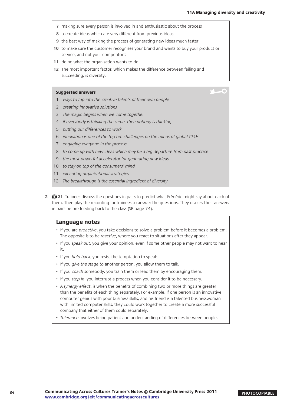- **7** making sure every person is involved in and enthusiastic about the process
- **8** to create ideas which are very different from previous ideas
- **9** the best way of making the process of generating new ideas much faster
- **10** to make sure the customer recognises your brand and wants to buy your product or service, and not your competitor's
- **11** doing what the organisation wants to do
- **12** The most important factor, which makes the difference between failing and succeeding, is diversity.

#### **Suggested answers**

- 1 ways to tap into the creative talents of their own people
- 2 creating innovative solutions
- 3 The magic begins when we come together
- 4 if everybody is thinking the same, then nobody is thinking
- 5 putting our differences to work
- 6 innovation is one of the top ten challenges on the minds of global CEOs
- 7 engaging everyone in the process
- 8 to come up with new ideas which may be a big departure from past practice
- 9 the most powerful accelerator for generating new ideas
- 10 to stay on top of the consumers' mind
- 11 executing organisational strategies
- 12 The breakthrough is the essential ingredient of diversity
- **2 31** Trainees discuss the questions in pairs to predict what Frédéric might say about each of them. Then play the recording for trainees to answer the questions. They discuss their answers in pairs before feeding back to the class (SB page 74).

- If you are *proactive*, you take decisions to solve a problem before it becomes a problem. The opposite is to be reactive, where you react to situations after they appear.
- If you speak out, you give your opinion, even if some other people may not want to hear it.
- If you *hold back*, you resist the temptation to speak.
- If you give the stage to another person, you allow them to talk.
- If you coach somebody, you train them or lead them by encouraging them.
- If you step in, you interrupt a process when you consider it to be necessary.
- A synergy effect, is when the benefits of combining two or more things are greater than the benefits of each thing separately. For example, if one person is an innovative computer genius with poor business skills, and his friend is a talented businesswoman with limited computer skills, they could work together to create a more successful company that either of them could separately.
- Tolerance involves being patient and understanding of differences between people.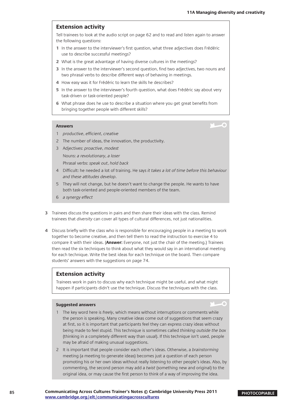# **Extension activity**

Tell trainees to look at the audio script on page 62 and to read and listen again to answer the following questions:

- **1** In the answer to the interviewer's first question, what three adjectives does Frédéric use to describe successful meetings?
- **2** What is the great advantage of having diverse cultures in the meetings?
- **3** In the answer to the interviewer's second question, find two adjectives, two nouns and two phrasal verbs to describe different ways of behaving in meetings.
- **4** How easy was it for Frédéric to learn the skills he describes?
- **5** In the answer to the interviewer's fourth question, what does Frédéric say about very task-driven or task-oriented people?
- **6** What phrase does he use to describe a situation where you get great benefits from bringing together people with different skills?

#### **Answers**

- 1 productive, efficient, creative
- 2 The number of ideas, the innovation, the productivity.
- 3 Adjectives: proactive, modest

Nouns: a revolutionary, a loser

Phrasal verbs: speak out, hold back

- 4 Difficult: he needed a lot of training. He says it takes a lot of time before this behaviour and these attitudes develop.
- 5 They will not change, but he doesn't want to change the people. He wants to have both task-oriented and people-oriented members of the team.
- 6 a synergy effect
- **3** Trainees discuss the questions in pairs and then share their ideas with the class. Remind trainees that diversity can cover all types of cultural differences, not just nationalities.
- **4** Discuss briefly with the class who is responsible for encouraging people in a meeting to work together to become creative, and then tell them to read the instruction to exercise 4 to compare it with their ideas. (**Answer:** Everyone, not just the chair of the meeting.) Trainees then read the six techniques to think about what they would say in an international meeting for each technique. Write the best ideas for each technique on the board. Then compare students' answers with the suggestions on page 74.

## **Extension activity**

Trainees work in pairs to discuss why each technique might be useful, and what might happen if participants didn't use the technique. Discuss the techniques with the class.

#### **Suggested answers**

- 1 The key word here is freely, which means without interruptions or comments while the person is speaking. Many creative ideas come out of suggestions that seem crazy at first, so it is important that participants feel they can express crazy ideas without being made to feel stupid. This technique is sometimes called thinking outside the box (thinking in a completely different way than usual). If this technique isn't used, people may be afraid of making unusual suggestions.
- 2 It is important that people consider each other's ideas. Otherwise, a brainstorming meeting (a meeting to generate ideas) becomes just a question of each person promoting his or her own ideas without really listening to other people's ideas. Also, by commenting, the second person may add a *twist* (something new and original) to the original idea, or may cause the first person to think of a way of improving the idea.

F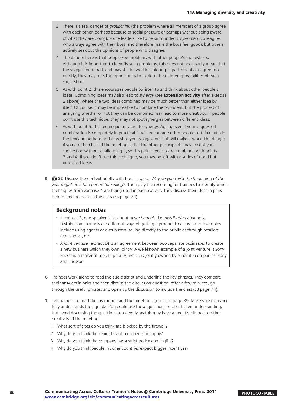- 3 There is a real danger of groupthink (the problem where all members of a group agree with each other, perhaps because of social pressure or perhaps without being aware of what they are doing). Some leaders like to be surrounded by yes-men (colleagues who always agree with their boss, and therefore make the boss feel good), but others actively seek out the opinions of people who disagree.
- 4 The danger here is that people see problems with other people's suggestions. Although it is important to identify such problems, this does not necessarily mean that the suggestion is bad, and may still be worth exploring. If participants disagree too quickly, they may miss this opportunity to explore the different possibilities of each suggestion.
- 5 As with point 2, this encourages people to listen to and think about other people's ideas. Combining ideas may also lead to synergy (see **Extension activity** after exercise 2 above), where the two ideas combined may be much better than either idea by itself. Of course, it may be impossible to combine the two ideas, but the process of analysing whether or not they can be combined may lead to more creativity. If people don't use this technique, they may not spot synergies between different ideas.
- 6 As with point 5, this technique may create synergy. Again, even if your suggested combination is completely impractical, it will encourage other people to think outside the box and perhaps add a twist to your suggestion that will make it work. The danger if you are the chair of the meeting is that the other participants may accept your suggestion without challenging it, so this point needs to be combined with points 3 and 4. If you don't use this technique, you may be left with a series of good but unrelated ideas.
- **5 32** Discuss the context briefly with the class, e.g. Why do you think the beginning of the year might be a bad period for selling?. Then play the recording for trainees to identify which techniques from exercise 4 are being used in each extract. They discuss their ideas in pairs before feeding back to the class (SB page 74).

# **Background notes**

- In extract B, one speaker talks about new channels, i.e. distribution channels. Distribution channels are different ways of getting a product to a customer. Examples include using agents or distributors, selling directly to the public or through retailers (e.g. shops), etc.
- A joint venture (extract D) is an agreement between two separate businesses to create a new business which they own jointly. A well-known example of a joint venture is Sony Ericsson, a maker of mobile phones, which is jointly owned by separate companies, Sony and Ericsson.
- **6** Trainees work alone to read the audio script and underline the key phrases. They compare their answers in pairs and then discuss the discussion question. After a few minutes, go through the useful phrases and open up the discussion to include the class (SB page 74).
- **7** Tell trainees to read the instruction and the meeting agenda on page 89. Make sure everyone fully understands the agenda. You could use these questions to check their understanding, but avoid discussing the questions too deeply, as this may have a negative impact on the creativity of the meeting.
	- 1 What sort of sites do you think are blocked by the firewall?
	- 2 Why do you think the senior board member is unhappy?
	- 3 Why do you think the company has a strict policy about gifts?
	- 4 Why do you think people in some countries expect bigger incentives?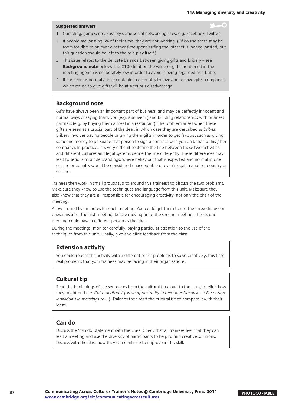#### **Suggested answers**

- 1 Gambling, games, etc. Possibly some social networking sites, e.g. Facebook, Twitter.
- 2 If people are wasting 6% of their time, they are not working. (Of course there may be room for discussion over whether time spent surfing the Internet is indeed wasted, but this question should be left to the role play itself.)
- 3 This issue relates to the delicate balance between giving gifts and bribery see **Background note** below. The €100 limit on the value of gifts mentioned in the meeting agenda is deliberately low in order to avoid it being regarded as a bribe.
- 4 If it is seen as normal and acceptable in a country to give and receive gifts, companies which refuse to give gifts will be at a serious disadvantage.

# **Background note**

Gifts have always been an important part of business, and may be perfectly innocent and normal ways of saying thank you (e.g. a souvenir) and building relationships with business partners (e.g. by buying them a meal in a restaurant). The problem arises when these gifts are seen as a crucial part of the deal, in which case they are described as bribes. Bribery involves paying people or giving them gifts in order to get favours, such as giving someone money to persuade that person to sign a contract with you on behalf of his / her company). In practice, it is very difficult to define the line between these two activities, and different cultures and legal systems define the line differently. These differences may lead to serious misunderstandings, where behaviour that is expected and normal in one culture or country would be considered unacceptable or even illegal in another country or culture.

Trainees then work in small groups (up to around five trainees) to discuss the two problems. Make sure they know to use the techniques and language from this unit. Make sure they also know that they are all responsible for encouraging creativity, not only the chair of the meeting.

Allow around five minutes for each meeting. You could get them to use the three discussion questions after the first meeting, before moving on to the second meeting. The second meeting could have a different person as the chair.

During the meetings, monitor carefully, paying particular attention to the use of the techniques from this unit. Finally, give and elicit feedback from the class.

## **Extension activity**

You could repeat the activity with a different set of problems to solve creatively, this time real problems that your trainees may be facing in their organisations.

# **Cultural tip**

Read the beginnings of the sentences from the cultural tip aloud to the class, to elicit how they might end (i.e. Cultural diversity is an opportunity in meetings because …; Encourage individuals in meetings to ...). Trainees then read the cultural tip to compare it with their ideas.

#### **Can do**

Discuss the 'can do' statement with the class. Check that all trainees feel that they can lead a meeting and use the diversity of participants to help to find creative solutions. Discuss with the class how they can continue to improve in this skill.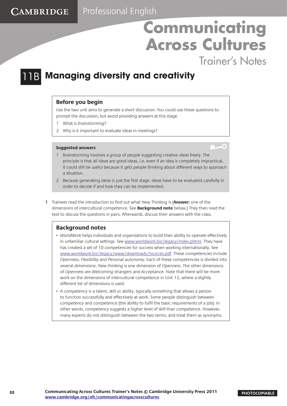Trainer's Notes

 $\sim$  0

# **Managing diversity and creativity**

# **Before you begin**

**CAMBRIDGE** 

Use the two unit aims to generate a short discussion. You could use these questions to prompt the discussion, but avoid providing answers at this stage.

- 1 What is brainstorming?
- 2 Why is it important to evaluate ideas in meetings?

#### **Suggested answers**

- 1 Brainstorming involves a group of people suggesting creative ideas freely. The principle is that all ideas are good ideas, i.e. even if an idea is completely impractical, it could still be useful because it gets people thinking about different ways to approach a situation.
- 2 Because generating ideas is just the first stage. Ideas have to be evaluated carefully in order to decide if and how they can be implemented.
- **1** Trainees read the introduction to find out what New Thinking is (**Answer:** one of the dimensions of intercultural competence. See **Background note** below.) They then read the text to discuss the questions in pairs. Afterwards, discuss their answers with the class.

# **Background notes**

- WorldWork helps individuals and organisations to build their ability to operate effectively in unfamiliar cultural settings. See [www.worldwork.biz/legacy/index.phtml.](http://www.worldwork.biz/legacy/index.phtml) They have has created a set of 10 *competencies* for success when working internationally. See [www.worldwork.biz/legacy/www/downloads/Sources.pdf.](http://www.worldwork.biz/legacy/www/downloads/Sources.pdf) These competencies include Openness, Flexibility and Personal autonomy. Each of these competencies is divided into several dimensions. New thinking is one dimension of Openness. The other dimensions of Openness are Welcoming strangers and Acceptance. Note that there will be more work on the dimensions of intercultural competence in Unit 12, where a slightly different list of dimensions is used.
- A competency is a talent, skill or ability, typically something that allows a person to function successfully and effectively at work. Some people distinguish between competency and competence (the ability to fulfil the basic requirements of a job). In other words, *competency* suggests a higher level of skill than *competence*. However, many experts do not distinguish between the two terms, and treat them as synonyms.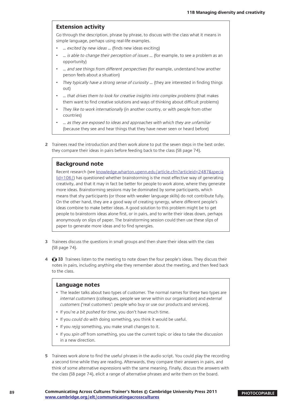#### **Extension activity**

Go through the description, phrase by phrase, to discuss with the class what it means in simple language, perhaps using real-life examples.

- ... excited by new ideas ... (finds new ideas exciting)
- ... is able to change their perception of issues ... (for example, to see a problem as an opportunity)
- ... and see things from different perspectives (for example, understand how another person feels about a situation)
- They typically have a strong sense of curiosity ... (they are interested in finding things out)
- … that drives them to look for creative insights into complex problems (that makes them want to find creative solutions and ways of thinking about difficult problems)
- They like to work internationally (in another country, or with people from other countries)
- … as they are exposed to ideas and approaches with which they are unfamiliar (because they see and hear things that they have never seen or heard before)
- **2** Trainees read the introduction and then work alone to put the seven steps in the best order. they compare their ideas in pairs before feeding back to the class (SB page 74).

## **Background note**

Recent research (see [knowledge.wharton.upenn.edu/article.cfm?articleid=2487&specia](http://knowledge.wharton.upenn.edu/article.cfm?articleid=2487&specialid=106/) [lid=106/\)](http://knowledge.wharton.upenn.edu/article.cfm?articleid=2487&specialid=106/) has questioned whether brainstorming is the most effective way of generating creativity, and that it may in fact be better for people to work alone, where they generate more ideas. Brainstorming sessions may be dominated by some participants, which means that shy participants (or those with weaker language skills) do not contribute fully. On the other hand, they are a good way of creating synergy, where different people's ideas combine to make better ideas. A good solution to this problem might be to get people to brainstorm ideas alone first, or in pairs, and to write their ideas down, perhaps anonymously on slips of paper. The brainstorming session could then use these slips of paper to generate more ideas and to find synergies.

- **3** Trainees discuss the questions in small groups and then share their ideas with the class (SB page 74).
- **4 33** Trainees listen to the meeting to note down the four people's ideas. They discuss their notes in pairs, including anything else they remember about the meeting, and then feed back to the class.

- The leader talks about two types of customer. The normal names for these two types are internal customers (colleagues, people we serve within our organisation) and external customers ('real customers': people who buy or use our products and services).
- If you're a bit pushed for time, you don't have much time.
- If you could do with doing something, you think it would be useful.
- If you rejig something, you make small changes to it.
- If you spin off from something, you use the current topic or idea to take the discussion in a new direction.
- **5** Trainees work alone to find the useful phrases in the audio script. You could play the recording a second time while they are reading. Afterwards, they compare their answers in pairs, and think of some alternative expressions with the same meaning. Finally, discuss the answers with the class (SB page 74), elicit a range of alternative phrases and write them on the board.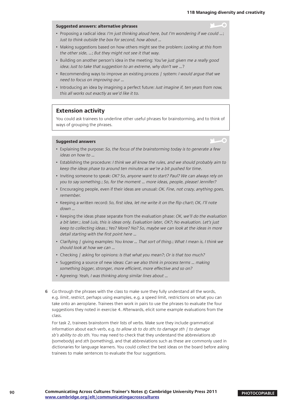C

#### **Suggested answers: alternative phrases**

- Proposing a radical idea: I'm just thinking aloud here, but I'm wondering if we could ...; Just to think outside the box for second, how about …
- Making suggestions based on how others might see the problem: Looking at this from the other side, …; But they might not see it that way.
- Building on another person's idea in the meeting: You've just given me a really good idea; Just to take that suggestion to an extreme, why don't we …?
- Recommending ways to improve an existing process / system: I would argue that we need to focus on improving our …
- Introducing an idea by imagining a perfect future: Just imagine if, ten years from now, this all works out exactly as we'd like it to.

#### **Extension activity**

You could ask trainees to underline other useful phrases for brainstorming, and to think of ways of grouping the phrases.

#### **Suggested answers**

- Explaining the purpose: So, the focus of the brainstorming today is to generate a few ideas on how to …
- Establishing the procedure: I think we all know the rules, and we should probably aim to keep the ideas phase to around ten minutes as we're a bit pushed for time.
- Inviting someone to speak: OK? So, anyone want to start? Paul? We can always rely on you to say something.; So, for the moment … more ideas, people, please! Jennifer?
- Encouraging people, even if their ideas are unusual: OK. Fine, not crazy, anything goes, remember.
- Keeping a written record: So, first idea, let me write it on the flip chart; OK, I'll note down …
- Keeping the ideas phase separate from the evaluation phase: OK, we'll do the evaluation a bit later.; José Luis, this is ideas only. Evaluation later, OK?; No evaluation. Let's just keep to collecting ideas.; Yes? More? No? So, maybe we can look at the ideas in more detail starting with the first point here …
- Clarifying / giving examples: You know … That sort of thing.; What I mean is, I think we should look at how we can …
- Checking / asking for opinions: Is that what you mean?; Or is that too much?
- Suggesting a source of new ideas: Can we also think in process terms ... making something bigger, stronger, more efficient, more effective and so on?
- Agreeing: Yeah, I was thinking along similar lines about …
- **6** Go through the phrases with the class to make sure they fully understand all the words, e.g. limit, restrict, perhaps using examples, e.g. a speed limit, restrictions on what you can take onto an aeroplane. Trainees then work in pairs to use the phrases to evaluate the four suggestions they noted in exercise 4. Afterwards, elicit some example evaluations from the class.

For task 2, trainees brainstorm their lists of verbs. Make sure they include grammatical information about each verb, e.g. to allow sb to do sth; to damage sth / to damage sb's ability to do sth. You may need to check that they understand the abbreviations sb (somebody) and sth (something), and that abbreviations such as these are commonly used in dictionaries for language learners. You could collect the best ideas on the board before asking trainees to make sentences to evaluate the four suggestions.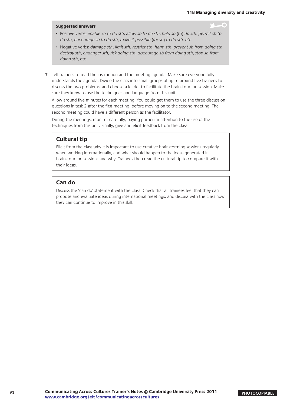## **Suggested answers**

- Positive verbs: enable sb to do sth, allow sb to do sth, help sb (to) do sth, permit sb to do sth, encourage sb to do sth, make it possible (for sb) to do sth, etc.
- Negative verbs: damage sth, limit sth, restrict sth, harm sth, prevent sb from doing sth, destroy sth, endanger sth, risk doing sth, discourage sb from doing sth, stop sb from doing sth, etc.
- **7** Tell trainees to read the instruction and the meeting agenda. Make sure everyone fully understands the agenda. Divide the class into small groups of up to around five trainees to discuss the two problems, and choose a leader to facilitate the brainstorming session. Make sure they know to use the techniques and language from this unit.

Allow around five minutes for each meeting. You could get them to use the three discussion questions in task 2 after the first meeting, before moving on to the second meeting. The second meeting could have a different person as the facilitator.

During the meetings, monitor carefully, paying particular attention to the use of the techniques from this unit. Finally, give and elicit feedback from the class.

# **Cultural tip**

Elicit from the class why it is important to use creative brainstorming sessions regularly when working internationally, and what should happen to the ideas generated in brainstorming sessions and why. Trainees then read the cultural tip to compare it with their ideas.

# **Can do**

Discuss the 'can do' statement with the class. Check that all trainees feel that they can propose and evaluate ideas during international meetings, and discuss with the class how they can continue to improve in this skill.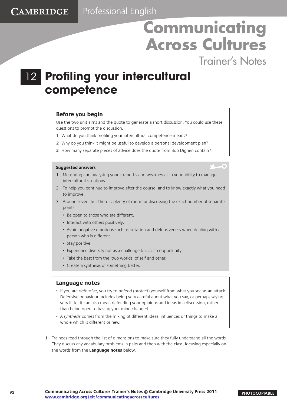Trainer's Notes

C

# **Profiling your intercultural**  12 **competence**

# **Before you begin**

**CAMBRIDGE** 

Use the two unit aims and the quote to generate a short discussion. You could use these questions to prompt the discussion.

- **1** What do you think profiling your intercultural competence means?
- **2** Why do you think it might be useful to develop a personal development plan?
- **3** How many separate pieces of advice does the quote from Bob Dignen contain?

#### **Suggested answers**

- 1 Measuring and analysing your strengths and weaknesses in your ability to manage intercultural situations.
- 2 To help you continue to improve after the course, and to know exactly what you need to improve.
- 3 Around seven, but there is plenty of room for discussing the exact number of separate points:
	- Be open to those who are different.
	- Interact with others positively.
	- Avoid negative emotions such as irritation and defensiveness when dealing with a person who is different.
	- Stay positive.
	- Experience diversity not as a challenge but as an opportunity.
	- Take the best from the 'two worlds' of self and other.
	- Create a synthesis of something better.

- If you are defensive, you try to defend (protect) yourself from what you see as an attack. Defensive behaviour includes being very careful about what you say, or perhaps saying very little. It can also mean defending your opinions and ideas in a discussion, rather than being open to having your mind changed.
- A synthesis comes from the mixing of different ideas, influences or things to make a whole which is different or new.
- **1** Trainees read through the list of dimensions to make sure they fully understand all the words. They discuss any vocabulary problems in pairs and then with the class, focusing especially on the words from the **Language notes** below.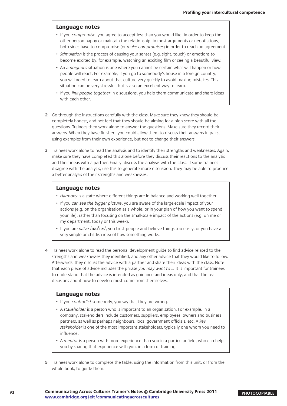## **Language notes**

- If you compromise, you agree to accept less than you would like, in order to keep the other person happy or maintain the relationship. In most arguments or negotiations, both sides have to compromise (or make compromises) in order to reach an agreement.
- Stimulation is the process of causing your senses (e.g. sight, touch) or emotions to become excited by, for example, watching an exciting film or seeing a beautiful view.
- An *ambiguous* situation is one where you cannot be certain what will happen or how people will react. For example, if you go to somebody's house in a foreign country, you will need to learn about that culture very quickly to avoid making mistakes. This situation can be very stressful, but is also an excellent way to learn.
- If you link people together in discussions, you help them communicate and share ideas with each other.
- **2** Go through the instructions carefully with the class. Make sure they know they should be completely honest, and not feel that they should be aiming for a high score with all the questions. Trainees then work alone to answer the questions. Make sure they record their answers. When they have finished, you could allow them to discuss their answers in pairs, using examples from their own experience, but not to change their answers.
- **3** Trainees work alone to read the analysis and to identify their strengths and weaknesses. Again, make sure they have completed this alone before they discuss their reactions to the analysis and their ideas with a partner. Finally, discuss the analysis with the class. If some trainees disagree with the analysis, use this to generate more discussion. They may be able to produce a better analysis of their strengths and weaknesses.

# **Language notes**

- Harmony is a state where different things are in balance and working well together.
- If you can see the bigger picture, you are aware of the large-scale impact of your actions (e.g. on the organisation as a whole, or in your plan of how you want to spend your life), rather than focusing on the small-scale impact of the actions (e.g. on me or my department, today or this week).
- If you are naïve /naɪ<sup>l</sup>iːv/, you trust people and believe things too easily, or you have a very simple or childish idea of how something works.
- **4** Trainees work alone to read the personal development guide to find advice related to the strengths and weaknesses they identified, and any other advice that they would like to follow. Afterwards, they discuss the advice with a partner and share their ideas with the class. Note that each piece of advice includes the phrase you may want to ... It is important for trainees to understand that the advice is intended as guidance and ideas only, and that the real decisions about how to develop must come from themselves.

- If you contradict somebody, you say that they are wrong.
- A stakeholder is a person who is important to an organisation. For example, in a company, stakeholders include customers, suppliers, employees, owners and business partners, as well as perhaps neighbours, local government officials, etc. A key stakeholder is one of the most important stakeholders, typically one whom you need to influence.
- A mentor is a person with more experience than you in a particular field, who can help you by sharing that experience with you, in a form of training.
- **5** Trainees work alone to complete the table, using the information from this unit, or from the whole book, to guide them.